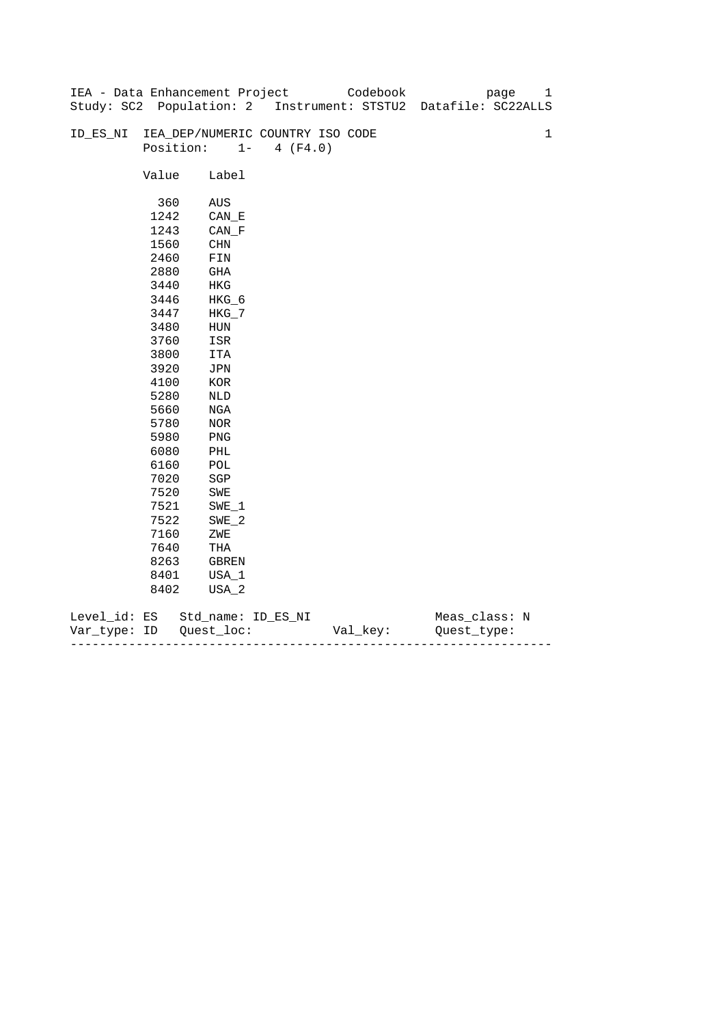|              |       | IEA - Data Enhancement Project   |                   | Codebook | 1<br>page                                                      |
|--------------|-------|----------------------------------|-------------------|----------|----------------------------------------------------------------|
|              |       |                                  |                   |          | Study: SC2 Population: 2 Instrument: STSTU2 Datafile: SC22ALLS |
|              |       |                                  |                   |          |                                                                |
| ID_ES_NI     |       | IEA_DEP/NUMERIC COUNTRY ISO CODE |                   |          | $\mathbf{1}$                                                   |
|              |       | Position:                        | $1 -$<br>4 (F4.0) |          |                                                                |
|              |       |                                  |                   |          |                                                                |
|              | Value | Label                            |                   |          |                                                                |
|              |       |                                  |                   |          |                                                                |
|              | 360   | AUS                              |                   |          |                                                                |
|              | 1242  | CAN E                            |                   |          |                                                                |
|              | 1243  | $CAN_F$                          |                   |          |                                                                |
|              | 1560  | CHN                              |                   |          |                                                                |
|              | 2460  | FIN                              |                   |          |                                                                |
|              | 2880  | GHA                              |                   |          |                                                                |
|              | 3440  | HKG                              |                   |          |                                                                |
|              | 3446  | $HKG_6$                          |                   |          |                                                                |
|              | 3447  | $HKG_7$                          |                   |          |                                                                |
|              | 3480  | ${\tt HUN}$                      |                   |          |                                                                |
|              | 3760  | ISR                              |                   |          |                                                                |
|              | 3800  | ITA                              |                   |          |                                                                |
|              | 3920  | JPN                              |                   |          |                                                                |
|              | 4100  | $_{\rm KOR}$                     |                   |          |                                                                |
|              | 5280  | NLD                              |                   |          |                                                                |
|              | 5660  | NGA                              |                   |          |                                                                |
|              | 5780  | NOR                              |                   |          |                                                                |
|              | 5980  | PNG                              |                   |          |                                                                |
|              | 6080  | PHL                              |                   |          |                                                                |
|              | 6160  | POL                              |                   |          |                                                                |
|              | 7020  | $_{\rm SGP}$                     |                   |          |                                                                |
|              | 7520  | SWE                              |                   |          |                                                                |
|              | 7521  | $SWE_1$                          |                   |          |                                                                |
|              | 7522  | $SWE_2$                          |                   |          |                                                                |
|              | 7160  | ZWE                              |                   |          |                                                                |
|              | 7640  | $\operatorname{THA}$             |                   |          |                                                                |
|              | 8263  | GBREN                            |                   |          |                                                                |
|              | 8401  | USA_1                            |                   |          |                                                                |
|              | 8402  | USA_2                            |                   |          |                                                                |
| Level_id: ES |       | Std_name: ID_ES_NI               |                   |          | Meas_class: N                                                  |
|              |       |                                  |                   |          |                                                                |

| Var<br>тvpe.<br>. | TΡ | $ -$ | - |
|-------------------|----|------|---|
|                   |    |      |   |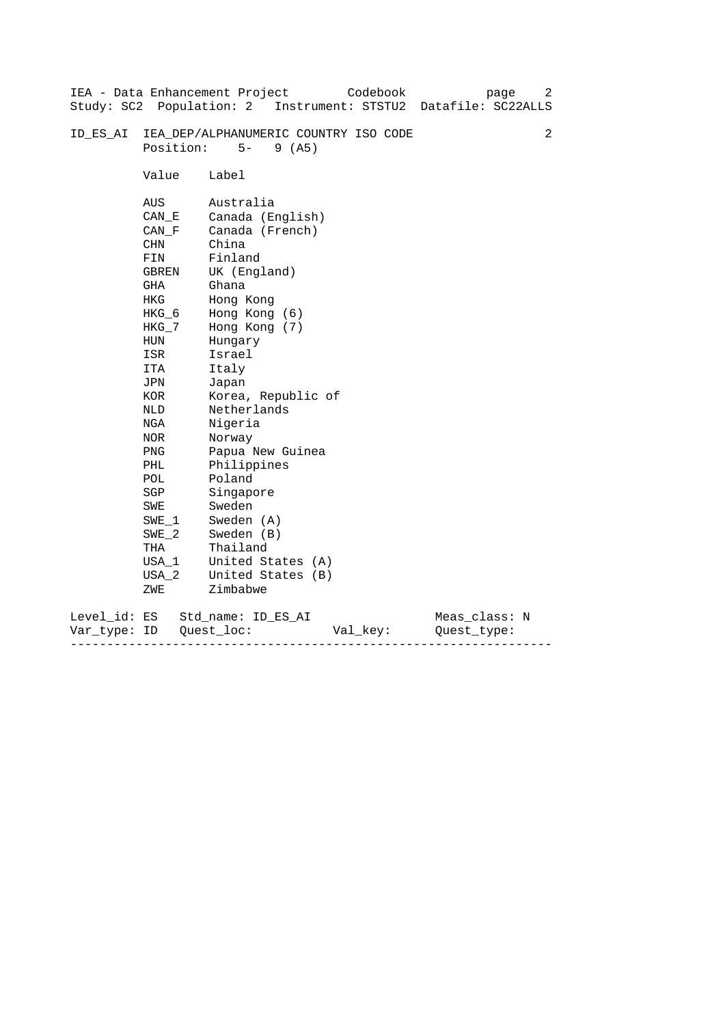| Study: SC2 Population: 2     |                                                                                                                                                                                                                                        | IEA - Data Enhancement Project<br>Codebook<br>page<br>Instrument: STSTU2<br>Datafile: SC22ALLS                                                                                                                                                                                                                                                                                                      | 2 |
|------------------------------|----------------------------------------------------------------------------------------------------------------------------------------------------------------------------------------------------------------------------------------|-----------------------------------------------------------------------------------------------------------------------------------------------------------------------------------------------------------------------------------------------------------------------------------------------------------------------------------------------------------------------------------------------------|---|
| ID ES AI                     | Position:                                                                                                                                                                                                                              | IEA_DEP/ALPHANUMERIC COUNTRY ISO CODE<br>$5-$<br>9(AB)                                                                                                                                                                                                                                                                                                                                              | 2 |
|                              | Value                                                                                                                                                                                                                                  | Label                                                                                                                                                                                                                                                                                                                                                                                               |   |
|                              | AUS<br>CAN E<br>CAN F<br>CHN<br>FIN<br>GBREN<br>GHA<br><b>HKG</b><br>HKG_6<br>$HKG_7$<br>HUN<br>ISR<br>ITA<br>JPN<br>KOR<br>NLD<br>NGA<br>NOR<br><b>PNG</b><br>PHL<br>POL<br>SGP<br>SWE<br>SWE 1<br>$SWE_2$<br>THA<br>USA_1<br>$USA_2$ | Australia<br>Canada (English)<br>Canada (French)<br>China<br>Finland<br>UK (England)<br>Ghana<br>Hong Kong<br>Hong Kong (6)<br>Hong Kong (7)<br>Hungary<br>Israel<br>Italy<br>Japan<br>Korea, Republic of<br>Netherlands<br>Nigeria<br>Norway<br>Papua New Guinea<br>Philippines<br>Poland<br>Singapore<br>Sweden<br>Sweden (A)<br>Sweden (B)<br>Thailand<br>United States (A)<br>United States (B) |   |
|                              | ZWE                                                                                                                                                                                                                                    | Zimbabwe                                                                                                                                                                                                                                                                                                                                                                                            |   |
| Level_id: ES<br>Var type: ID |                                                                                                                                                                                                                                        | Meas_class: N<br>Std name: ID ES AI<br>Quest loc:<br>Val_key:<br>Ouest type:                                                                                                                                                                                                                                                                                                                        |   |

------------------------------------------------------------------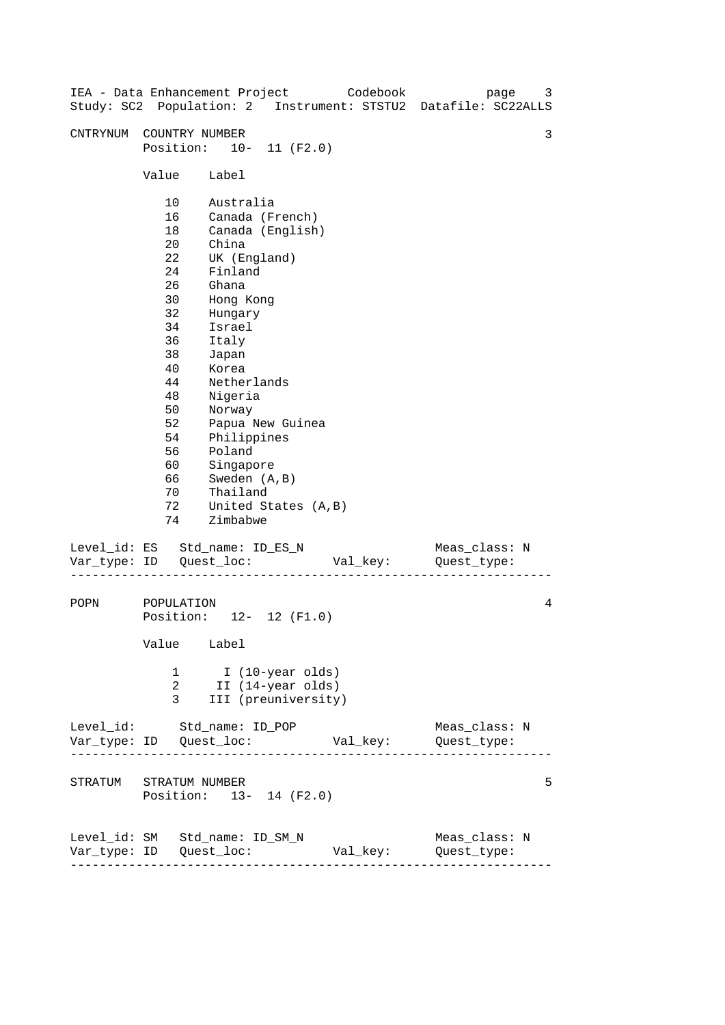| IEA - Data Enhancement Project<br>Study: SC2 Population: 2 Instrument: STSTU2 Datafile: SC22ALLS |                                                                                                                                              |                                                                                                                                                                                                                                                           |                                                              | Codebook |                              | page | 3 |
|--------------------------------------------------------------------------------------------------|----------------------------------------------------------------------------------------------------------------------------------------------|-----------------------------------------------------------------------------------------------------------------------------------------------------------------------------------------------------------------------------------------------------------|--------------------------------------------------------------|----------|------------------------------|------|---|
| CNTRYNUM                                                                                         | COUNTRY NUMBER<br>Position: 10- 11 (F2.0)                                                                                                    |                                                                                                                                                                                                                                                           |                                                              |          |                              |      | 3 |
|                                                                                                  | Value                                                                                                                                        | Label                                                                                                                                                                                                                                                     |                                                              |          |                              |      |   |
|                                                                                                  | 10<br>16<br>18<br>20<br>22<br>24<br>26<br>30<br>32<br>34<br>36<br>38<br>40<br>44<br>48<br>50<br>52<br>54<br>56<br>60<br>66<br>70<br>72<br>74 | Australia<br>Canada (French)<br>China<br>UK (England)<br>Finland<br>Ghana<br>Hong Kong<br>Hungary<br>Israel<br>Italy<br>Japan<br>Korea<br>Netherlands<br>Nigeria<br>Norway<br>Philippines<br>Poland<br>Singapore<br>Sweden (A, B)<br>Thailand<br>Zimbabwe | Canada (English)<br>Papua New Guinea<br>United States (A, B) |          |                              |      |   |
| Level_id: ES Std_name: ID_ES_N                                                                   |                                                                                                                                              |                                                                                                                                                                                                                                                           |                                                              | Val_key: | Meas_class: N<br>Quest_type: |      |   |
| POPN                                                                                             | POPULATION<br>Position: 12- 12 (F1.0)<br>Value Label                                                                                         |                                                                                                                                                                                                                                                           |                                                              |          |                              |      | 4 |
|                                                                                                  | 1<br>2<br>3                                                                                                                                  |                                                                                                                                                                                                                                                           | I (10-year olds)<br>II (14-year olds)<br>III (preuniversity) |          |                              |      |   |
| Level_id: Std_name: ID_POP                                                                       |                                                                                                                                              |                                                                                                                                                                                                                                                           |                                                              |          | Meas_class: N<br>Quest_type: |      |   |
| STRATUM STRATUM NUMBER                                                                           | Position: 13- 14 (F2.0)                                                                                                                      |                                                                                                                                                                                                                                                           |                                                              |          |                              |      | 5 |
| Level_id: SM Std_name: ID_SM_N                                                                   | ---------------                                                                                                                              |                                                                                                                                                                                                                                                           |                                                              | Val_key: | Meas_class: N<br>Quest_type: |      |   |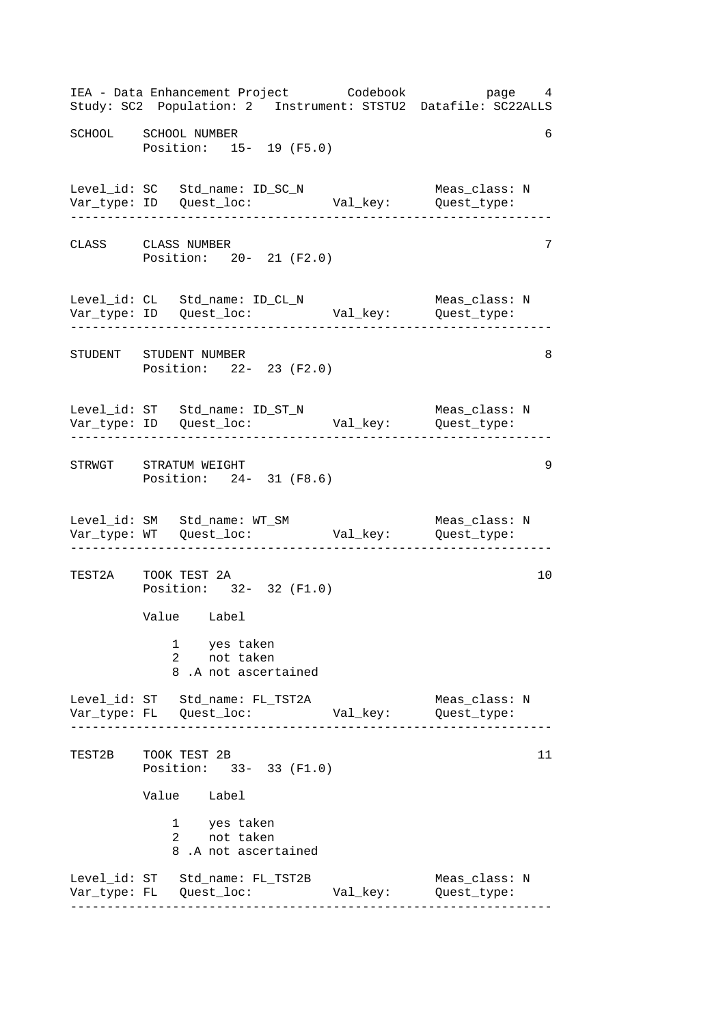------------------------------------------------------------------ ------------------------------------------------------------------ ------------------------------------------------------------------ ------------------------------------------------------------------ ------------------------------------------------------------------ ------------------------------------------------------------------ IEA - Data Enhancement Project Codebook page 4 Study: SC2 Population: 2 Instrument: STSTU2 Datafile: SC22ALLS SCHOOL SCHOOL NUMBER 6 Position: 15- 19 (F5.0) Level\_id: SC Std\_name: ID\_SC\_N Meas\_class: N Var\_type: ID Quest\_loc: Val\_key: Quest\_type: CLASS CLASS NUMBER 7 Position: 20- 21 (F2.0) Level\_id: CL Std\_name: ID\_CL\_N Meas\_class: N Var\_type: ID Quest\_loc: Val\_key: Quest\_type: STUDENT STUDENT NUMBER 8 Position: 22- 23 (F2.0) Level\_id: ST Std\_name: ID\_ST\_N Meas\_class: N Var\_type: ID Quest\_loc: Val\_key: Quest\_type: STRWGT STRATUM WEIGHT 9 Position: 24- 31 (F8.6) Level\_id: SM Std\_name: WT\_SM Meas\_class: N Var\_type: WT Quest\_loc: Val\_key: Quest\_type: TEST2A TOOK TEST 2A 10 Position: 32- 32 (F1.0) Value Label 1 yes taken 2 not taken 8 .A not ascertained Level\_id: ST Std\_name: FL\_TST2A Meas\_class: N Var\_type: FL Quest\_loc: Val\_key: Quest\_type: TEST2B TOOK TEST 2B Position: 33- 33 (F1.0) Value Label 1 2 yes taken not taken 8 .A not ascertained Level\_id: ST Std\_name: FL\_TST2B Meas\_class: N Var\_type: FL Quest\_loc: Val\_key: Quest\_type: 11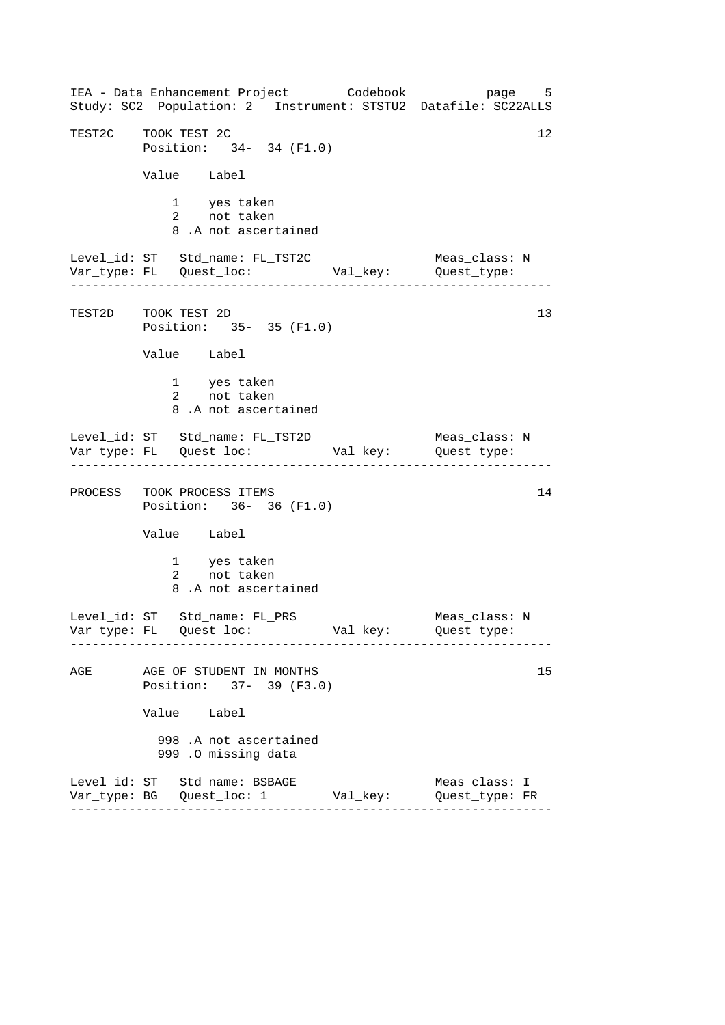------------------------------------------------------------------ ------------------------------------------------------------------ ------------------------------------------------------------------ IEA - Data Enhancement Project Codebook page 5 Study: SC2 Population: 2 Instrument: STSTU2 Datafile: SC22ALLS TEST2C TOOK TEST 2C 12 Position: 34- 34 (F1.0) Value Label 1 yes taken 2 not taken 8 .A not ascertained Level\_id: ST Std\_name: FL\_TST2C Meas\_class: N Var\_type: FL Quest\_loc: Val\_key: Quest\_type: TEST2D TOOK TEST 2D Position: 35- 35 (F1.0) Value Label 1 yes taken 2 not taken 8 .A not ascertained Level\_id: ST Std\_name: FL\_TST2D Meas\_class: N Var\_type: FL Quest\_loc: Val\_key: Quest\_type: PROCESS TOOK PROCESS ITEMS 14 Position: 36- 36 (F1.0) Value Label 1 yes taken 2 not taken 8 .A not ascertained Level\_id: ST Std\_name: FL\_PRS Meas\_class: N Var\_type: FL Quest\_loc: Val\_key: Quest\_type: AGE AGE OF STUDENT IN MONTHS 15 Position: 37- 39 (F3.0) Value Label 998 .A not ascertained 999 .O missing data Level\_id: ST Std\_name: BSBAGE Meas\_class: I Var\_type: BG Quest\_loc: 1 Val\_key: Quest\_type: FR 13

------------------------------------------------------------------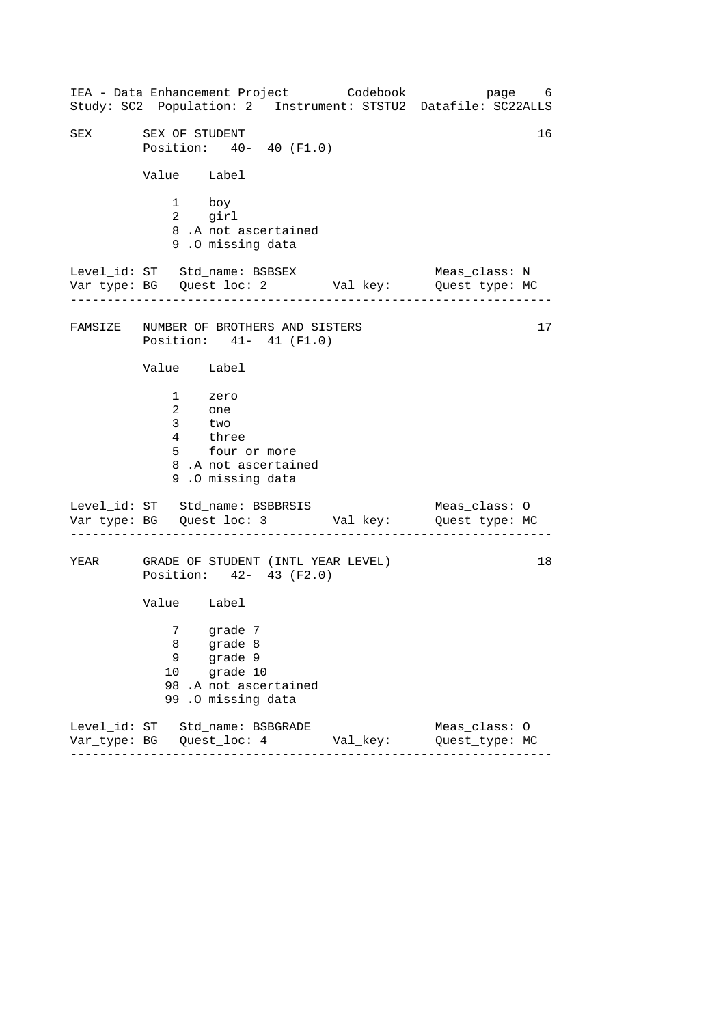------------------------------------------------------------------ ------------------------------------------------------------------ ------------------------------------------------------------------ IEA - Data Enhancement Project Codebook page 6 Study: SC2 Population: 2 Instrument: STSTU2 Datafile: SC22ALLS SEX SEX OF STUDENT 16 Position: 40- 40 (F1.0) Value Label 1 boy 2 girl 8 .A not ascertained 9 .O missing data Level\_id: ST Std\_name: BSBSEX Meas\_class: N Var\_type: BG Quest\_loc: 2 Val\_key: Quest\_type: MC FAMSIZE NUMBER OF BROTHERS AND SISTERS 17 Position: 41- 41 (F1.0) Value Label 1 zero 2 one 3 two 4 three 5 four or more 8 .A not ascertained 9 .O missing data Level\_id: ST Std\_name: BSBBRSIS Meas\_class: 0 Var\_type: BG Quest\_loc: 3 Val\_key: Quest\_type: MC YEAR GRADE OF STUDENT (INTL YEAR LEVEL) Position: 42- 43 (F2.0) Value Label 7 grade 7 8 grade 8 9 grade 9 10 grade 10 98 .A not ascertained 99 .O missing data Level\_id: ST Std\_name: BSBGRADE Meas\_class: O Var\_type: BG Quest\_loc: 4 Val\_key: Quest\_type: MC 18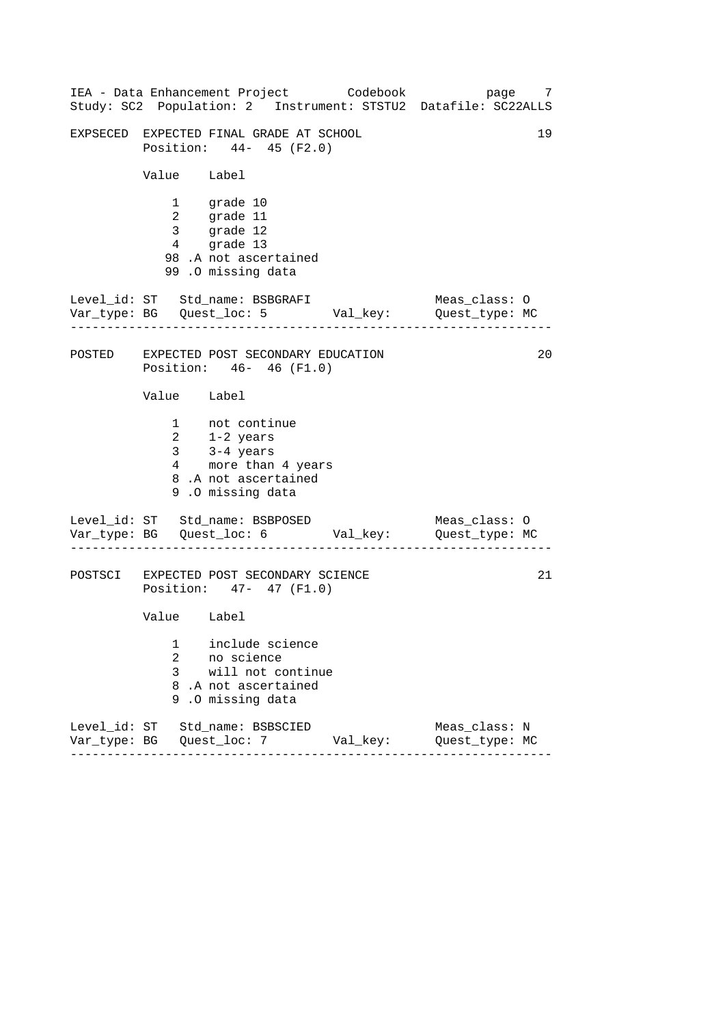------------------------------------------------------------------ ------------------------------------------------------------------ ------------------------------------------------------------------ IEA - Data Enhancement Project Codebook page 7 Study: SC2 Population: 2 Instrument: STSTU2 Datafile: SC22ALLS EXPSECED EXPECTED FINAL GRADE AT SCHOOL 19 Position: 44- 45 (F2.0) Value Label 1 grade 10 2 grade 11 3 grade 12 4 grade 13 98 .A not ascertained 99 .O missing data Level\_id: ST Std\_name: BSBGRAFI Meas\_class: 0 Var\_type: BG Quest\_loc: 5 Val\_key: Quest\_type: MC POSTED EXPECTED POST SECONDARY EDUCATION Position: 46- 46 (F1.0) Value Label 1 not continue 2 1-2 years 3 3-4 years 4 more than 4 years 8 .A not ascertained 9 .O missing data Level\_id: ST Std\_name: BSBPOSED Meas\_class: 0 Var\_type: BG Quest\_loc: 6 Val\_key: Quest\_type: MC POSTSCI EXPECTED POST SECONDARY SCIENCE Position: 47- 47 (F1.0) Value Label 1 include science 2 no science 3 will not continue 8 .A not ascertained 9 .O missing data Level\_id: ST Std\_name: BSBSCIED Meas\_class: N Var\_type: BG Quest\_loc: 7 Val\_key: Quest\_type: MC 20 21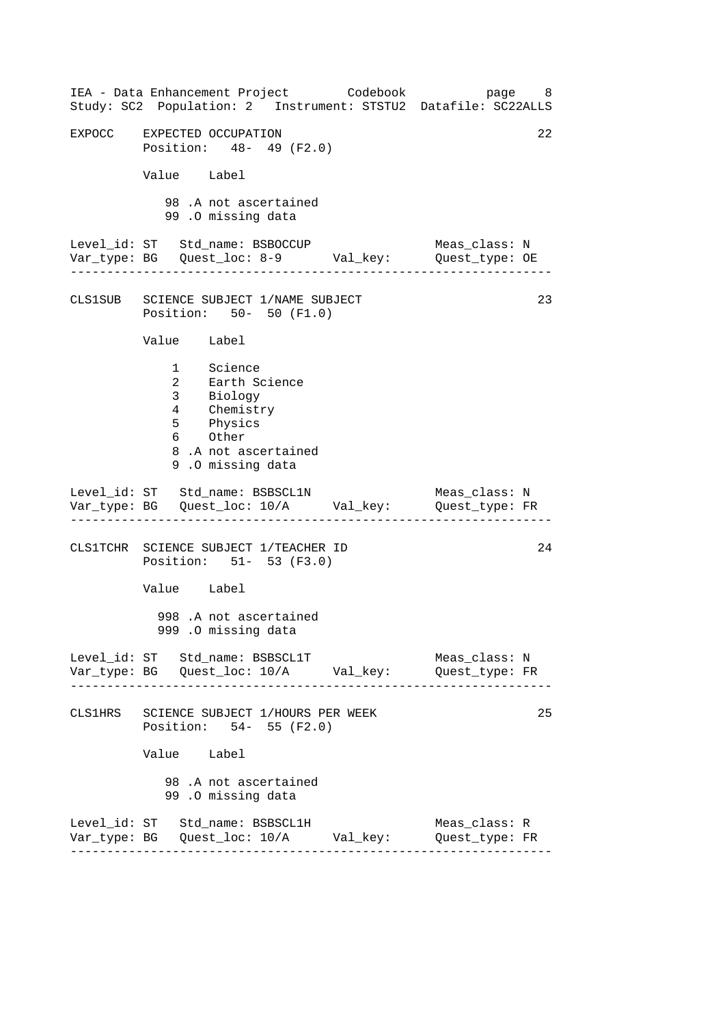------------------------------------------------------------------ ------------------------------------------------------------------ ------------------------------------------------------------------ ------------------------------------------------------------------ IEA - Data Enhancement Project Codebook page 8 Study: SC2 Population: 2 Instrument: STSTU2 Datafile: SC22ALLS EXPOCC EXPECTED OCCUPATION 22 Position: 48- 49 (F2.0) Value Label 98 .A not ascertained 99 .O missing data Level\_id: ST Std\_name: BSBOCCUP Meas\_class: N Var\_type: BG Quest\_loc: 8-9 Val\_key: Quest\_type: OE CLS1SUB SCIENCE SUBJECT 1/NAME SUBJECT 23 Position: 50- 50 (F1.0) Value Label 1 Science 2 Earth Science 3 Biology 4 Chemistry 5 Physics 6 Other 8 .A not ascertained 9 .O missing data Level\_id: ST Std\_name: BSBSCL1N Meas\_class: N Var\_type: BG Quest\_loc: 10/A Val\_key: Quest\_type: FR CLS1TCHR SCIENCE SUBJECT 1/TEACHER ID Position: 51- 53 (F3.0) Value Label 998 .A not ascertained 999 .O missing data Level\_id: ST Std\_name: BSBSCL1T Meas\_class: N Var\_type: BG Quest\_loc: 10/A Val\_key: Quest\_type: FR CLS1HRS SCIENCE SUBJECT 1/HOURS PER WEEK Position: 54- 55 (F2.0) Value Label 98 .A not ascertained 99 .O missing data Level\_id: ST Std\_name: BSBSCL1H Meas\_class: R Var\_type: BG Quest\_loc: 10/A Val\_key: Quest\_type: FR 24 25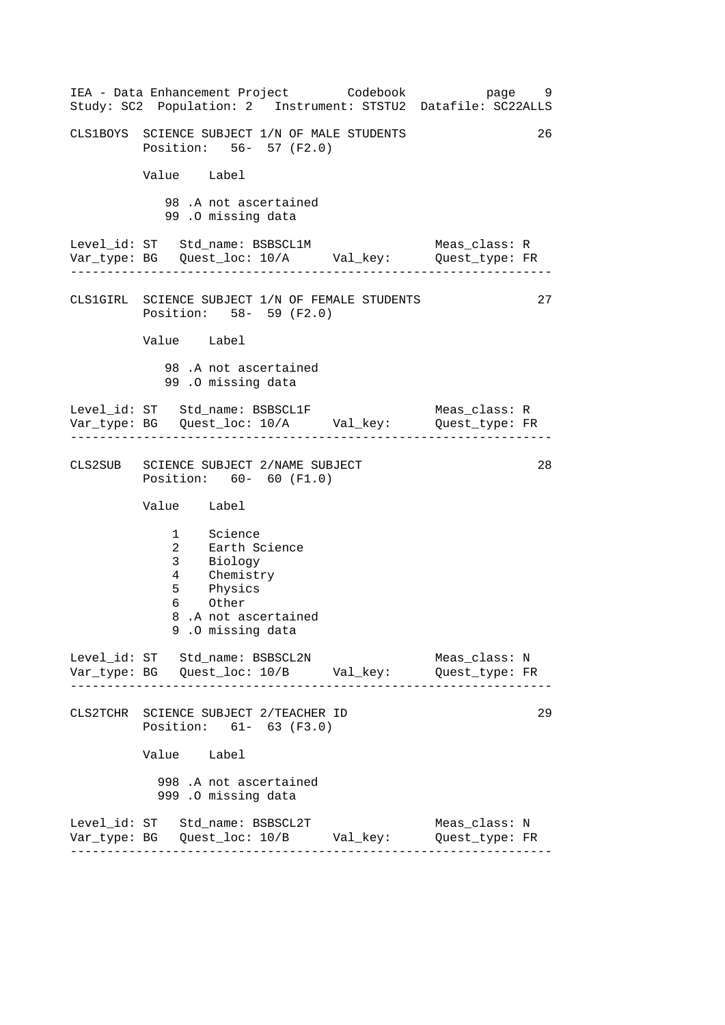------------------------------------------------------------------ ------------------------------------------------------------------ ------------------------------------------------------------------ ------------------------------------------------------------------ IEA - Data Enhancement Project Codebook page 9 Study: SC2 Population: 2 Instrument: STSTU2 Datafile: SC22ALLS CLS1BOYS SCIENCE SUBJECT 1/N OF MALE STUDENTS 26 Position: 56- 57 (F2.0) Value Label 98 .A not ascertained 99 .O missing data Level\_id: ST Std\_name: BSBSCL1M Meas\_class: R Var\_type: BG Quest\_loc: 10/A Val\_key: Quest\_type: FR CLS1GIRL SCIENCE SUBJECT 1/N OF FEMALE STUDENTS 27 Position: 58- 59 (F2.0) Value Label 98 .A not ascertained 99 .O missing data Level\_id: ST Std\_name: BSBSCL1F Meas\_class: R Var\_type: BG Quest\_loc: 10/A Val\_key: Quest\_type: FR CLS2SUB SCIENCE SUBJECT 2/NAME SUBJECT 28 Position: 60- 60 (F1.0) Value Label 1 Science 2 Earth Science 3 Biology 4 Chemistry 5 Physics 6 Other 8 .A not ascertained 9 .O missing data Level id: ST Std name: BSBSCL2N Meas class: N Var\_type: BG Quest\_loc: 10/B Val\_key: Quest\_type: FR CLS2TCHR SCIENCE SUBJECT 2/TEACHER ID Position: 61- 63 (F3.0) Value Label 998 .A not ascertained 999 .O missing data Level\_id: ST Std\_name: BSBSCL2T Meas\_class: N Var\_type: BG Quest\_loc: 10/B Val\_key: Quest\_type: FR 29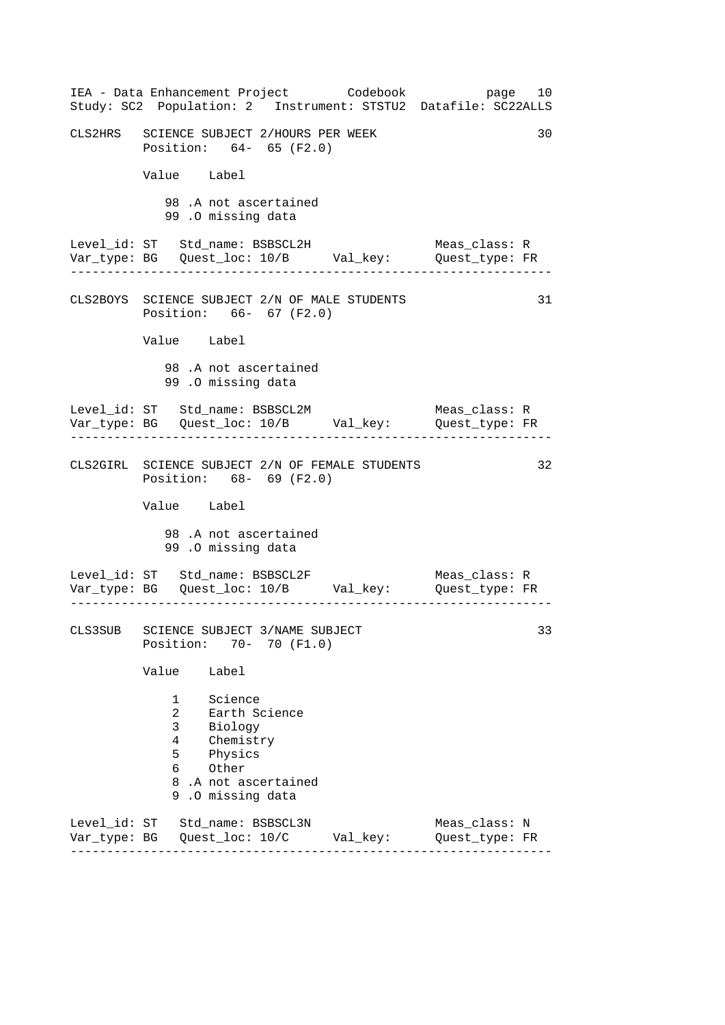------------------------------------------------------------------ ------------------------------------------------------------------ ------------------------------------------------------------------ ------------------------------------------------------------------ IEA - Data Enhancement Project Codebook page 10 Study: SC2 Population: 2 Instrument: STSTU2 Datafile: SC22ALLS CLS2HRS SCIENCE SUBJECT 2/HOURS PER WEEK 30 Position: 64- 65 (F2.0) Value Label 98 .A not ascertained 99 .O missing data Level\_id: ST Std\_name: BSBSCL2H Meas\_class: R Var\_type: BG Quest\_loc: 10/B Val\_key: Quest\_type: FR CLS2BOYS SCIENCE SUBJECT 2/N OF MALE STUDENTS 31 Position: 66- 67 (F2.0) Value Label 98 .A not ascertained 99 .O missing data Level\_id: ST Std\_name: BSBSCL2M Meas\_class: R Var\_type: BG Quest\_loc: 10/B Val\_key: Quest\_type: FR CLS2GIRL SCIENCE SUBJECT 2/N OF FEMALE STUDENTS 32 Position: 68- 69 (F2.0) Value Label 98 .A not ascertained 99 .O missing data Level\_id: ST Std\_name: BSBSCL2F Meas\_class: R Var\_type: BG Quest\_loc: 10/B Val\_key: Quest\_type: FR CLS3SUB SCIENCE SUBJECT 3/NAME SUBJECT 33 Position: 70- 70 (F1.0) Value Label 1 Science 2 Earth Science 3 Biology 4 Chemistry 5 Physics 6 Other 8 .A not ascertained 9 .O missing data Level\_id: ST Std\_name: BSBSCL3N Meas\_class: N Var\_type: BG Quest\_loc: 10/C Val\_key: Quest\_type: FR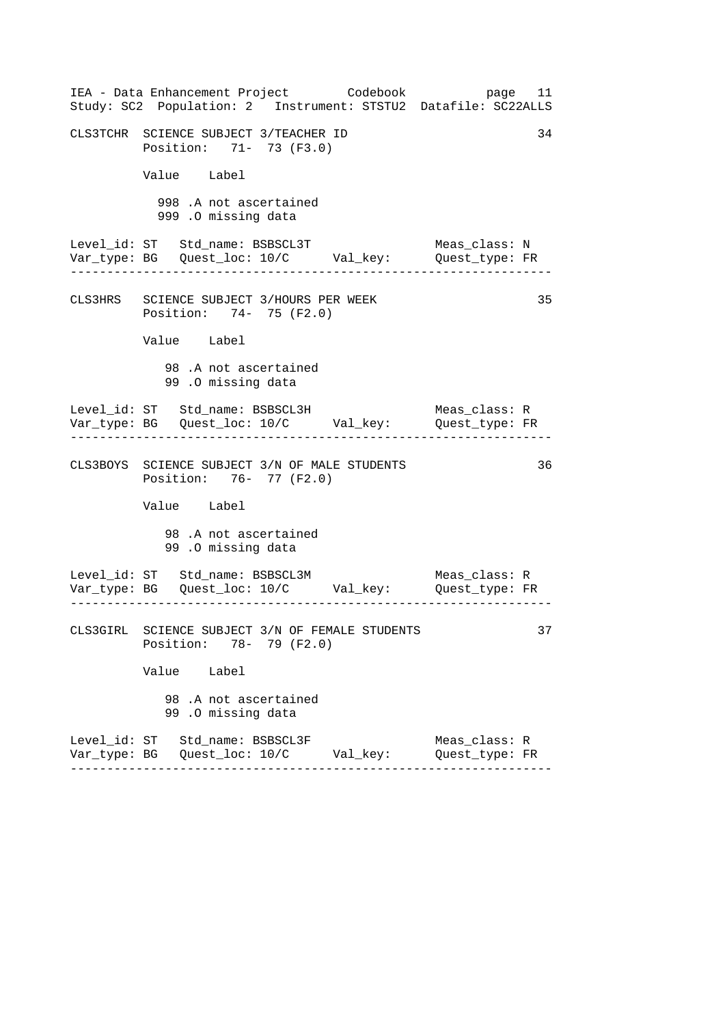| IEA - Data Enhancement Project Codebook<br>Study: SC2 Population: 2 Instrument: STSTU2 Datafile: SC22ALLS | page 11                         |
|-----------------------------------------------------------------------------------------------------------|---------------------------------|
| CLS3TCHR SCIENCE SUBJECT 3/TEACHER ID<br>Position: 71- 73 (F3.0)                                          | 34                              |
| Value Label                                                                                               |                                 |
| 998 .A not ascertained<br>999 .O missing data                                                             |                                 |
| Level_id: ST Std_name: BSBSCL3T<br>Var_type: BG    Quest_loc: 10/C    Val_key:    Quest_type: FR          | Meas_class: N                   |
| CLS3HRS SCIENCE SUBJECT 3/HOURS PER WEEK<br>Position: 74- 75 (F2.0)                                       | 35                              |
| Value Label                                                                                               |                                 |
| 98.A not ascertained<br>99.0 missing data                                                                 |                                 |
| Level_id: ST Std_name: BSBSCL3H<br>Var_type: BG    Quest_loc: 10/C    Val_key:    Quest_type: FR          | Meas_class: R                   |
| CLS3BOYS SCIENCE SUBJECT 3/N OF MALE STUDENTS<br>Position: 76- 77 (F2.0)                                  | 36                              |
| Value Label                                                                                               |                                 |
| 98.A not ascertained<br>99.0 missing data                                                                 |                                 |
|                                                                                                           |                                 |
| CLS3GIRL SCIENCE SUBJECT 3/N OF FEMALE STUDENTS<br>Position: 78- 79 (F2.0)                                | 37                              |
| Value Label                                                                                               |                                 |
| 98 .A not ascertained<br>99.0 missing data                                                                |                                 |
| Level_id: ST Std_name: BSBSCL3F                                                                           | Meas_class: R<br>Quest_type: FR |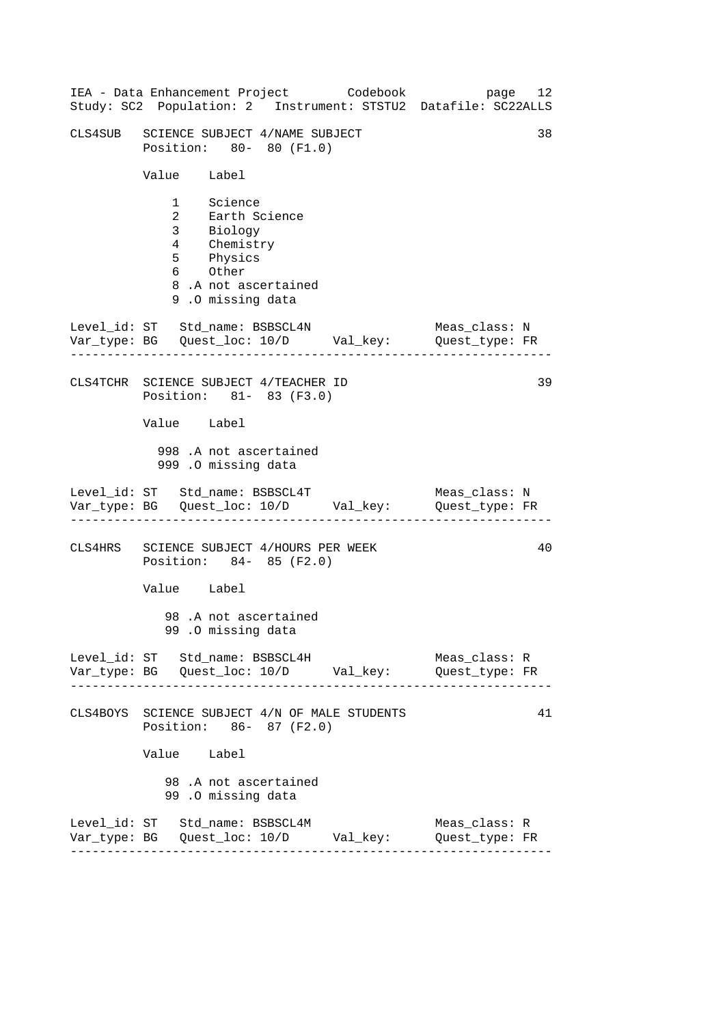| IEA - Data Enhancement Project Codebook<br>Study: SC2 Population: 2 Instrument: STSTU2 Datafile: SC22ALLS                   | page 12                         |
|-----------------------------------------------------------------------------------------------------------------------------|---------------------------------|
| CLS4SUB SCIENCE SUBJECT 4/NAME SUBJECT<br>Position: 80- 80 (F1.0)                                                           | 38                              |
| Value Label                                                                                                                 |                                 |
| 1 Science<br>2 Earth Science<br>3 Biology<br>4 Chemistry<br>5 Physics<br>6 Other<br>8.A not ascertained<br>9.0 missing data |                                 |
| Level_id: ST Std_name: BSBSCL4N<br>Var_type: BG    Quest_loc: 10/D    Val_key:    Quest_type: FR                            | Meas_class: N                   |
| CLS4TCHR SCIENCE SUBJECT 4/TEACHER ID<br>Position: 81- 83 (F3.0)                                                            | 39                              |
| Value Label                                                                                                                 |                                 |
| 998 .A not ascertained<br>999 .O missing data                                                                               |                                 |
| Level_id: ST Std_name: BSBSCL4T<br>Var_type: BG Quest_loc: 10/D Val_key: Quest_type: FR                                     | Meas_class: N                   |
| CLS4HRS SCIENCE SUBJECT 4/HOURS PER WEEK<br>Position: 84- 85 (F2.0)                                                         | 40                              |
| Value Label                                                                                                                 |                                 |
| 98.A not ascertained<br>99.0 missing data                                                                                   |                                 |
| Level_id: ST Std_name: BSBSCL4H                                                                                             | Meas_class: R<br>Quest_type: FR |
| CLS4BOYS SCIENCE SUBJECT 4/N OF MALE STUDENTS<br>Position: 86- 87 (F2.0)                                                    | 41                              |
| Value Label                                                                                                                 |                                 |
| 98.A not ascertained<br>99.0 missing data                                                                                   |                                 |
| Level_id: ST Std_name: BSBSCL4M<br>Var_type: BG    Quest_loc: 10/D    Val_key:    Quest_type: FR                            | Meas_class: R                   |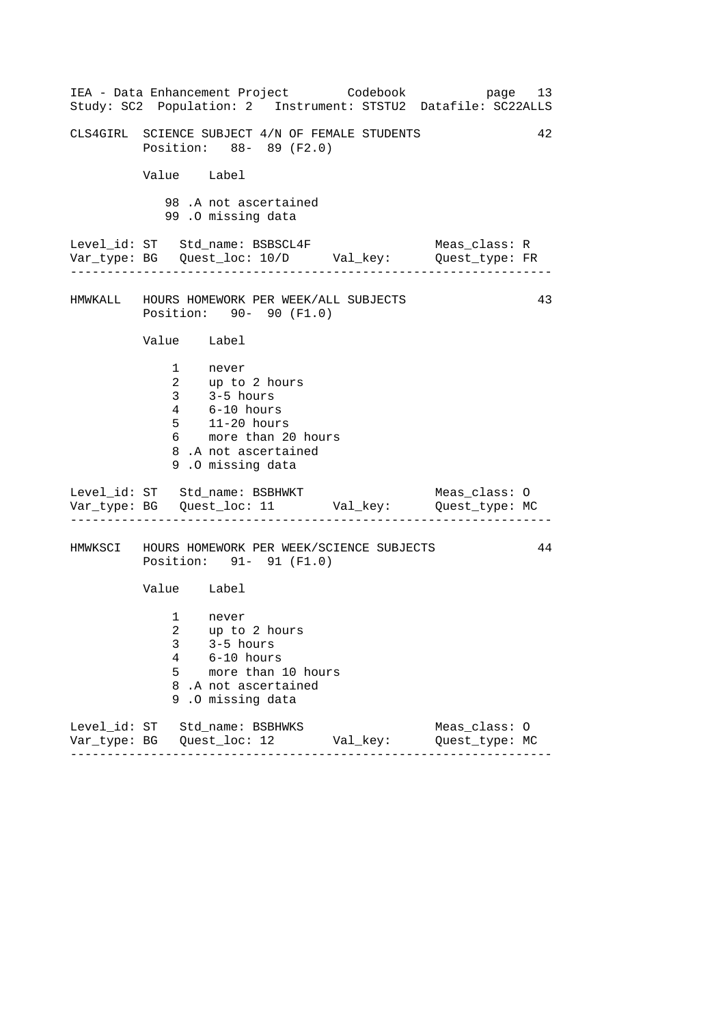------------------------------------------------------------------ ------------------------------------------------------------------ ------------------------------------------------------------------ IEA - Data Enhancement Project Codebook page 13 Study: SC2 Population: 2 Instrument: STSTU2 Datafile: SC22ALLS CLS4GIRL SCIENCE SUBJECT 4/N OF FEMALE STUDENTS 42 Position: 88- 89 (F2.0) Value Label 98 .A not ascertained 99 .O missing data Level\_id: ST Std\_name: BSBSCL4F Meas\_class: R Var\_type: BG Quest\_loc: 10/D Val\_key: Quest\_type: FR HMWKALL HOURS HOMEWORK PER WEEK/ALL SUBJECTS 43 Position: 90- 90 (F1.0) Value Label 1 never 2 up to 2 hours 3 3-5 hours 4 6-10 hours 5 11-20 hours 6 more than 20 hours 8 .A not ascertained 9 .O missing data Level\_id: ST Std\_name: BSBHWKT Meas\_class: 0 Var\_type: BG Quest\_loc: 11 Val\_key: Quest\_type: MC HMWKSCI HOURS HOMEWORK PER WEEK/SCIENCE SUBJECTS 44 Position: 91- 91 (F1.0) Value Label 1 never 2 up to 2 hours 3 3-5 hours 4 6-10 hours 5 more than 10 hours 8 .A not ascertained 9 .O missing data Level\_id: ST Std\_name: BSBHWKS Meas\_class: O Var\_type: BG Quest\_loc: 12 Val\_key: Quest\_type: MC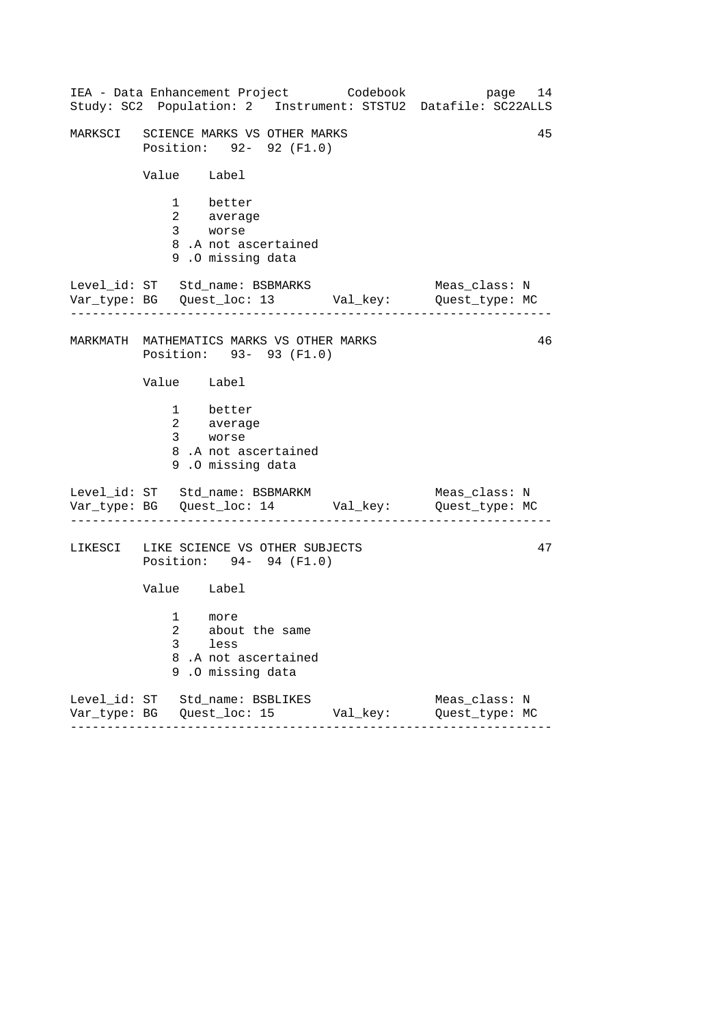| Study: SC2 Population: 2 Instrument: STSTU2 Datafile: SC22ALLS                                 |          | 14<br>page                      |  |  |
|------------------------------------------------------------------------------------------------|----------|---------------------------------|--|--|
| MARKSCI SCIENCE MARKS VS OTHER MARKS<br>Position: 92- 92 (F1.0)                                |          | 45                              |  |  |
| Value Label                                                                                    |          |                                 |  |  |
| 1 better<br>2 average<br>3 worse<br>8.A not ascertained<br>9.0 missing data                    |          |                                 |  |  |
| Level_id: ST Std_name: BSBMARKS<br>Var_type: BG    Quest_loc: 13    Val_key:    Quest_type: MC |          | Meas_class: N                   |  |  |
| 46<br>MARKMATH MATHEMATICS MARKS VS OTHER MARKS<br>Position: 93- 93 (F1.0)                     |          |                                 |  |  |
| Value Label                                                                                    |          |                                 |  |  |
| 1 better<br>2 average<br>3 worse<br>8.A not ascertained<br>9.0 missing data                    |          |                                 |  |  |
| Level_id: ST Std_name: BSBMARKM<br>Var_type: BG    Quest_loc: 14    Val_key:    Quest_type: MC |          | Meas_class: N                   |  |  |
| LIKESCI LIKE SCIENCE VS OTHER SUBJECTS<br>Position: 94- 94 (F1.0)                              |          | 47                              |  |  |
| Value Label                                                                                    |          |                                 |  |  |
| 1 more<br>2 about the same<br>3<br>less<br>8.A not ascertained<br>9.<br>.0 missing data        |          |                                 |  |  |
| Level_id: ST Std_name: BSBLIKES<br>------                                                      | Val_key: | Meas_class: N<br>Quest_type: MC |  |  |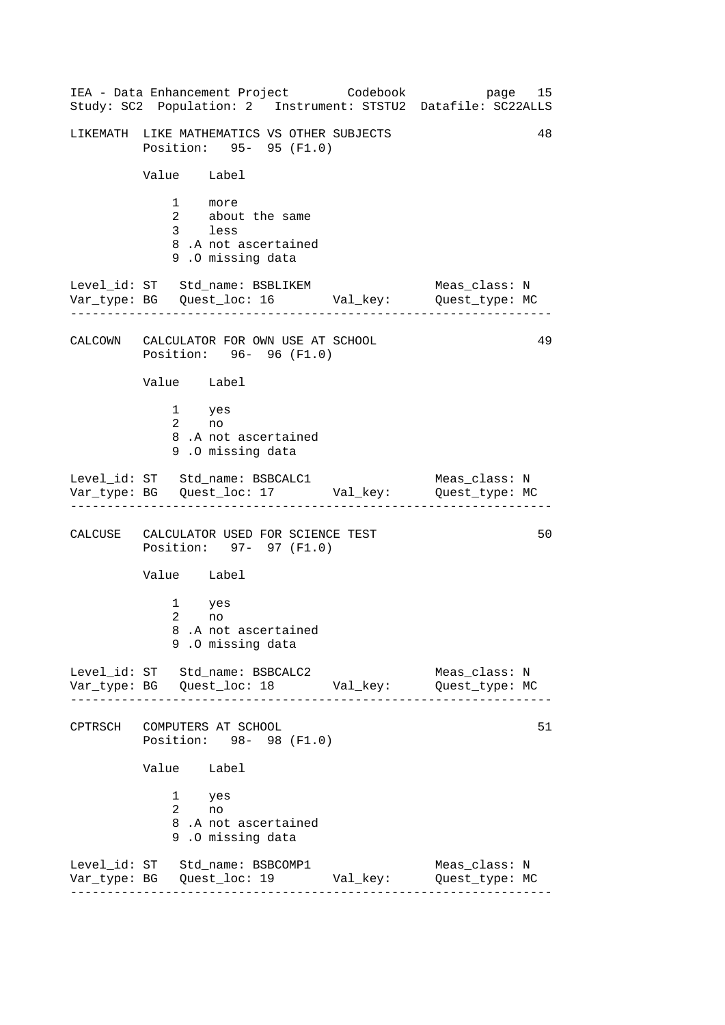------------------------------------------------------------------ ------------------------------------------------------------------ ------------------------------------------------------------------ ------------------------------------------------------------------ IEA - Data Enhancement Project Codebook page 15 Study: SC2 Population: 2 Instrument: STSTU2 Datafile: SC22ALLS LIKEMATH LIKE MATHEMATICS VS OTHER SUBJECTS 48 Position: 95- 95 (F1.0) Value Label 1 more 2 about the same 3 less 8 .A not ascertained 9 .O missing data Level\_id: ST Std\_name: BSBLIKEM Meas\_class: N Var\_type: BG Quest\_loc: 16 Val\_key: Quest\_type: MC CALCOWN CALCULATOR FOR OWN USE AT SCHOOL 49 Position: 96- 96 (F1.0) Value Label 1 yes 2 no 8 .A not ascertained 9 .O missing data Level\_id: ST Std\_name: BSBCALC1 Meas\_class: N Var\_type: BG Quest\_loc: 17 Val\_key: Quest\_type: MC CALCUSE CALCULATOR USED FOR SCIENCE TEST 50 Position: 97- 97 (F1.0) Value Label 1 yes 2 no 8 .A not ascertained 9 .O missing data Level\_id: ST Std\_name: BSBCALC2 Meas\_class: N Var\_type: BG Quest\_loc: 18 Val\_key: Quest\_type: MC CPTRSCH COMPUTERS AT SCHOOL 51 Position: 98- 98 (F1.0) Value Label 1 yes 2 no 8 .A not ascertained 9 .O missing data Level\_id: ST Std\_name: BSBCOMP1 Meas\_class: N Var\_type: BG Quest\_loc: 19 Val\_key: Quest\_type: MC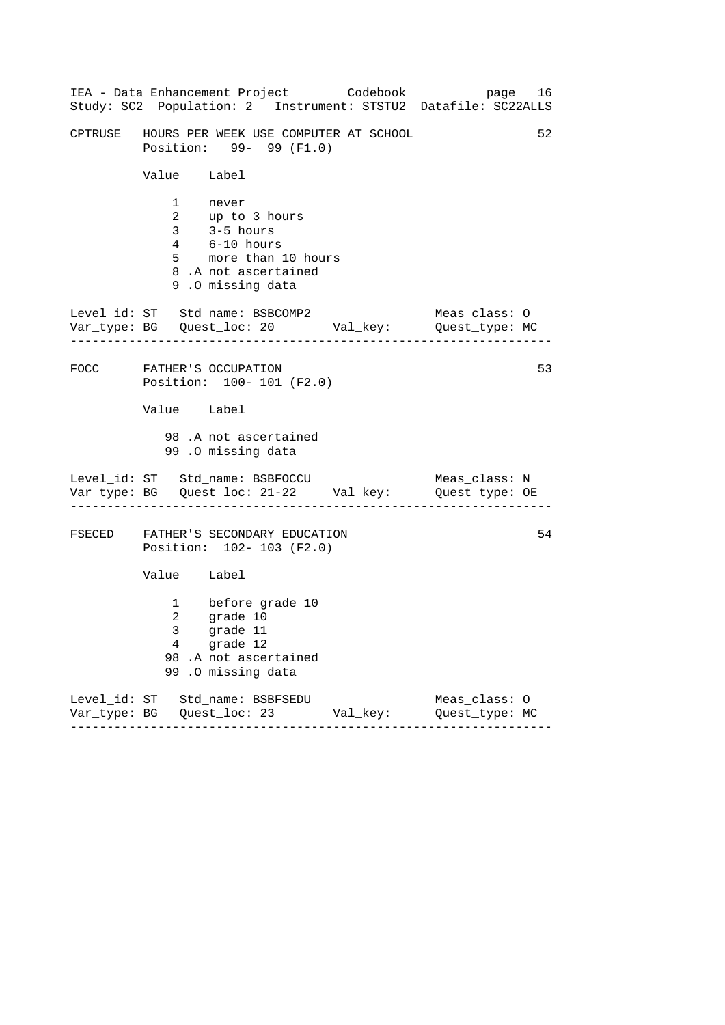|                                                                                 | IEA - Data Enhancement Project Codebook<br>Study: SC2 Population: 2 Instrument: STSTU2 Datafile: SC22ALLS                        |                         | page 16       |    |
|---------------------------------------------------------------------------------|----------------------------------------------------------------------------------------------------------------------------------|-------------------------|---------------|----|
| 52<br>CPTRUSE GHOURS PER WEEK USE COMPUTER AT SCHOOL<br>Position: 99- 99 (F1.0) |                                                                                                                                  |                         |               |    |
| Value Label                                                                     |                                                                                                                                  |                         |               |    |
|                                                                                 | 1 never<br>2 up to 3 hours<br>3 3-5 hours<br>$4$ $6-10$ hours<br>5 more than 10 hours<br>8.A not ascertained<br>9.0 missing data |                         |               |    |
| . 2002 2002 2002 2003                                                           | Level_id: ST Std_name: BSBCOMP2<br>Var_type: BG    Quest_loc: 20    Val_key:    Quest_type: MC                                   |                         | Meas_class: O |    |
|                                                                                 | FOCC FATHER'S OCCUPATION<br>Position: 100- 101 (F2.0)                                                                            |                         |               | 53 |
| Value Label                                                                     |                                                                                                                                  |                         |               |    |
|                                                                                 | 98.A not ascertained<br>99.0 missing data                                                                                        |                         |               |    |
|                                                                                 | Level_id: ST Std_name: BSBFOCCU Meas_class: N<br>Var_type: BG Quest_loc: 21-22 Val_key: Quest_type: OE                           |                         |               |    |
|                                                                                 | FSECED FATHER'S SECONDARY EDUCATION<br>Position: 102- 103 (F2.0)                                                                 |                         |               | 54 |
| Value Label                                                                     |                                                                                                                                  |                         |               |    |
| 2<br>$\mathbf{3}$<br>4                                                          | 1 before grade 10<br>grade 10<br>grade 11<br>grade 12<br>98.A not ascertained<br>99 .O missing data                              |                         |               |    |
|                                                                                 | Level_id: ST Std_name: BSBFSEDU<br>--------                                                                                      | Val_key: Quest_type: MC | Meas_class: 0 |    |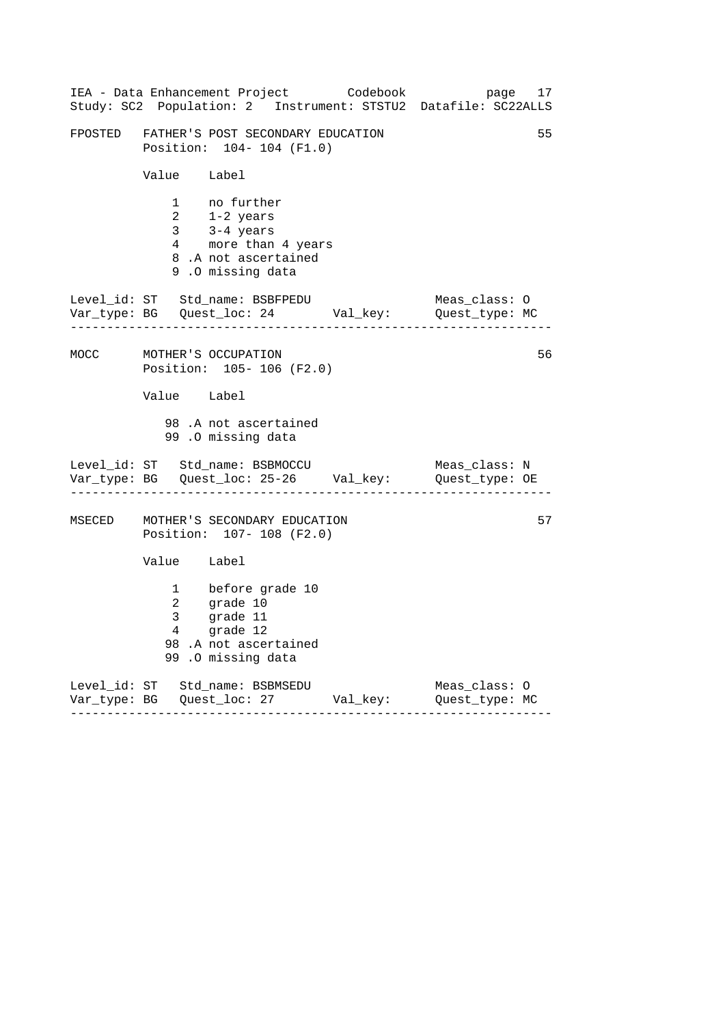| IEA - Data Enhancement Project<br>Codebook<br>page<br>17<br>Study: SC2 Population: 2 Instrument: STSTU2 Datafile: SC22ALLS |                                                       |                                                                                                                                                                                        |  |                                 |    |  |
|----------------------------------------------------------------------------------------------------------------------------|-------------------------------------------------------|----------------------------------------------------------------------------------------------------------------------------------------------------------------------------------------|--|---------------------------------|----|--|
|                                                                                                                            |                                                       | FPOSTED FATHER'S POST SECONDARY EDUCATION<br>Position: 104- 104 (F1.0)                                                                                                                 |  |                                 | 55 |  |
|                                                                                                                            |                                                       | Value Label                                                                                                                                                                            |  |                                 |    |  |
|                                                                                                                            |                                                       | 1 no further<br>$\begin{array}{lll} 2 & 1\text{-}2 \text{ years} \ 3 & 3\text{-}4 \text{ years} \ 4 & \text{more than 4 years} \end{array}$<br>8.A not ascertained<br>9.0 missing data |  |                                 |    |  |
|                                                                                                                            |                                                       | Level_id: ST Std_name: BSBFPEDU                                                                                                                                                        |  | Meas_class: O                   |    |  |
| MOCC                                                                                                                       | 56<br>MOTHER'S OCCUPATION<br>Position: 105-106 (F2.0) |                                                                                                                                                                                        |  |                                 |    |  |
|                                                                                                                            | Value Label                                           |                                                                                                                                                                                        |  |                                 |    |  |
|                                                                                                                            |                                                       | 98.A not ascertained<br>99.0 missing data                                                                                                                                              |  |                                 |    |  |
|                                                                                                                            |                                                       | Level_id: ST Std_name: BSBMOCCU<br>Var_type: BG    Quest_loc: 25-26    Val_key:    Quest_type: OE                                                                                      |  | Meas_class: N                   |    |  |
| MSECED                                                                                                                     |                                                       | MOTHER'S SECONDARY EDUCATION<br>Position: 107- 108 (F2.0)                                                                                                                              |  |                                 | 57 |  |
|                                                                                                                            | Value Label                                           |                                                                                                                                                                                        |  |                                 |    |  |
|                                                                                                                            |                                                       | 1 before grade 10<br>2 grade 10<br>3 grade 11<br>grade 11<br>4 grade 12<br>98.A not ascertained<br>99.0 missing data                                                                   |  |                                 |    |  |
|                                                                                                                            |                                                       | Level_id: ST Std_name: BSBMSEDU<br>Var_type: BG Quest_loc: 27 Val_key:                                                                                                                 |  | Meas_class: 0<br>Quest_type: MC |    |  |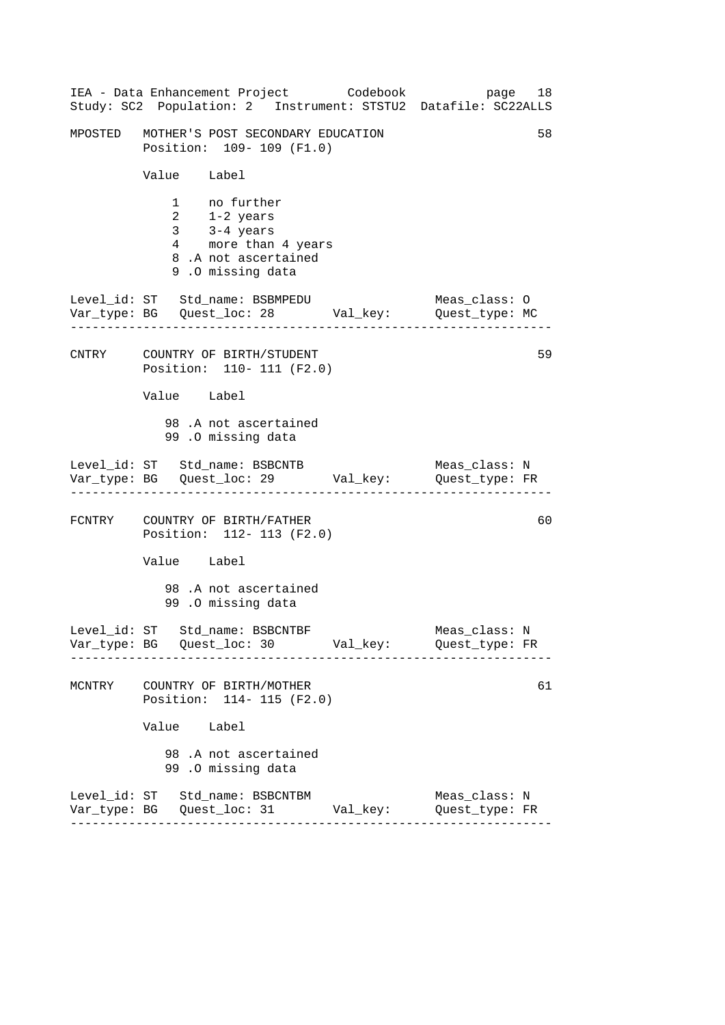|        | IEA - Data Enhancement Project Codebook<br>Study: SC2 Population: 2 Instrument: STSTU2 Datafile: SC22ALLS          |  | page 18                         |    |
|--------|--------------------------------------------------------------------------------------------------------------------|--|---------------------------------|----|
|        | MPOSTED MOTHER'S POST SECONDARY EDUCATION<br>Position: 109- 109 (F1.0)                                             |  |                                 | 58 |
|        | Value Label                                                                                                        |  |                                 |    |
|        | 1 no further<br>$2$ $1-2$ years<br>3 $3-4$ years<br>4 more than 4 years<br>8.A not ascertained<br>9.0 missing data |  |                                 |    |
|        | Level_id: ST Std_name: BSBMPEDU<br>Var_type: BG    Quest_loc: 28    Val_key:    Quest_type: MC                     |  | Meas_class: O                   |    |
|        | CNTRY COUNTRY OF BIRTH/STUDENT<br>Position: 110- 111 (F2.0)                                                        |  |                                 | 59 |
|        | Value Label                                                                                                        |  |                                 |    |
|        | 98.A not ascertained<br>99.0 missing data                                                                          |  |                                 |    |
|        | Level_id: ST Std_name: BSBCNTB<br>Var_type: BG Quest_loc: 29 Val_key: Quest_type: FR                               |  | Meas_class: N                   |    |
|        | FCNTRY COUNTRY OF BIRTH/FATHER<br>Position: 112- 113 (F2.0)                                                        |  |                                 | 60 |
|        | Value Label                                                                                                        |  |                                 |    |
|        | 98 .A not ascertained<br>99.0 missing data                                                                         |  |                                 |    |
|        | Level_id: ST Std_name: BSBCNTBF<br>Var_type: BG    Quest_loc: 30    Val_key:    Quest_type: FR                     |  | Meas_class: N                   |    |
| MCNTRY | COUNTRY OF BIRTH/MOTHER<br>Position: 114- 115 (F2.0)                                                               |  |                                 | 61 |
|        | Value Label                                                                                                        |  |                                 |    |
|        | 98 .A not ascertained<br>99.0 missing data                                                                         |  |                                 |    |
|        | Level_id: ST Std_name: BSBCNTBM                                                                                    |  | Meas_class: N<br>Quest_type: FR |    |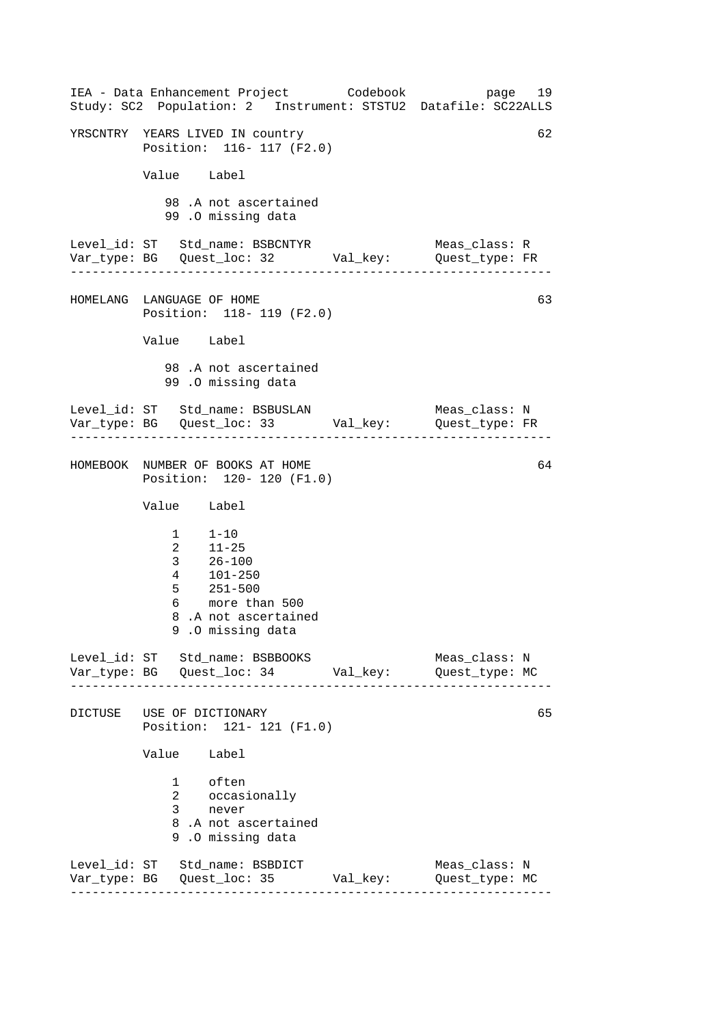------------------------------------------------------------------ ------------------------------------------------------------------ ------------------------------------------------------------------ ------------------------------------------------------------------ IEA - Data Enhancement Project Codebook page 19 Study: SC2 Population: 2 Instrument: STSTU2 Datafile: SC22ALLS YRSCNTRY YEARS LIVED IN country 62 Position: 116- 117 (F2.0) Value Label 98 .A not ascertained 99 .O missing data Level\_id: ST Std\_name: BSBCNTYR Meas\_class: R Var\_type: BG Quest\_loc: 32 Val\_key: Quest\_type: FR HOMELANG LANGUAGE OF HOME 63 Position: 118- 119 (F2.0) Value Label 98 .A not ascertained 99 .O missing data Level\_id: ST Std\_name: BSBUSLAN Meas\_class: N Var\_type: BG Quest\_loc: 33 Val\_key: Quest\_type: FR HOMEBOOK NUMBER OF BOOKS AT HOME 64 Position: 120- 120 (F1.0) Value Label  $1 - 10$ 2 11-25 3 26-100 4 101-250 5 251-500 6 more than 500 8 .A not ascertained 9 .O missing data Level id: ST Std name: BSBBOOKS Meas class: N Var\_type: BG Quest\_loc: 34 Val\_key: Quest\_type: MC DICTUSE USE OF DICTIONARY Position: 121- 121 (F1.0) Value Label 1 often 2 occasionally 3 never 8 .A not ascertained 9 .O missing data Level\_id: ST Std\_name: BSBDICT Meas\_class: N Var\_type: BG Quest\_loc: 35 Val\_key: Quest\_type: MC 65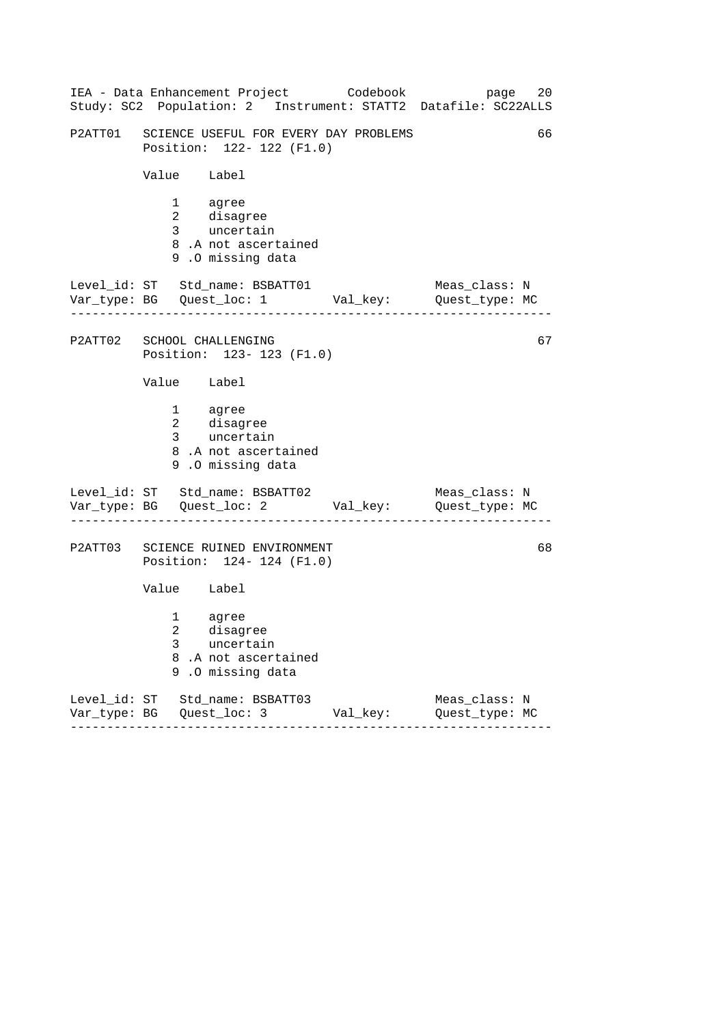|         | IEA - Data Enhancement Project Codebook<br>Study: SC2 Population: 2 Instrument: STATT2 Datafile: SC22ALLS             |                       | 20<br>page                      |
|---------|-----------------------------------------------------------------------------------------------------------------------|-----------------------|---------------------------------|
|         | P2ATT01 SCIENCE USEFUL FOR EVERY DAY PROBLEMS<br>Position: 122- 122 (F1.0)                                            |                       | 66                              |
|         | Value Label                                                                                                           |                       |                                 |
|         | 1 agree<br>2 disagree<br>3 uncertain<br>8.A not ascertained<br>9.0 missing data                                       |                       |                                 |
|         | Level_id: ST Std_name: BSBATT01<br>Var_type: BG    Quest_loc: 1    Val_key:    Quest_type: MC                         |                       | Meas_class: N                   |
|         | P2ATT02 SCHOOL CHALLENGING<br>Position: 123- 123 (F1.0)                                                               |                       | 67                              |
|         | Value Label                                                                                                           |                       |                                 |
|         | 1 agree<br>2 disagree<br>3 uncertain<br>8.A not ascertained<br>9.0 missing data                                       |                       |                                 |
|         | Level_id: ST Std_name: BSBATT02<br>Var_type: BG    Quest_loc: 2    Val_key:    Quest_type: MC                         |                       | Meas_class: N                   |
| P2ATT03 | SCIENCE RUINED ENVIRONMENT<br>Position: 124- 124 (F1.0)                                                               |                       | 68                              |
|         | Value Label                                                                                                           |                       |                                 |
|         | $1 \quad \Box$<br>agree<br>$\mathcal{L}$<br>disagree<br>3<br>uncertain<br>8.A not ascertained<br>.O missing data<br>9 |                       |                                 |
|         | Level_id: ST Std_name: BSBATT03<br>- - - - - - - -<br>-----------                                                     | Val_key:<br>--------- | Meas_class: N<br>Quest_type: MC |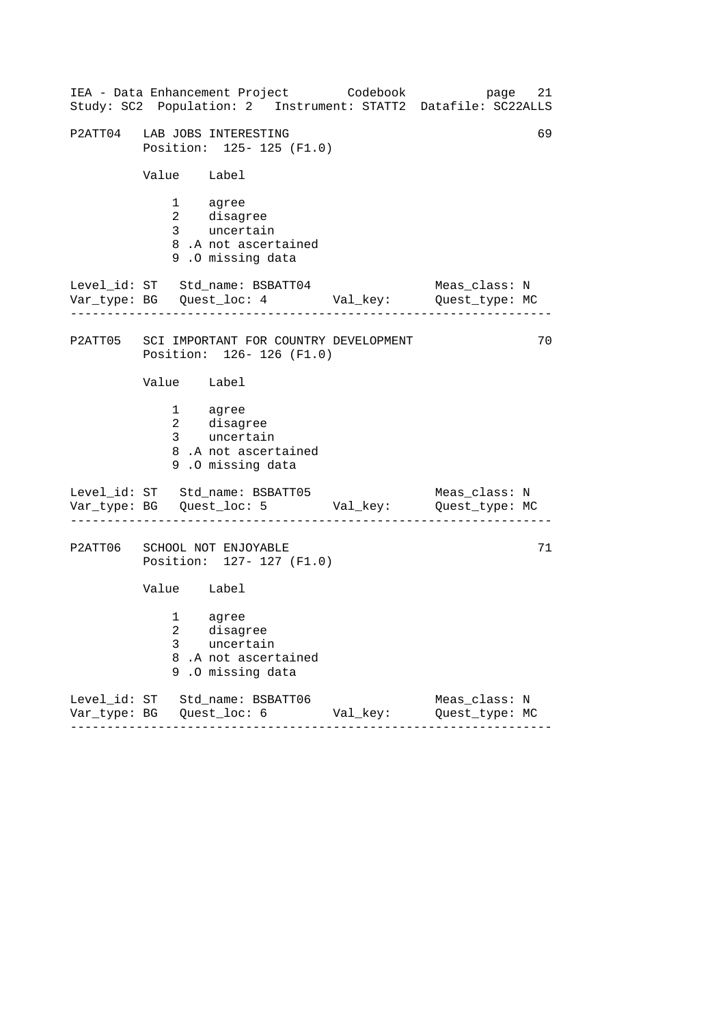|         |                                                                 | IEA - Data Enhancement Project Codebook<br>Study: SC2 Population: 2 Instrument: STATT2 Datafile: SC22ALLS |          | 21<br>page                      |  |
|---------|-----------------------------------------------------------------|-----------------------------------------------------------------------------------------------------------|----------|---------------------------------|--|
|         | 69<br>P2ATT04 LAB JOBS INTERESTING<br>Position: 125- 125 (F1.0) |                                                                                                           |          |                                 |  |
|         | Value Label                                                     |                                                                                                           |          |                                 |  |
|         |                                                                 | 1 agree<br>2 disagree<br>3 uncertain<br>8.A not ascertained<br>9.0 missing data                           |          |                                 |  |
|         |                                                                 | Level_id: ST Std_name: BSBATT04<br>Var_type: BG    Quest_loc: 4    Val_key:    Quest_type: MC             |          | Meas_class: N                   |  |
|         |                                                                 | P2ATT05 SCI IMPORTANT FOR COUNTRY DEVELOPMENT<br>Position: 126-126 (F1.0)                                 |          | 70                              |  |
|         | Value Label                                                     |                                                                                                           |          |                                 |  |
|         |                                                                 | 1 agree<br>2 disagree<br>3 uncertain<br>8.A not ascertained<br>9.0 missing data                           |          |                                 |  |
|         |                                                                 | Level_id: ST Std_name: BSBATT05<br>Var_type: BG    Quest_loc: 5    Val_key:    Quest_type: MC             |          | Meas_class: N                   |  |
| P2ATT06 |                                                                 | SCHOOL NOT ENJOYABLE<br>Position: 127- 127 (F1.0)                                                         |          | 71                              |  |
|         | Value Label                                                     |                                                                                                           |          |                                 |  |
|         | $3 \sim$                                                        | 1 agree<br>2 disagree<br>uncertain<br>8.A not ascertained<br>9.0 missing data                             |          |                                 |  |
|         |                                                                 | Level_id: ST Std_name: BSBATT06                                                                           | Val_key: | Meas_class: N<br>Quest_type: MC |  |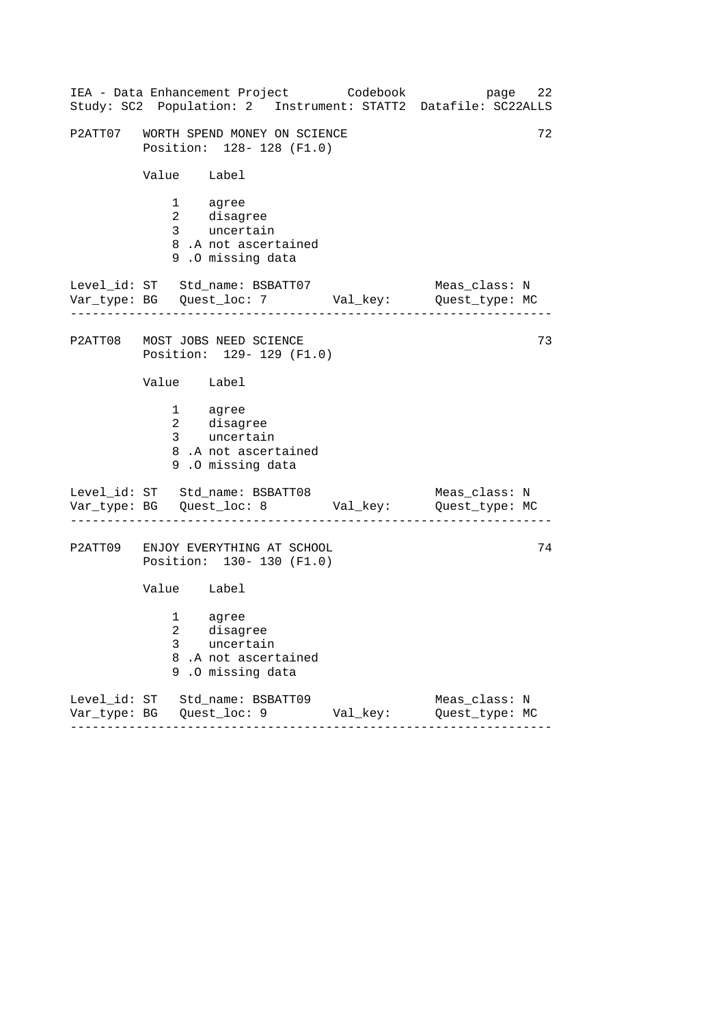|   | IEA - Data Enhancement Project Codebook<br>Study: SC2 Population: 2 Instrument: STATT2 Datafile: SC22ALLS |                     |          |                                 | 22<br>page |
|---|-----------------------------------------------------------------------------------------------------------|---------------------|----------|---------------------------------|------------|
|   | P2ATT07 WORTH SPEND MONEY ON SCIENCE<br>Position: 128-128 (F1.0)                                          |                     |          |                                 | 72         |
|   | Value Label                                                                                               |                     |          |                                 |            |
|   | 1 agree<br>2 disagree<br>3 uncertain<br>8.A not ascertained<br>9.0 missing data                           |                     |          |                                 |            |
|   | Level_id: ST Std_name: BSBATT07<br>Var_type: BG    Quest_loc: 7    Val_key:    Quest_type: MC             |                     |          | Meas_class: N                   |            |
|   | P2ATT08 MOST JOBS NEED SCIENCE<br>Position: 129- 129 (F1.0)                                               |                     |          |                                 | 73         |
|   | Value Label                                                                                               |                     |          |                                 |            |
|   | 1 agree<br>2 disagree<br>3 uncertain<br>8.A not ascertained<br>9.0 missing data                           |                     |          |                                 |            |
|   | Level_id: ST Std_name: BSBATT08<br>Var_type: BG    Quest_loc: 8    Val_key:    Quest_type: MC             |                     |          | Meas_class: N                   |            |
|   | P2ATT09 ENJOY EVERYTHING AT SCHOOL<br>Position: 130- 130 (F1.0)                                           |                     |          |                                 | 74         |
|   | Value Label                                                                                               |                     |          |                                 |            |
| 3 | 1 agree<br>2 disagree<br>uncertain<br>8.A not ascertained<br>9.0 missing data                             |                     |          |                                 |            |
|   | Level_id: ST Std_name: BSBATT09                                                                           | $- - - - - - - - -$ | Val_key: | Meas_class: N<br>Quest_type: MC |            |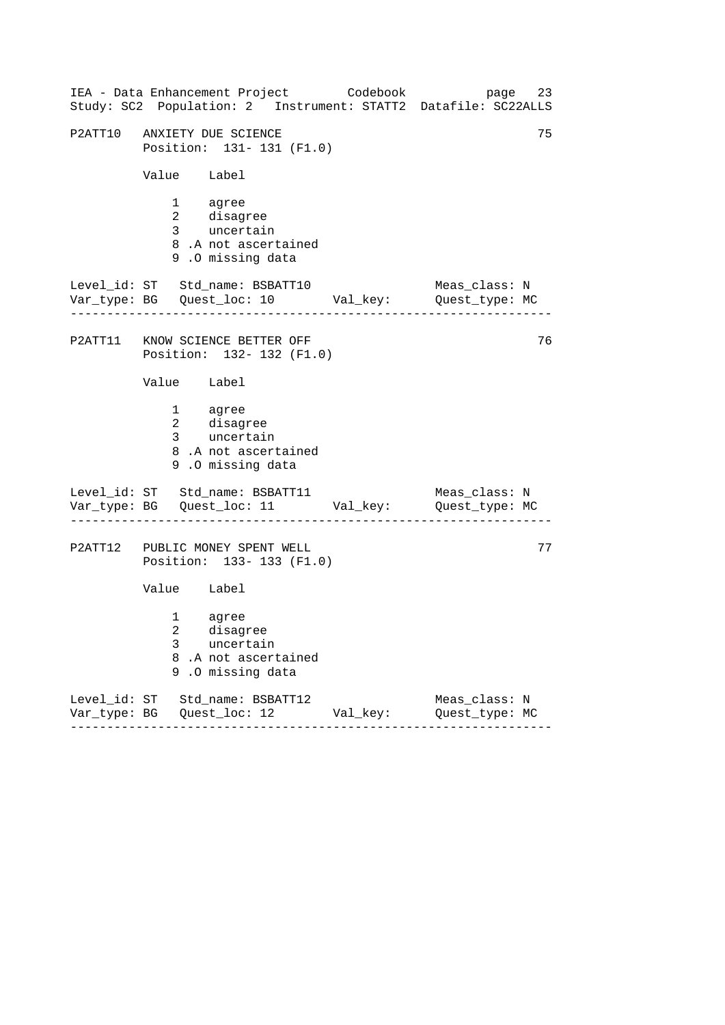|                                           | IEA - Data Enhancement Project Codebook                                                        |                               | 23<br>page<br>Study: SC2 Population: 2 Instrument: STATT2 Datafile: SC22ALLS |
|-------------------------------------------|------------------------------------------------------------------------------------------------|-------------------------------|------------------------------------------------------------------------------|
| P2ATT10 ANXIETY DUE SCIENCE               | Position: 131- 131 (F1.0)                                                                      |                               | 75                                                                           |
| Value Label                               |                                                                                                |                               |                                                                              |
| 1 agree                                   | 2 disagree<br>3 uncertain<br>8.A not ascertained<br>9.0 missing data                           |                               |                                                                              |
|                                           | Level_id: ST Std_name: BSBATT10<br>Var_type: BG    Quest_loc: 10    Val_key:    Quest_type: MC |                               | Meas_class: N                                                                |
|                                           | P2ATT11 KNOW SCIENCE BETTER OFF<br>Position: 132- 132 (F1.0)                                   |                               | 76                                                                           |
| Value Label                               |                                                                                                |                               |                                                                              |
| 1 agree                                   | 2 disagree<br>3 uncertain<br>8.A not ascertained<br>9.0 missing data                           |                               |                                                                              |
|                                           | Level_id: ST Std_name: BSBATT11<br>Var_type: BG    Quest_loc: 11    Val_key:    Quest_type: MC |                               | Meas_class: N                                                                |
|                                           | P2ATT12 PUBLIC MONEY SPENT WELL<br>Position: 133- 133 (F1.0)                                   |                               | 77                                                                           |
| Value Label                               |                                                                                                |                               |                                                                              |
| $1 \quad \Box$<br>$\mathcal{L}$<br>3<br>9 | agree<br>disagree<br>uncertain<br>8.A not ascertained<br>.O missing data                       |                               |                                                                              |
| --------                                  | Level_id: ST Std_name: BSBATT12<br>-----------                                                 | Val_key:<br>. _ _ _ _ _ _ _ _ | Meas_class: N<br>Quest_type: MC                                              |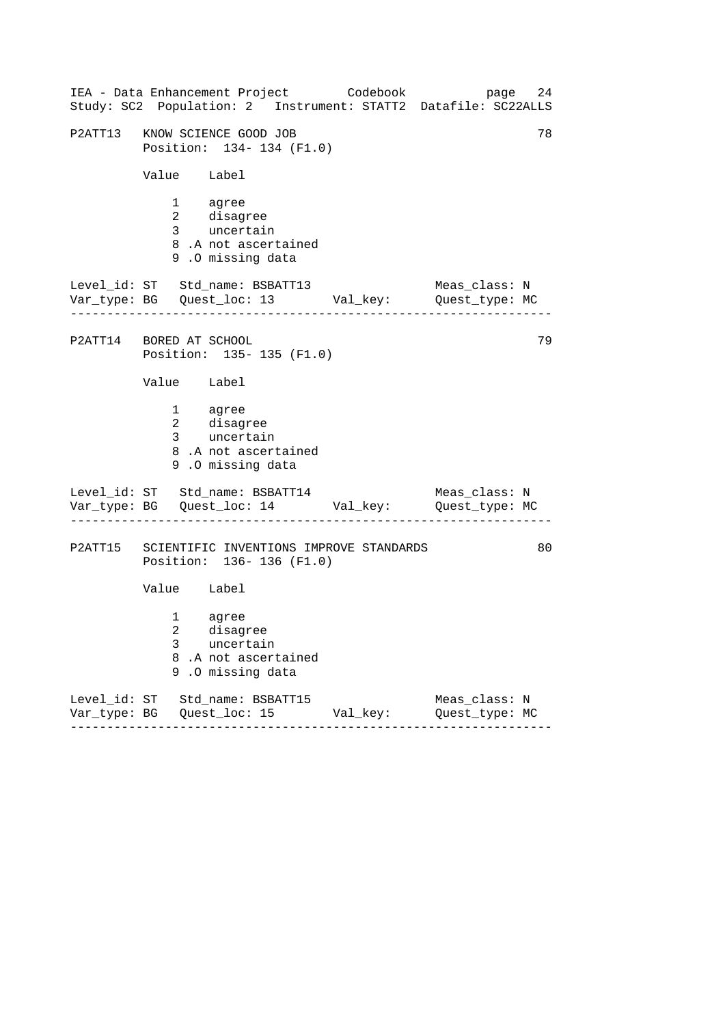|                         |             |                                                                                            | IEA - Data Enhancement Project Codebook | page<br>Study: SC2 Population: 2 Instrument: STATT2 Datafile: SC22ALLS       | 24 |
|-------------------------|-------------|--------------------------------------------------------------------------------------------|-----------------------------------------|------------------------------------------------------------------------------|----|
|                         |             | P2ATT13 KNOW SCIENCE GOOD JOB<br>Position: 134- 134 (F1.0)                                 |                                         |                                                                              | 78 |
|                         |             | Value Label                                                                                |                                         |                                                                              |    |
|                         |             | 1 agree<br>1 ugice<br>2 disagree<br>3 uncertain<br>8.A not ascertained<br>9.0 missing data |                                         |                                                                              |    |
|                         |             | Level_id: ST Std_name: BSBATT13                                                            |                                         | Meas_class: N<br>Var_type: BG    Quest_loc: 13    Val_key:    Quest_type: MC |    |
| P2ATT14 BORED AT SCHOOL |             | Position: 135-135 (F1.0)                                                                   |                                         |                                                                              | 79 |
|                         | Value Label |                                                                                            |                                         |                                                                              |    |
|                         |             | 1 agree<br>2 disagree<br>3 uncertain<br>8.A not ascertained<br>9.0 missing data            |                                         |                                                                              |    |
|                         |             | Level_id: ST Std_name: BSBATT14                                                            |                                         | Meas_class: N<br>Var_type: BG    Quest_loc: 14    Val_key:    Quest_type: MC |    |
| P2ATT15                 |             | Position: 136-136 (F1.0)                                                                   | SCIENTIFIC INVENTIONS IMPROVE STANDARDS |                                                                              | 80 |
|                         | Value Label |                                                                                            |                                         |                                                                              |    |
|                         | $3 \sim$    | 1 agree<br>2 disagree<br>uncertain<br>8.A not ascertained<br>9.0 missing data              |                                         |                                                                              |    |
|                         |             | Level_id: ST Std_name: BSBATT15                                                            | Val_key:                                | Meas_class: N<br>Quest_type: MC                                              |    |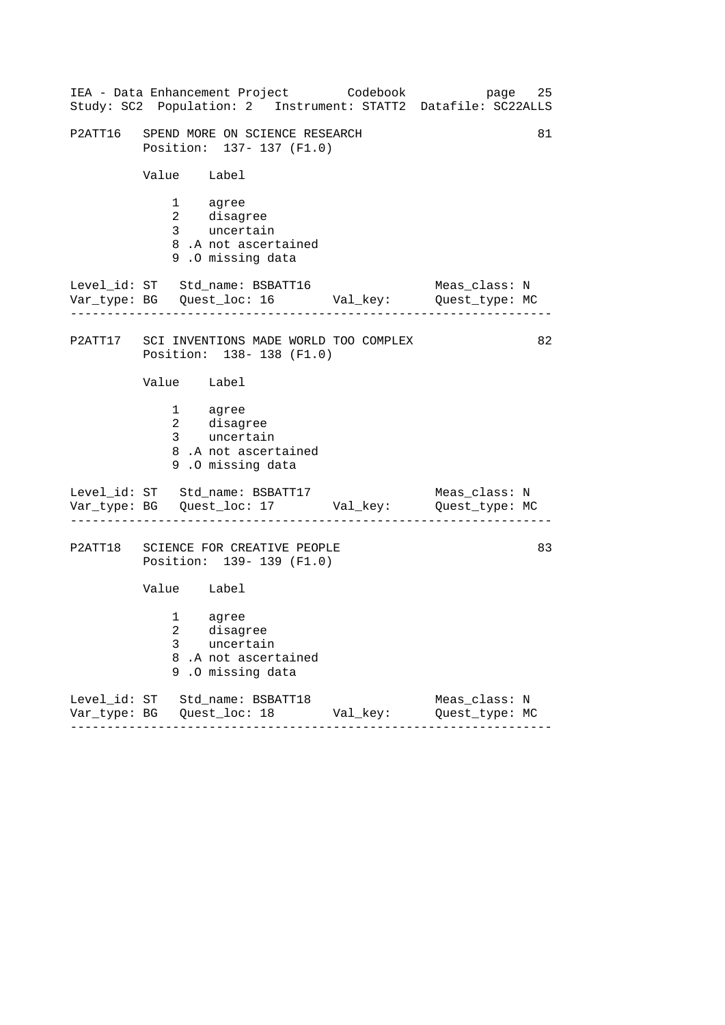|         |                                                    | IEA - Data Enhancement Project Codebook                                   |                               | 25<br>page<br>Study: SC2 Population: 2 Instrument: STATT2 Datafile: SC22ALLS |
|---------|----------------------------------------------------|---------------------------------------------------------------------------|-------------------------------|------------------------------------------------------------------------------|
|         |                                                    | P2ATT16 SPEND MORE ON SCIENCE RESEARCH<br>Position: 137- 137 (F1.0)       |                               | 81                                                                           |
|         | Value Label                                        |                                                                           |                               |                                                                              |
|         | 1 agree<br>2 disagree<br>3 uncertain               | 8.A not ascertained<br>9.0 missing data                                   |                               |                                                                              |
|         |                                                    | Level_id: ST Std_name: BSBATT16                                           |                               | Meas_class: N<br>Var_type: BG    Quest_loc: 16    Val_key:    Quest_type: MC |
|         |                                                    | P2ATT17 SCI INVENTIONS MADE WORLD TOO COMPLEX<br>Position: 138-138 (F1.0) |                               | 82                                                                           |
|         | Value Label                                        |                                                                           |                               |                                                                              |
|         | 1 agree<br>2 disagree<br>3 uncertain               | 8.A not ascertained<br>9.0 missing data                                   |                               |                                                                              |
|         |                                                    | Level_id: ST Std_name: BSBATT17                                           |                               | Meas_class: N<br>Var_type: BG    Quest_loc: 17    Val_key:    Quest_type: MC |
| P2ATT18 |                                                    | SCIENCE FOR CREATIVE PEOPLE<br>Position: 139- 139 (F1.0)                  |                               | 83                                                                           |
|         | Value Label                                        |                                                                           |                               |                                                                              |
|         | $1 \quad \Box$<br>agree<br>$\mathcal{L}$<br>3<br>9 | disagree<br>uncertain<br>8.A not ascertained<br>.0 missing data           |                               |                                                                              |
|         | Level_id: ST Std_name: BSBATT18<br>- - - - - - - - | -----------                                                               | Val_key:<br>. _ _ _ _ _ _ _ _ | Meas_class: N<br>Quest_type: MC                                              |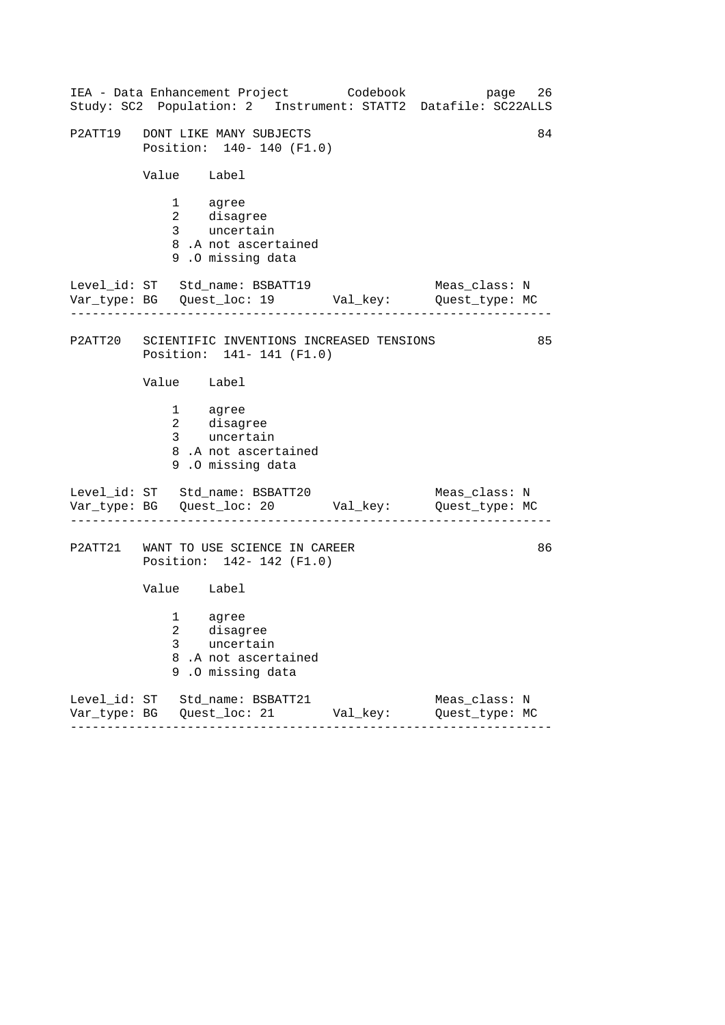| IEA - Data Enhancement Project Codebook<br>Study: SC2 Population: 2 Instrument: STATT2 Datafile: SC22ALLS |          | 26<br>page                      |
|-----------------------------------------------------------------------------------------------------------|----------|---------------------------------|
| P2ATT19 DONT LIKE MANY SUBJECTS<br>Position: 140- 140 (F1.0)                                              |          | 84                              |
| Value Label                                                                                               |          |                                 |
| 1 agree<br>2 disagree<br>3 uncertain<br>8.A not ascertained<br>9.0 missing data                           |          |                                 |
| Level_id: ST Std_name: BSBATT19<br>Var_type: BG    Quest_loc: 19    Val_key:    Quest_type: MC            |          | Meas_class: N                   |
| P2ATT20 SCIENTIFIC INVENTIONS INCREASED TENSIONS<br>Position: 141- 141 (F1.0)                             |          | 85                              |
| Value Label                                                                                               |          |                                 |
| 1 agree<br>2 disagree<br>3 uncertain<br>8.A not ascertained<br>9.0 missing data                           |          |                                 |
| Level_id: ST Std_name: BSBATT20<br>Var_type: BG    Quest_loc: 20    Val_key:    Quest_type: MC            |          | Meas_class: N                   |
| P2ATT21 WANT TO USE SCIENCE IN CAREER<br>Position: 142- 142 (F1.0)                                        |          | 86                              |
| Value Label                                                                                               |          |                                 |
| 1 agree<br>2 disagree<br>3<br>uncertain<br>8.A not ascertained<br>9.0 missing data                        |          |                                 |
| Level_id: ST Std_name: BSBATT21<br>---------                                                              | Val_key: | Meas_class: N<br>Quest_type: MC |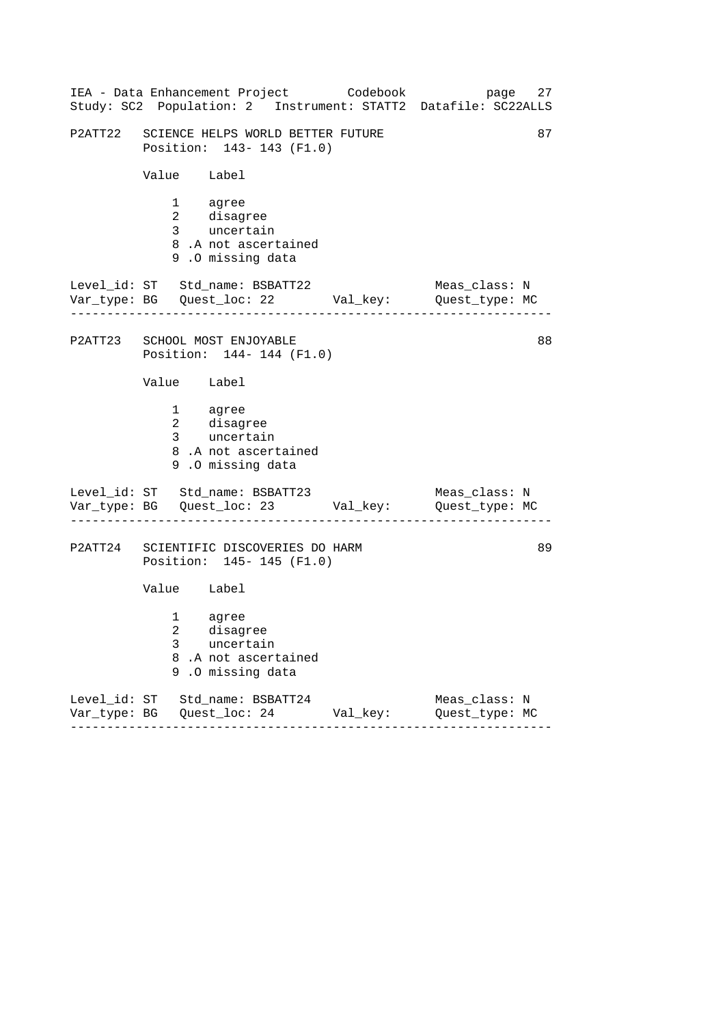| IEA - Data Enhancement Project Codebook<br>Study: SC2 Population: 2 Instrument: STATT2 Datafile: SC22ALLS                  |          | page 27                         |
|----------------------------------------------------------------------------------------------------------------------------|----------|---------------------------------|
| P2ATT22 SCIENCE HELPS WORLD BETTER FUTURE<br>Position: 143- 143 (F1.0)                                                     |          | 87                              |
| Value Label                                                                                                                |          |                                 |
| 1 agree<br>2 disagree<br>3 uncertain<br>8.A not ascertained<br>9.0 missing data                                            |          |                                 |
| Level_id: ST Std_name: BSBATT22<br>Var_type: BG    Quest_loc: 22    Val_key:    Quest_type: MC                             |          | Meas_class: N                   |
| P2ATT23 SCHOOL MOST ENJOYABLE<br>Position: 144- 144 (F1.0)                                                                 |          | 88                              |
| Value Label                                                                                                                |          |                                 |
| 1 agree<br>2 disagree<br>3 uncertain<br>8.A not ascertained<br>9.0 missing data                                            |          |                                 |
| Level_id: ST Std_name: BSBATT23<br>Var_type: BG    Quest_loc: 23    Val_key:    Quest_type: MC                             |          | Meas_class: N                   |
| P2ATT24 SCIENTIFIC DISCOVERIES DO HARM<br>Position: 145- 145 (F1.0)                                                        |          | 89                              |
| Value Label                                                                                                                |          |                                 |
| $1 \quad \blacksquare$<br>agree<br>$\overline{a}$<br>disagree<br>uncertain<br>3<br>8.A not ascertained<br>9.0 missing data |          |                                 |
| Level_id: ST Std_name: BSBATT24                                                                                            | Val_key: | Meas_class: N<br>Quest_type: MC |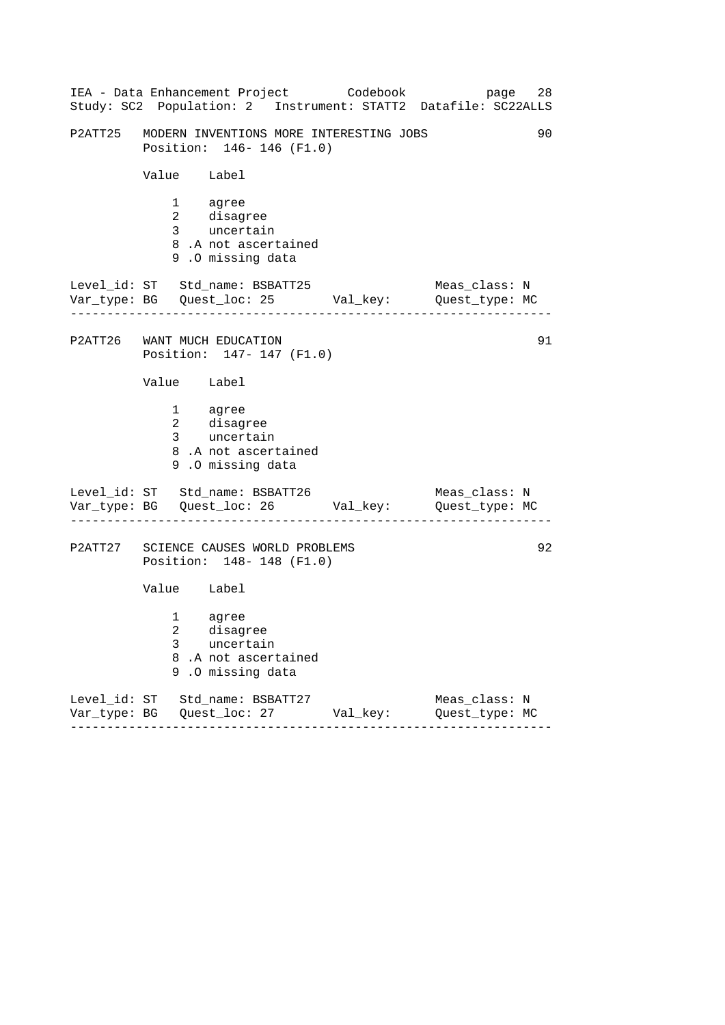| IEA - Data Enhancement Project Codebook<br>Study: SC2 Population: 2 Instrument: STATT2 Datafile: SC22ALLS                  |          | page 28                         |
|----------------------------------------------------------------------------------------------------------------------------|----------|---------------------------------|
| P2ATT25 MODERN INVENTIONS MORE INTERESTING JOBS<br>Position: 146-146 (F1.0)                                                |          | 90                              |
| Value Label                                                                                                                |          |                                 |
| 1 agree<br>2 disagree<br>3 uncertain<br>8.A not ascertained<br>9.0 missing data                                            |          |                                 |
| Level_id: ST Std_name: BSBATT25<br>Var_type: BG    Quest_loc: 25    Val_key:    Quest_type: MC                             |          | Meas_class: N                   |
| P2ATT26 WANT MUCH EDUCATION<br>Position: 147- 147 (F1.0)                                                                   |          | 91                              |
| Value Label                                                                                                                |          |                                 |
| 1 agree<br>2 disagree<br>3 uncertain<br>8.A not ascertained<br>9.0 missing data                                            |          |                                 |
| Level_id: ST Std_name: BSBATT26<br>Var_type: BG Quest_loc: 26 Val_key: Quest_type: MC                                      |          | Meas_class: N                   |
| P2ATT27 SCIENCE CAUSES WORLD PROBLEMS<br>Position: 148-148 (F1.0)                                                          |          | 92                              |
| Value Label                                                                                                                |          |                                 |
| $1 \quad \blacksquare$<br>agree<br>$\overline{a}$<br>disagree<br>3<br>uncertain<br>8.A not ascertained<br>9.0 missing data |          |                                 |
| Level_id: ST Std_name: BSBATT27<br>- - - - - - - - -                                                                       | Val_key: | Meas_class: N<br>Quest_type: MC |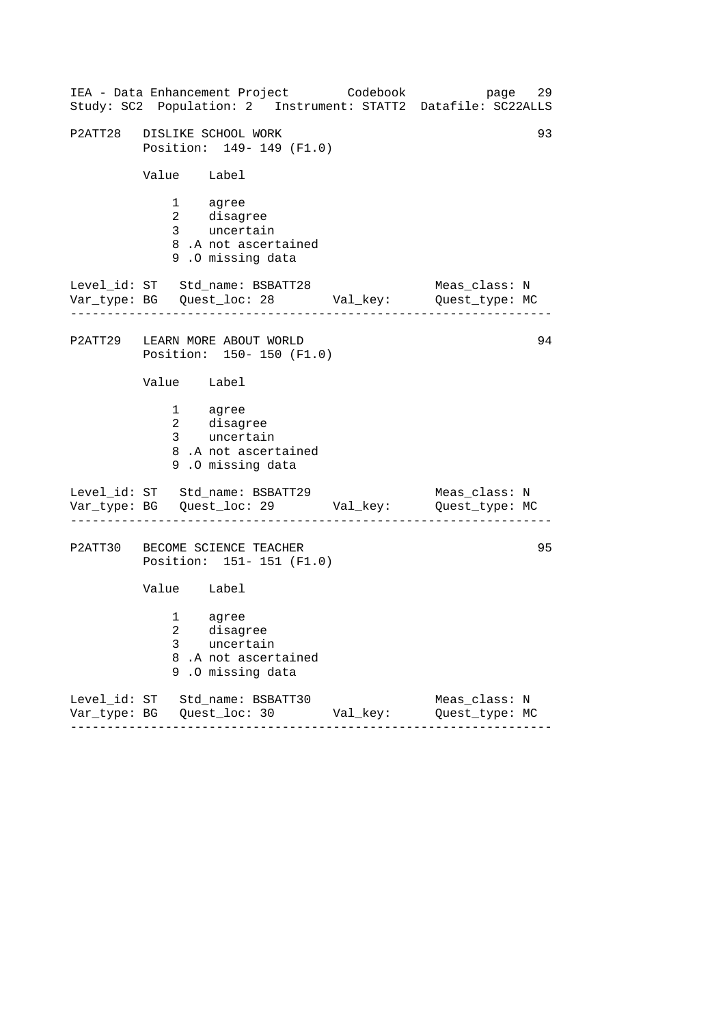| IEA - Data Enhancement Project Codebook<br>Study: SC2 Population: 2 Instrument: STATT2 Datafile: SC22ALLS |          | 29<br>page                      |
|-----------------------------------------------------------------------------------------------------------|----------|---------------------------------|
| P2ATT28 DISLIKE SCHOOL WORK<br>Position: 149- 149 (F1.0)                                                  |          | 93                              |
| Value Label                                                                                               |          |                                 |
| 1 agree<br>2 disagree<br>3 uncertain<br>8.A not ascertained<br>9.0 missing data                           |          |                                 |
| Level_id: ST Std_name: BSBATT28<br>Var_type: BG    Quest_loc: 28    Val_key:    Quest_type: MC            |          | Meas_class: N                   |
| P2ATT29 LEARN MORE ABOUT WORLD<br>Position: 150- 150 (F1.0)                                               |          | 94                              |
| Value Label                                                                                               |          |                                 |
| 1 agree<br>2 disagree<br>3 uncertain<br>8.A not ascertained<br>9.0 missing data                           |          |                                 |
| Level_id: ST Std_name: BSBATT29<br>Var_type: BG    Quest_loc: 29    Val_key:    Quest_type: MC            |          | Meas_class: N                   |
| P2ATT30 BECOME SCIENCE TEACHER<br>Position: 151- 151 (F1.0)                                               |          | 95                              |
| Value Label                                                                                               |          |                                 |
| agree<br>1<br>2 disagree<br>3<br>uncertain<br>8<br>.A not ascertained<br>.0 missing data<br>9             |          |                                 |
| Level_id: ST Std_name: BSBATT30<br>.                                                                      | Val_key: | Meas_class: N<br>Quest_type: MC |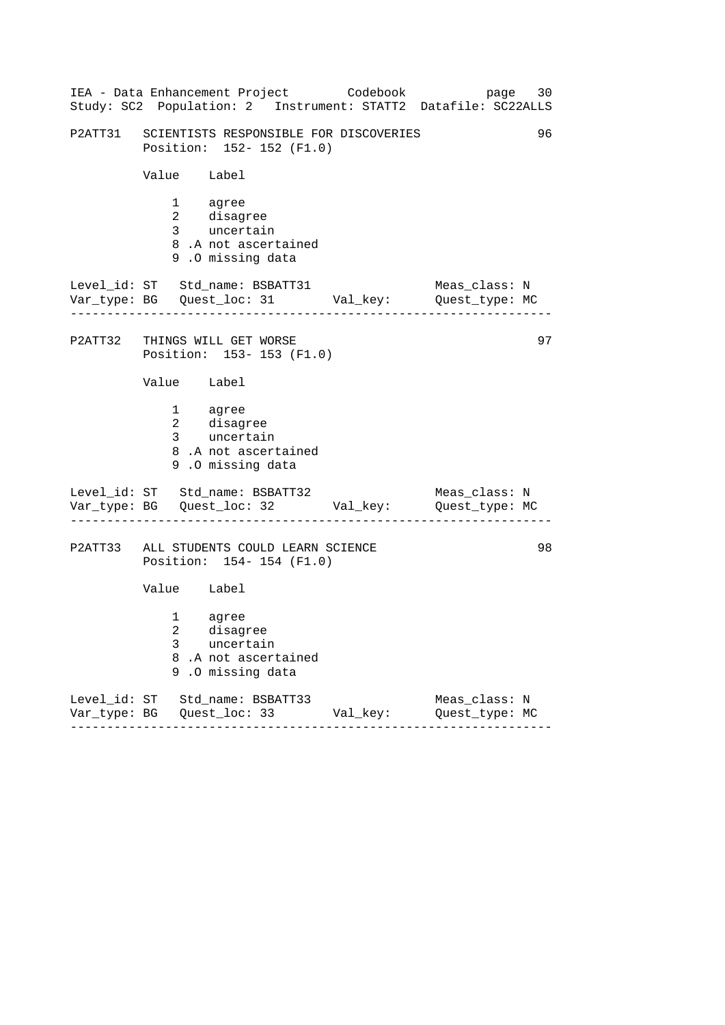|             |                                        | IEA - Data Enhancement Project Codebook                                     |          | page 30<br>Study: SC2 Population: 2 Instrument: STATT2 Datafile: SC22ALLS                           |
|-------------|----------------------------------------|-----------------------------------------------------------------------------|----------|-----------------------------------------------------------------------------------------------------|
|             |                                        | P2ATT31 SCIENTISTS RESPONSIBLE FOR DISCOVERIES<br>Position: 152- 152 (F1.0) |          | 96                                                                                                  |
| Value Label |                                        |                                                                             |          |                                                                                                     |
|             | 1 agree                                | 2 disagree<br>3 uncertain<br>8.A not ascertained<br>9.0 missing data        |          |                                                                                                     |
|             |                                        | Level_id: ST Std_name: BSBATT31                                             |          | Meas_class: N<br>Var_type: BG    Quest_loc: 31    Val_key:    Quest_type: MC                        |
|             |                                        | P2ATT32 THINGS WILL GET WORSE<br>Position: 153-153 (F1.0)                   |          | 97                                                                                                  |
| Value Label |                                        |                                                                             |          |                                                                                                     |
|             | 1 agree                                | 2 disagree<br>3 uncertain<br>8.A not ascertained<br>9.0 missing data        |          |                                                                                                     |
|             |                                        |                                                                             |          | Level_id: ST Std_name: BSBATT32 Meas_class: N<br>Var_type: BG Quest_loc: 32 Val_key: Quest_type: MC |
|             |                                        | P2ATT33 ALL STUDENTS COULD LEARN SCIENCE<br>Position: 154-154 (F1.0)        |          | 98                                                                                                  |
| Value Label |                                        |                                                                             |          |                                                                                                     |
| 3           | $1 \quad \blacksquare$<br>$\mathbf{2}$ | agree<br>disagree<br>uncertain<br>8.A not ascertained<br>9.0 missing data   |          |                                                                                                     |
|             |                                        | Level_id: ST Std_name: BSBATT33<br>. <u>.</u>                               | Val_key: | Meas_class: N<br>Quest_type: MC                                                                     |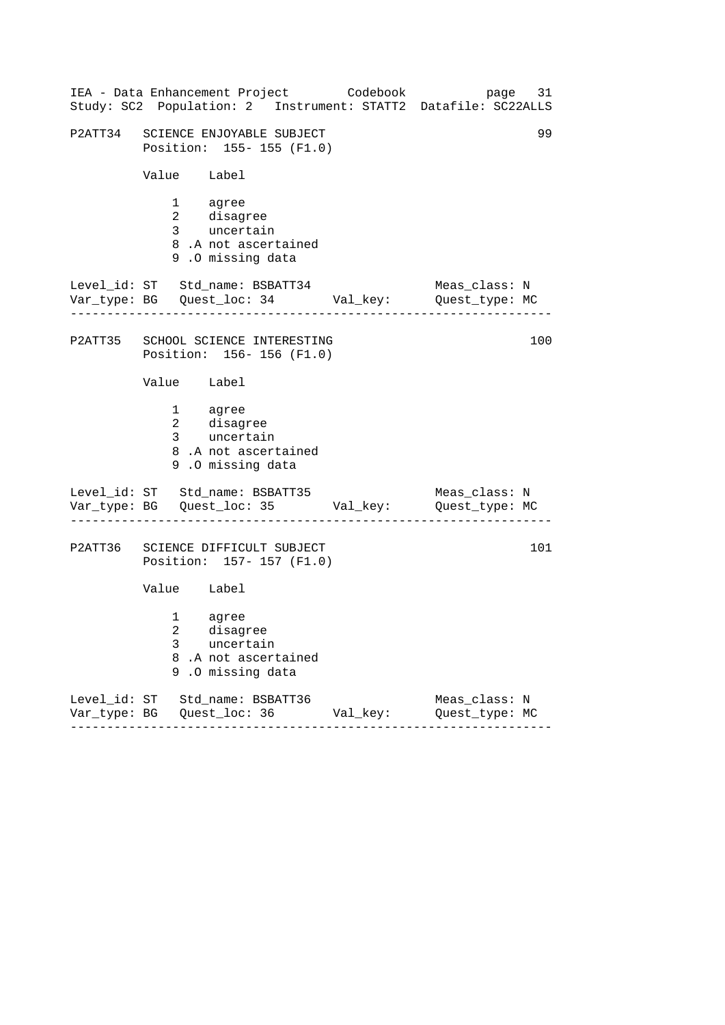|         | IEA - Data Enhancement Project Codebook<br>Study: SC2 Population: 2 Instrument: STATT2 Datafile: SC22ALLS             |               | page 31                         |
|---------|-----------------------------------------------------------------------------------------------------------------------|---------------|---------------------------------|
|         | P2ATT34 SCIENCE ENJOYABLE SUBJECT<br>Position: 155-155 (F1.0)                                                         |               | 99                              |
|         | Value Label                                                                                                           |               |                                 |
|         | 1 agree<br>2 disagree<br>3 uncertain<br>8.A not ascertained<br>9.0 missing data                                       |               |                                 |
|         | Level_id: ST Std_name: BSBATT34<br>Var_type: BG    Quest_loc: 34    Val_key:    Quest_type: MC                        |               | Meas_class: N                   |
|         | P2ATT35 SCHOOL SCIENCE INTERESTING<br>Position: 156-156 (F1.0)                                                        |               | 100                             |
|         | Value Label                                                                                                           |               |                                 |
|         | 1 agree<br>2 disagree<br>3 uncertain<br>8.A not ascertained<br>9.0 missing data                                       |               |                                 |
|         | Level_id: ST Std_name: BSBATT35<br>Var_type: BG    Quest_loc: 35    Val_key:    Quest_type: MC                        |               | Meas_class: N                   |
| P2ATT36 | SCIENCE DIFFICULT SUBJECT<br>Position: 157- 157 (F1.0)                                                                |               | 101                             |
|         | Value Label                                                                                                           |               |                                 |
|         | $1 \quad \Box$<br>agree<br>$\mathcal{L}$<br>disagree<br>3<br>uncertain<br>8.A not ascertained<br>.O missing data<br>9 |               |                                 |
|         | Level_id: ST Std_name: BSBATT36<br>------<br>- - - - - - - - - -                                                      | Val_key:<br>. | Meas_class: N<br>Quest_type: MC |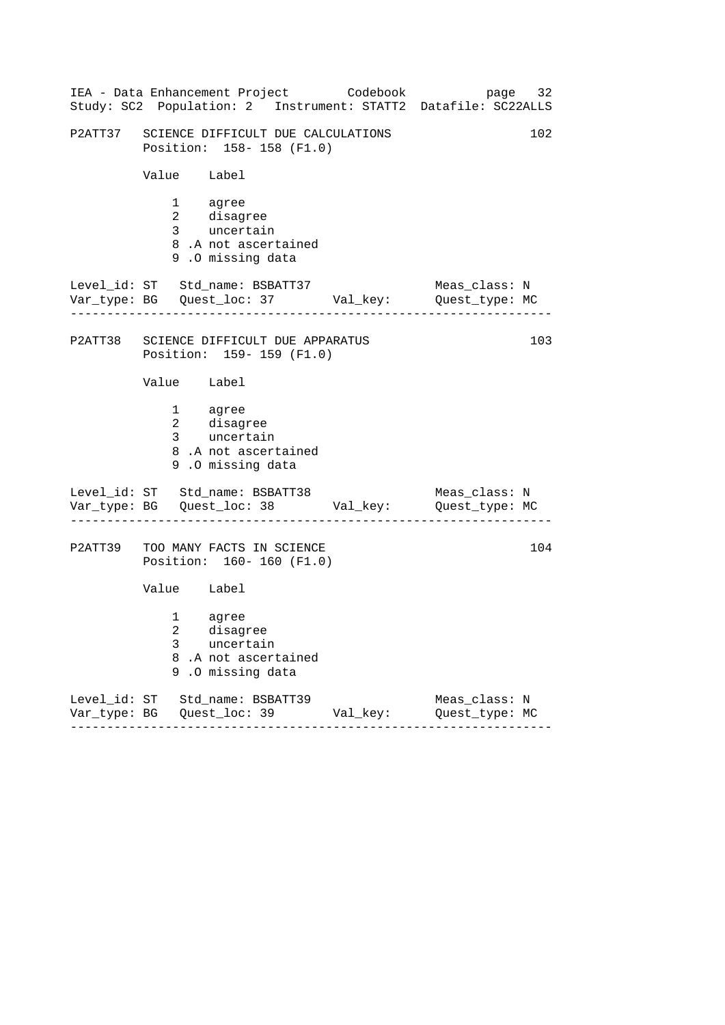|                                            | IEA - Data Enhancement Project Codebook                                  |          | page 32<br>Study: SC2 Population: 2 Instrument: STATT2 Datafile: SC22ALLS    |
|--------------------------------------------|--------------------------------------------------------------------------|----------|------------------------------------------------------------------------------|
|                                            | P2ATT37 SCIENCE DIFFICULT DUE CALCULATIONS<br>Position: 158-158 (F1.0)   |          | 102                                                                          |
| Value Label                                |                                                                          |          |                                                                              |
| 1 agree                                    | 2 disagree<br>3 uncertain<br>8.A not ascertained<br>9.0 missing data     |          |                                                                              |
|                                            | Level_id: ST Std_name: BSBATT37                                          |          | Meas_class: N<br>Var_type: BG    Quest_loc: 37    Val_key:    Quest_type: MC |
|                                            | P2ATT38 SCIENCE DIFFICULT DUE APPARATUS<br>Position: 159-159 (F1.0)      |          | 103                                                                          |
| Value Label                                |                                                                          |          |                                                                              |
| 1 agree                                    | 2 disagree<br>3 uncertain<br>8.A not ascertained<br>9.0 missing data     |          |                                                                              |
|                                            | Level_id: ST Std_name: BSBATT38                                          |          | Meas_class: N                                                                |
|                                            | P2ATT39 TOO MANY FACTS IN SCIENCE<br>Position: 160- 160 (F1.0)           |          | 104                                                                          |
| Value Label                                |                                                                          |          |                                                                              |
| $1 \quad \Box$<br>$\overline{2}$<br>3<br>9 | agree<br>disagree<br>uncertain<br>8.A not ascertained<br>.O missing data |          |                                                                              |
|                                            | Level_id: ST Std_name: BSBATT39                                          | Val_key: | Meas_class: N<br>Quest_type: MC                                              |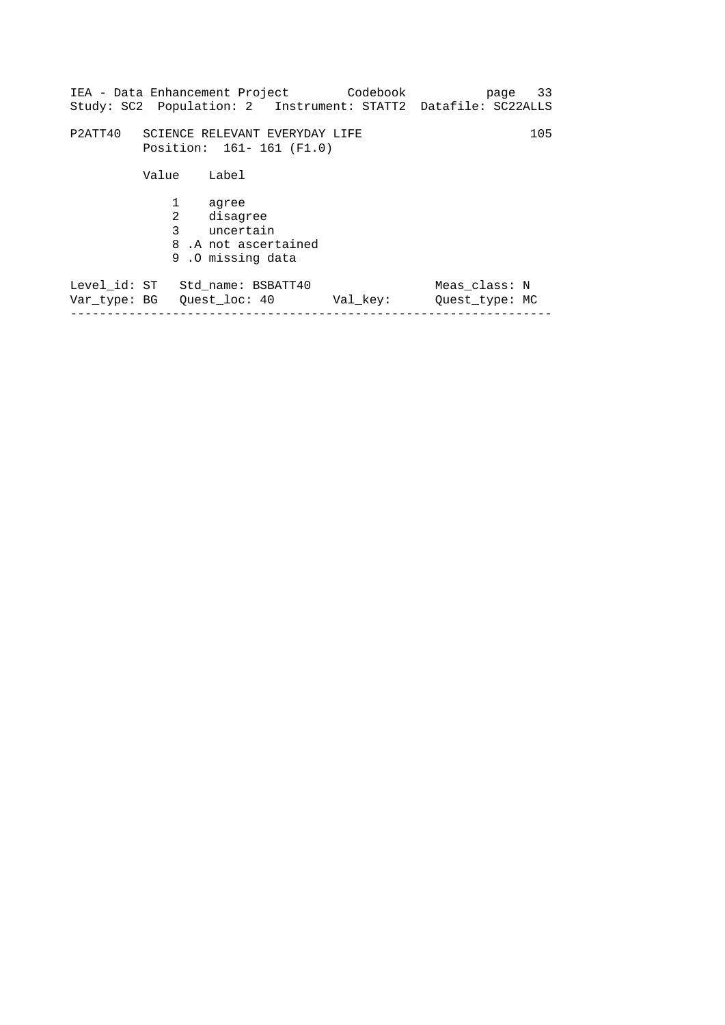|                                                               |        |                                                                             | IEA - Data Enhancement Project Codebook<br>Study: SC2 Population: 2 Instrument: STATT2 Datafile: SC22ALLS |                                 | page 33 |
|---------------------------------------------------------------|--------|-----------------------------------------------------------------------------|-----------------------------------------------------------------------------------------------------------|---------------------------------|---------|
| P2ATT40                                                       |        | SCIENCE RELEVANT EVERYDAY LIFE<br>Position: 161- 161 (F1.0)                 |                                                                                                           |                                 | 105     |
|                                                               | Value  | Label                                                                       |                                                                                                           |                                 |         |
|                                                               | 1<br>2 | aqree<br>disaqree<br>3 uncertain<br>8.A not ascertained<br>9.0 missing data |                                                                                                           |                                 |         |
| Level id: ST Std name: BSBATT40<br>Var type: BG Ouest loc: 40 |        |                                                                             | Val key:                                                                                                  | Meas class: N<br>Ouest type: MC |         |

------------------------------------------------------------------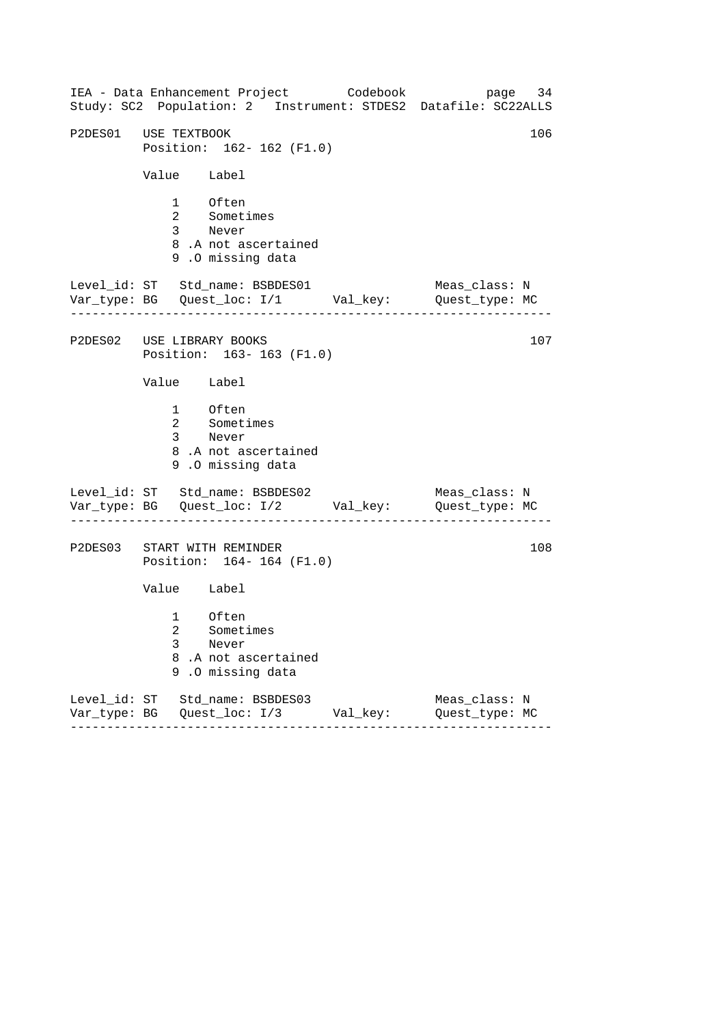|                             | IEA - Data Enhancement Project Codebook<br>Study: SC2 Population: 2 Instrument: STDES2 Datafile: SC22ALLS |          | page 34                         |     |  |
|-----------------------------|-----------------------------------------------------------------------------------------------------------|----------|---------------------------------|-----|--|
|                             | P2DES01 USE TEXTBOOK<br>106<br>Position: 162- 162 (F1.0)                                                  |          |                                 |     |  |
| Value Label                 |                                                                                                           |          |                                 |     |  |
| 1 Often                     | 2 Sometimes<br>3 Never<br>8.A not ascertained<br>9.0 missing data                                         |          |                                 |     |  |
|                             | Level_id: ST Std_name: BSBDES01<br>Var_type: BG    Quest_loc: I/1    Val_key:    Quest_type: MC           |          | Meas_class: N                   |     |  |
| P2DES02 USE LIBRARY BOOKS   | Position: 163-163 (F1.0)                                                                                  |          |                                 | 107 |  |
| Value Label                 |                                                                                                           |          |                                 |     |  |
| 1 Often<br>3 Never          | 2 Sometimes<br>8.A not ascertained<br>9.0 missing data                                                    |          |                                 |     |  |
|                             | Level_id: ST Std_name: BSBDES02<br>Var_type: BG    Quest_loc: I/2    Val_key:    Quest_type: MC           |          | Meas_class: N                   |     |  |
| P2DES03 START WITH REMINDER | Position: 164-164 (F1.0)                                                                                  |          |                                 | 108 |  |
| Value Label                 |                                                                                                           |          |                                 |     |  |
| $1 \quad \Box$<br>3         | Often<br>2 Sometimes<br>Never<br>8.A not ascertained<br>9.0 missing data                                  |          |                                 |     |  |
|                             | Level_id: ST Std_name: BSBDES03<br>--------                                                               | Val_key: | Meas_class: N<br>Quest_type: MC |     |  |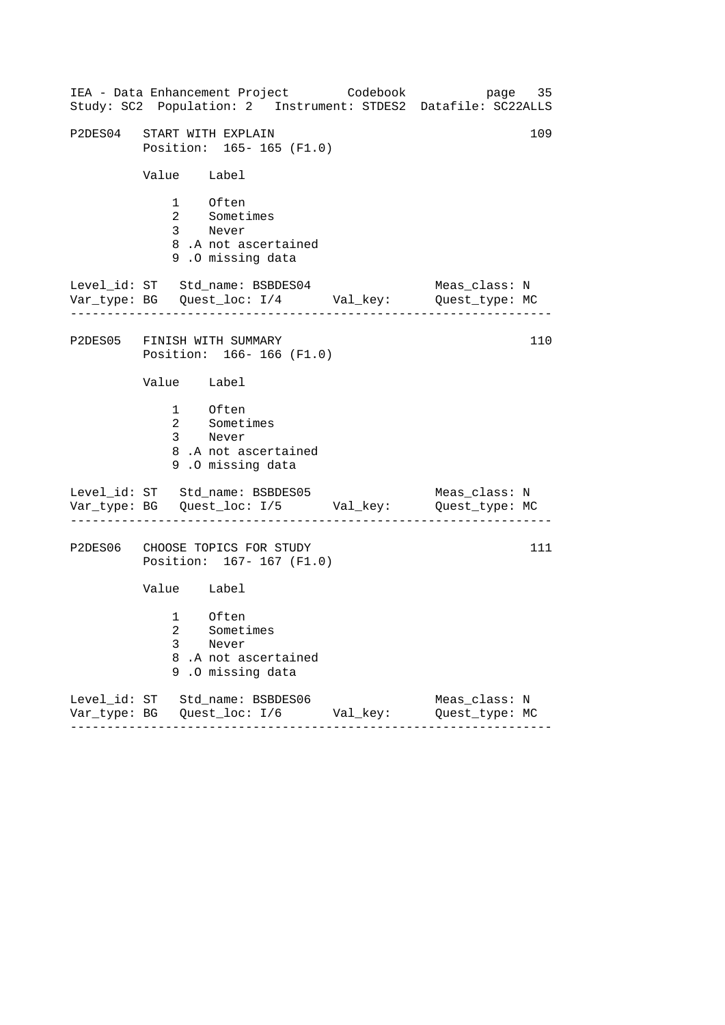| Study: SC2 Population: 2 Instrument: STDES2 Datafile: SC22ALLS                                  |          | page 35                         |
|-------------------------------------------------------------------------------------------------|----------|---------------------------------|
| P2DES04 START WITH EXPLAIN<br>Position: 165- 165 (F1.0)                                         |          | 109                             |
| Value Label                                                                                     |          |                                 |
| 1 Often<br>2 Sometimes<br>3 Never<br>8.A not ascertained<br>9.0 missing data                    |          |                                 |
| Level_id: ST Std_name: BSBDES04<br>Var_type: BG    Quest_loc: I/4    Val_key:    Quest_type: MC |          | Meas_class: N                   |
| P2DES05 FINISH WITH SUMMARY<br>Position: 166-166 (F1.0)                                         |          | 110                             |
| Value Label                                                                                     |          |                                 |
| 1 Often<br>2 Sometimes<br>3 Never<br>8.A not ascertained<br>9.0 missing data                    |          |                                 |
| Level_id: ST Std_name: BSBDES05<br>Var_type: BG    Quest_loc: I/5    Val_key:    Quest_type: MC |          | Meas_class: N                   |
| P2DES06 CHOOSE TOPICS FOR STUDY<br>Position: 167-167 (F1.0)                                     |          | 111                             |
| Value Label                                                                                     |          |                                 |
| 1 Often<br>2 Sometimes<br>3<br>Never<br>8.A not ascertained<br>9.0 missing data                 |          |                                 |
| Level_id: ST Std_name: BSBDES06<br>--------                                                     | Val_key: | Meas_class: N<br>Quest_type: MC |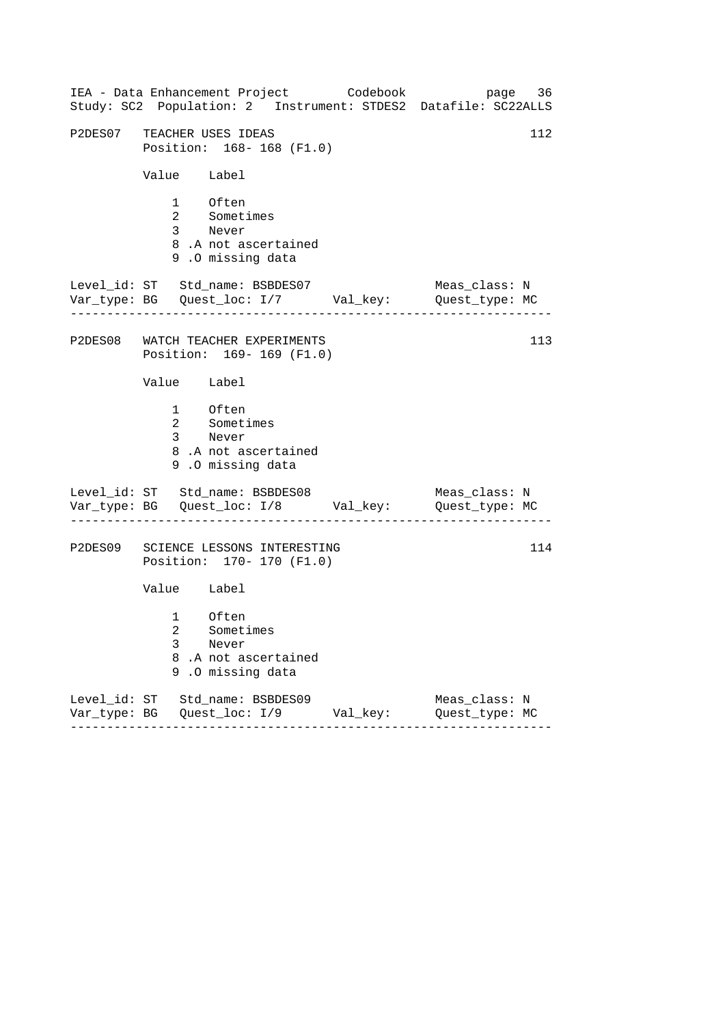| IEA - Data Enhancement Project Codebook<br>Study: SC2 Population: 2 Instrument: STDES2 Datafile: SC22ALLS |          | page 36                         |  |  |
|-----------------------------------------------------------------------------------------------------------|----------|---------------------------------|--|--|
| P2DES07 TEACHER USES IDEAS<br>112<br>Position: 168-168 (F1.0)                                             |          |                                 |  |  |
| Value Label                                                                                               |          |                                 |  |  |
| 1 Often<br>2 Sometimes<br>3 Never<br>8.A not ascertained<br>9.0 missing data                              |          |                                 |  |  |
| Level_id: ST Std_name: BSBDES07<br>Var_type: BG    Quest_loc: I/7    Val_key:    Quest_type: MC           |          | Meas_class: N                   |  |  |
| P2DES08 WATCH TEACHER EXPERIMENTS<br>Position: 169- 169 (F1.0)                                            |          | 113                             |  |  |
| Value Label                                                                                               |          |                                 |  |  |
| 1 Often<br>2 Sometimes<br>3 Never<br>8.A not ascertained<br>9.0 missing data                              |          |                                 |  |  |
| Level_id: ST Std_name: BSBDES08<br>Var_type: BG    Quest_loc: I/8    Val_key:    Quest_type: MC           |          | Meas_class: N                   |  |  |
| P2DES09 SCIENCE LESSONS INTERESTING<br>Position: 170- 170 (F1.0)                                          |          | 114                             |  |  |
| Value Label                                                                                               |          |                                 |  |  |
| 1 Often<br>2 Sometimes<br>3<br>Never<br>8.A not ascertained<br>9.0 missing data                           |          |                                 |  |  |
| Level_id: ST Std_name: BSBDES09<br>--------                                                               | Val_key: | Meas_class: N<br>Quest_type: MC |  |  |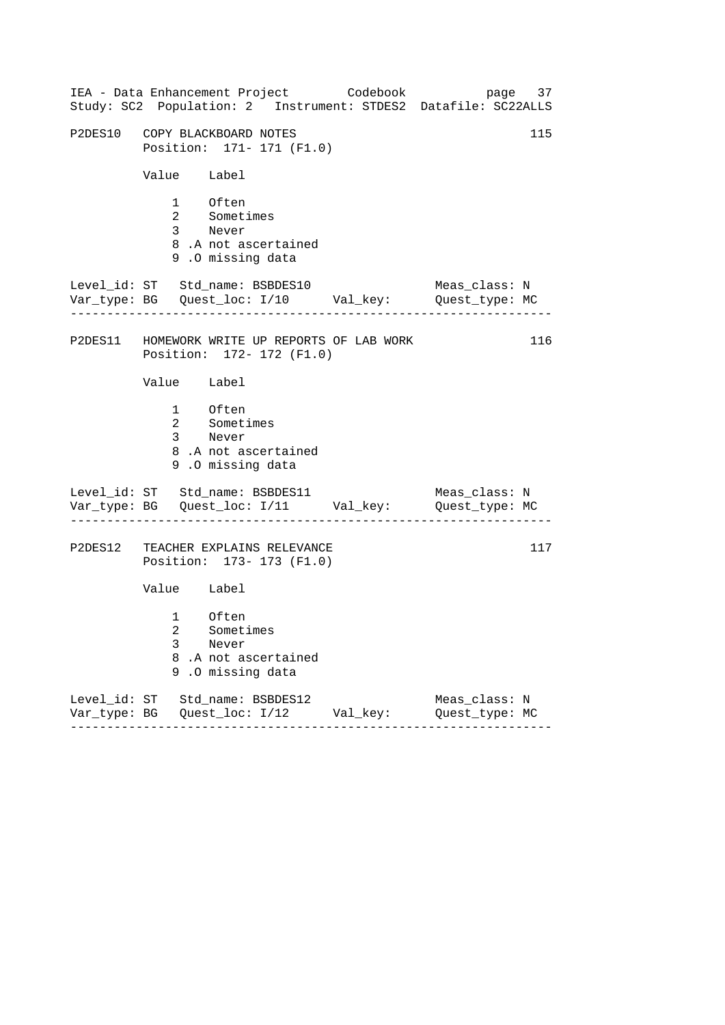| IEA - Data Enhancement Project Codebook                                    |                     |          | page 37<br>Study: SC2 Population: 2 Instrument: STDES2 Datafile: SC22ALLS      |     |
|----------------------------------------------------------------------------|---------------------|----------|--------------------------------------------------------------------------------|-----|
| P2DES10 COPY BLACKBOARD NOTES<br>Position: 171- 171 (F1.0)                 |                     |          |                                                                                | 115 |
| Value Label                                                                |                     |          |                                                                                |     |
| 1 Often<br>2 Sometimes<br>3 Never<br>9.0 missing data                      | 8.A not ascertained |          |                                                                                |     |
| Level_id: ST Std_name: BSBDES10                                            |                     |          | Meas_class: N<br>Var_type: BG    Quest_loc: I/10    Val_key:    Quest_type: MC |     |
| P2DES11 HOMEWORK WRITE UP REPORTS OF LAB WORK<br>Position: 172- 172 (F1.0) |                     |          |                                                                                | 116 |
| Value Label                                                                |                     |          |                                                                                |     |
| 1 Often<br>2 Sometimes<br>3 Never<br>9.0 missing data                      | 8.A not ascertained |          |                                                                                |     |
| Level_id: ST Std_name: BSBDES11                                            |                     |          | Meas_class: N<br>Var_type: BG    Quest_loc: I/11    Val_key:    Quest_type: MC |     |
| P2DES12 TEACHER EXPLAINS RELEVANCE<br>Position: 173- 173 (F1.0)            |                     |          |                                                                                | 117 |
| Value Label                                                                |                     |          |                                                                                |     |
| $1 \quad \Box$<br>Often<br>2 Sometimes<br>3<br>Never<br>9.0 missing data   | 8.A not ascertained |          |                                                                                |     |
| Level_id: ST Std_name: BSBDES12<br>. <i>.</i> .                            | ---------           | Val_key: | Meas_class: N<br>Quest_type: MC                                                |     |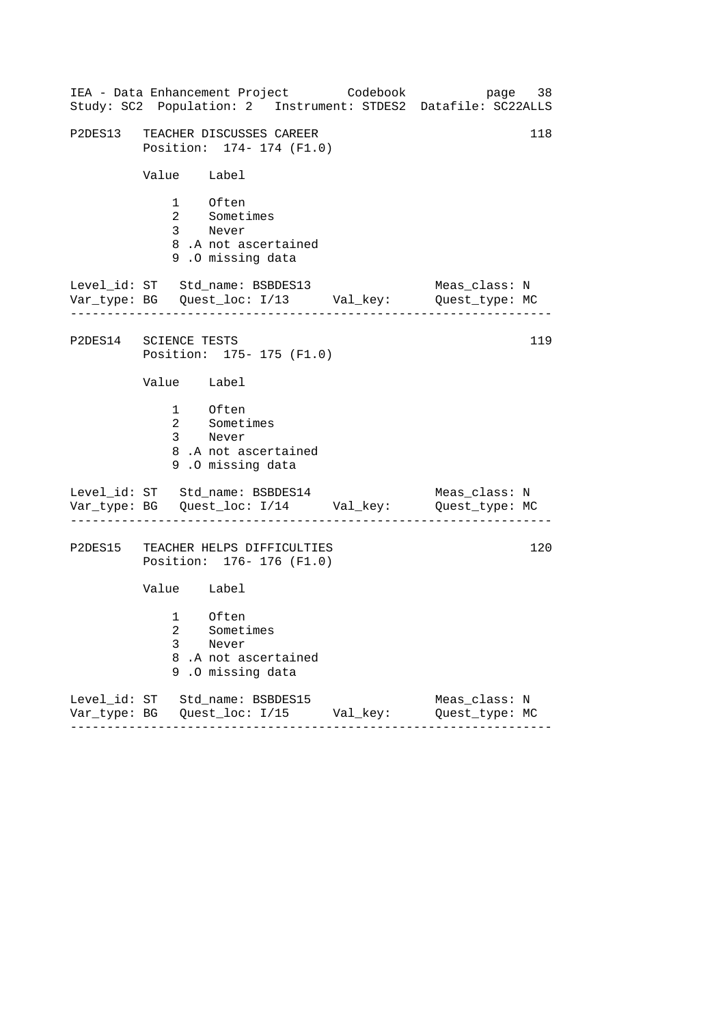| IEA - Data Enhancement Project Codebook<br>Study: SC2 Population: 2 Instrument: STDES2 Datafile: SC22ALLS | page 38                         |
|-----------------------------------------------------------------------------------------------------------|---------------------------------|
| P2DES13 TEACHER DISCUSSES CAREER<br>Position: 174- 174 (F1.0)                                             | 118                             |
| Value Label                                                                                               |                                 |
| 1 Often<br>2 Sometimes<br>3 Never<br>8.A not ascertained<br>9.0 missing data                              |                                 |
| Level_id: ST Std_name: BSBDES13<br>Var_type: BG    Quest_loc: I/13    Val_key:    Quest_type: MC          | Meas_class: N                   |
| P2DES14 SCIENCE TESTS<br>Position: 175- 175 (F1.0)                                                        | 119                             |
| Value Label                                                                                               |                                 |
| 1 Often<br>2 Sometimes<br>3 Never<br>8.A not ascertained<br>9.0 missing data                              |                                 |
| Level_id: ST Std_name: BSBDES14<br>Var_type: BG    Quest_loc: I/14    Val_key:    Quest_type: MC          | Meas_class: N                   |
| P2DES15 TEACHER HELPS DIFFICULTIES<br>Position: 176- 176 (F1.0)                                           | 120                             |
| Value Label                                                                                               |                                 |
| 1 Often<br>2<br>Sometimes<br>3<br>Never<br>8<br>.A not ascertained<br>.0 missing data<br>9                |                                 |
| Level_id: ST Std_name: BSBDES15                                                                           | Meas_class: N<br>Quest_type: MC |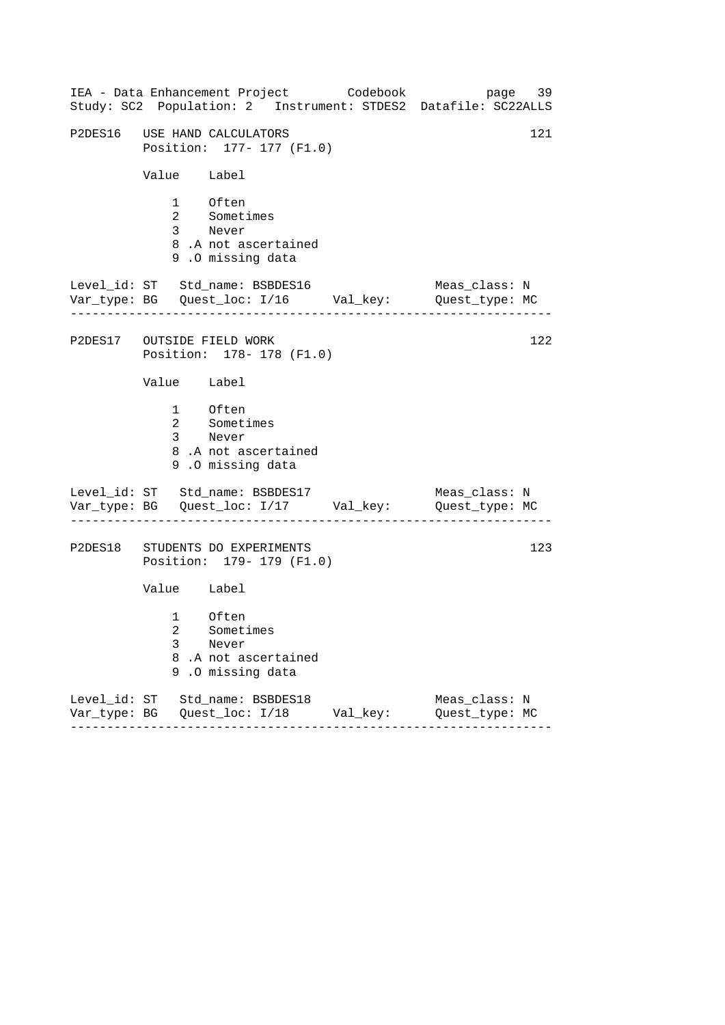|             | IEA - Data Enhancement Project Codebook                                                          | page 39<br>Study: SC2 Population: 2 Instrument: STDES2 Datafile: SC22ALLS |
|-------------|--------------------------------------------------------------------------------------------------|---------------------------------------------------------------------------|
|             | P2DES16 USE HAND CALCULATORS<br>Position: 177- 177 (F1.0)                                        | 121                                                                       |
| Value Label |                                                                                                  |                                                                           |
|             | 1 Often<br>2 Sometimes<br>3 Never<br>8.A not ascertained<br>9.0 missing data                     |                                                                           |
|             | Level_id: ST Std_name: BSBDES16<br>Var_type: BG    Quest_loc: I/16    Val_key:    Quest_type: MC | Meas_class: N                                                             |
|             | P2DES17 OUTSIDE FIELD WORK<br>Position: 178- 178 (F1.0)                                          | 122                                                                       |
| Value Label |                                                                                                  |                                                                           |
|             | 1 Often<br>2 Sometimes<br>3 Never<br>8.A not ascertained<br>9.0 missing data                     |                                                                           |
|             | Level_id: ST Std_name: BSBDES17<br>Var_type: BG    Quest_loc: I/17    Val_key:    Quest_type: MC | Meas_class: N                                                             |
|             | P2DES18 STUDENTS DO EXPERIMENTS<br>Position: 179- 179 (F1.0)                                     | 123                                                                       |
| Value Label |                                                                                                  |                                                                           |
| 3<br>8<br>9 | 1 Often<br>2 Sometimes<br>Never<br>.A not ascertained<br>.0 missing data                         |                                                                           |
|             | Level_id: ST Std_name: BSBDES18<br>Var_type: BG    Quest_loc: I/18    Val_key:                   | Meas_class: N<br>Quest_type: MC                                           |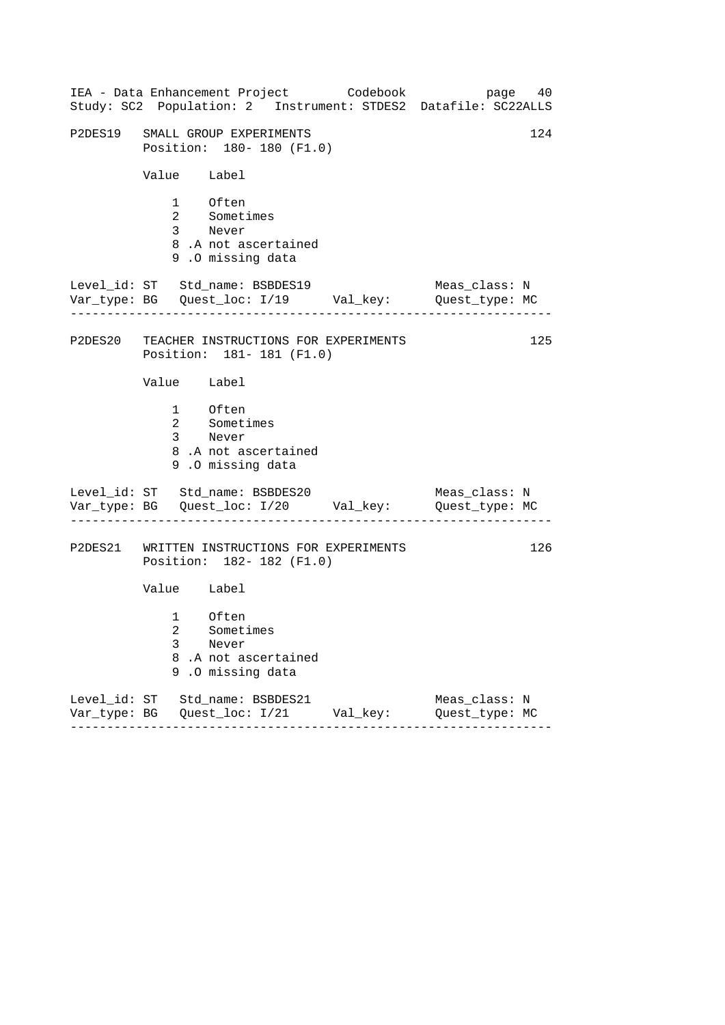|                   |                                   |                                                                           | IEA - Data Enhancement Project Codebook | page 40<br>Study: SC2 Population: 2 Instrument: STDES2 Datafile: SC22ALLS      |     |
|-------------------|-----------------------------------|---------------------------------------------------------------------------|-----------------------------------------|--------------------------------------------------------------------------------|-----|
|                   |                                   | P2DES19 SMALL GROUP EXPERIMENTS<br>Position: 180- 180 (F1.0)              |                                         |                                                                                | 124 |
|                   | Value Label                       |                                                                           |                                         |                                                                                |     |
|                   | 1 Often<br>2 Sometimes<br>3 Never | 8.A not ascertained<br>9.0 missing data                                   |                                         |                                                                                |     |
|                   |                                   | Level_id: ST Std_name: BSBDES19                                           |                                         | Meas_class: N<br>Var_type: BG    Quest_loc: I/19    Val_key:    Quest_type: MC |     |
|                   |                                   | P2DES20 TEACHER INSTRUCTIONS FOR EXPERIMENTS<br>Position: 181-181 (F1.0)  |                                         |                                                                                | 125 |
|                   | Value Label                       |                                                                           |                                         |                                                                                |     |
|                   | 1 Often<br>2 Sometimes<br>3 Never | 8.A not ascertained<br>9.0 missing data                                   |                                         |                                                                                |     |
|                   |                                   | Level_id: ST Std_name: BSBDES20                                           |                                         | Meas_class: N<br>Var_type: BG    Quest_loc: I/20    Val_key:    Quest_type: MC |     |
|                   |                                   | P2DES21 WRITTEN INSTRUCTIONS FOR EXPERIMENTS<br>Position: 182- 182 (F1.0) |                                         |                                                                                | 126 |
|                   | Value Label                       |                                                                           |                                         |                                                                                |     |
| 3<br>8<br>9       | 1 Often<br>2 Sometimes<br>Never   | .A not ascertained<br>.O missing data                                     |                                         |                                                                                |     |
| - - - - - - - - - |                                   | Level_id: ST Std_name: BSBDES21<br>------------                           | Val_key:<br>. <u>.</u>                  | Meas_class: N<br>Quest_type: MC                                                |     |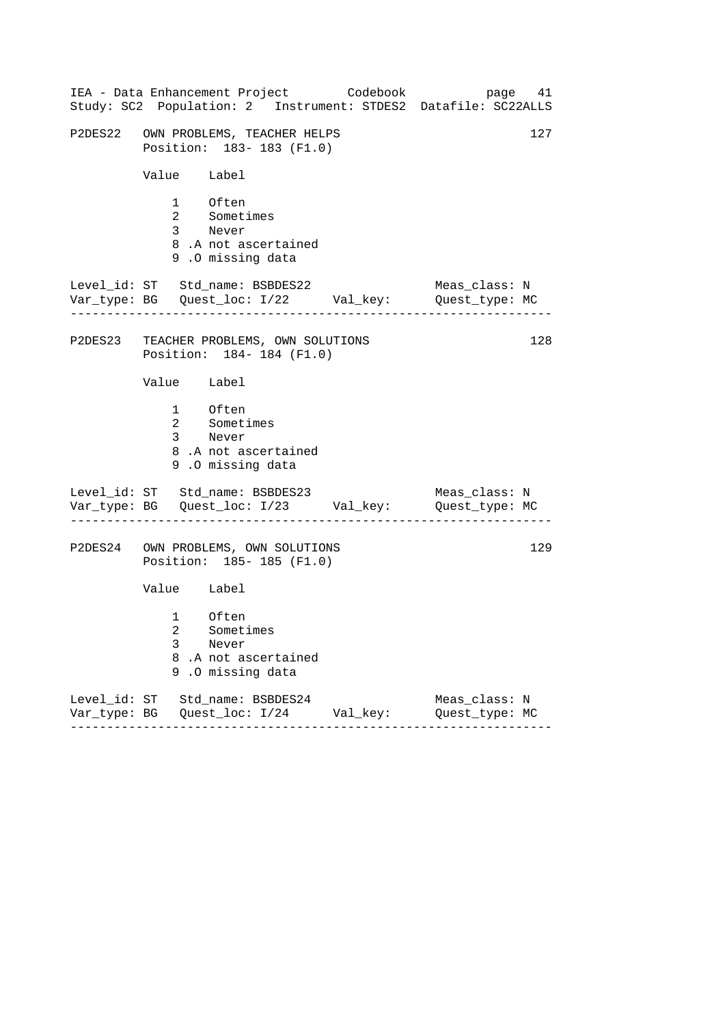|                                                                 | IEA - Data Enhancement Project Codebook                                                          |          | page 41<br>Study: SC2 Population: 2 Instrument: STDES2 Datafile: SC22ALLS |  |
|-----------------------------------------------------------------|--------------------------------------------------------------------------------------------------|----------|---------------------------------------------------------------------------|--|
| P2DES22 OWN PROBLEMS, TEACHER HELPS<br>Position: 183-183 (F1.0) |                                                                                                  |          |                                                                           |  |
| Value Label                                                     |                                                                                                  |          |                                                                           |  |
|                                                                 | 1 Often<br>2 Sometimes<br>3 Never<br>8.A not ascertained<br>9.0 missing data                     |          |                                                                           |  |
|                                                                 | Level_id: ST Std_name: BSBDES22<br>Var_type: BG    Quest_loc: I/22    Val_key:    Quest_type: MC |          | Meas_class: N                                                             |  |
|                                                                 | P2DES23 TEACHER PROBLEMS, OWN SOLUTIONS<br>Position: 184-184 (F1.0)                              |          | 128                                                                       |  |
| Value Label                                                     |                                                                                                  |          |                                                                           |  |
|                                                                 | 1 Often<br>2 Sometimes<br>3 Never<br>8.A not ascertained<br>9.0 missing data                     |          |                                                                           |  |
|                                                                 | Level_id: ST Std_name: BSBDES23<br>Var_type: BG    Quest_loc: I/23    Val_key:    Quest_type: MC |          | Meas_class: N                                                             |  |
|                                                                 | P2DES24 OWN PROBLEMS, OWN SOLUTIONS<br>Position: 185-185 (F1.0)                                  |          | 129                                                                       |  |
| Value Label                                                     |                                                                                                  |          |                                                                           |  |
| 3                                                               | 1 Often<br>2 Sometimes<br>Never<br>8.A not ascertained<br>9.0 missing data                       |          |                                                                           |  |
|                                                                 | Level_id: ST Std_name: BSBDES24<br>-------                                                       | Val_key: | Meas_class: N<br>Quest_type: MC                                           |  |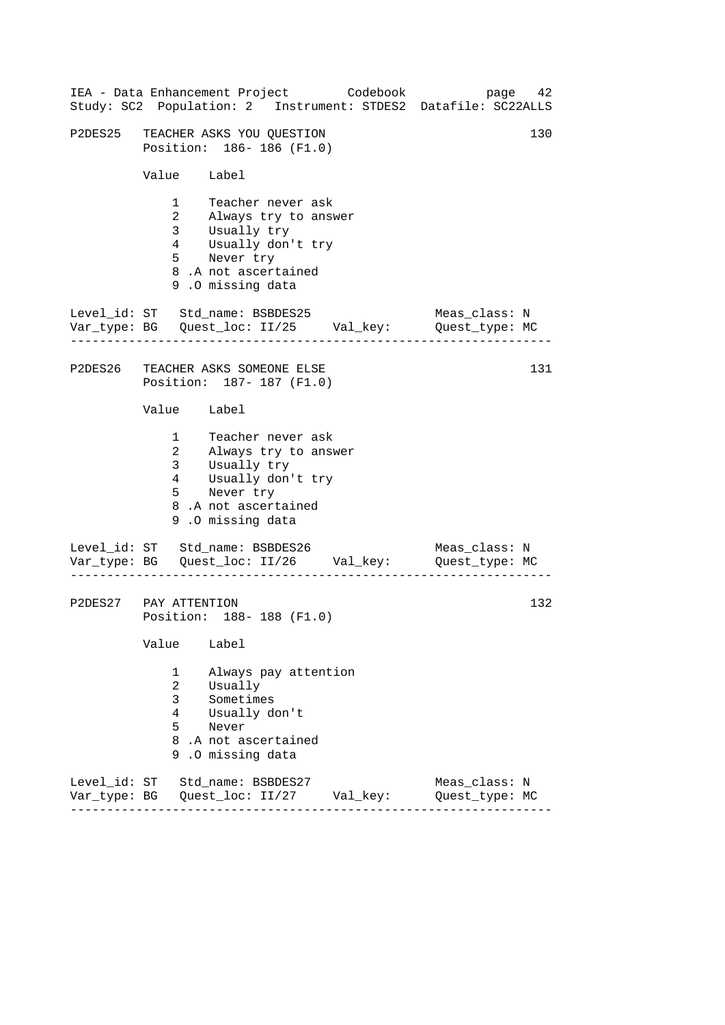|                              |                                                                               | IEA - Data Enhancement Project Codebook                                                                                                 |          | 42<br>page<br>Study: SC2 Population: 2 Instrument: STDES2 Datafile: SC22ALLS    |
|------------------------------|-------------------------------------------------------------------------------|-----------------------------------------------------------------------------------------------------------------------------------------|----------|---------------------------------------------------------------------------------|
|                              |                                                                               | P2DES25 TEACHER ASKS YOU QUESTION<br>Position: 186-186 (F1.0)                                                                           |          | 130                                                                             |
|                              | Value Label                                                                   |                                                                                                                                         |          |                                                                                 |
|                              | 1<br>3 <sup>7</sup><br>$4\overline{ }$<br>5 <sub>5</sub>                      | Teacher never ask<br>2 Always try to answer<br>Usually try<br>Usually don't try<br>Never try<br>8.A not ascertained<br>9.0 missing data |          |                                                                                 |
|                              |                                                                               | Level_id: ST Std_name: BSBDES25                                                                                                         |          | Meas_class: N<br>Var_type: BG    Quest_loc: II/25    Val_key:    Quest_type: MC |
|                              |                                                                               | P2DES26 TEACHER ASKS SOMEONE ELSE<br>Position: 187- 187 (F1.0)                                                                          |          | 131                                                                             |
|                              | Value Label                                                                   |                                                                                                                                         |          |                                                                                 |
|                              | $1 \quad \blacksquare$<br>3 <sup>7</sup><br>$4\overline{ }$<br>5 <sub>1</sub> | Teacher never ask<br>2 Always try to answer<br>Usually try<br>Usually don't try<br>Never try<br>8.A not ascertained<br>9.0 missing data |          |                                                                                 |
|                              |                                                                               | Level_id: ST Std_name: BSBDES26                                                                                                         |          | Meas_class: N<br>Var_type: BG    Quest_loc: II/26    Val_key:    Quest_type: MC |
| P2DES27 PAY ATTENTION        |                                                                               | Position: 188-188 (F1.0)                                                                                                                |          | 132                                                                             |
|                              | Value                                                                         | Label                                                                                                                                   |          |                                                                                 |
|                              | 1<br>$\overline{2}$<br>3<br>4<br>5<br>9                                       | Always pay attention<br>Usually<br>Sometimes<br>Usually don't<br>Never<br>8.A not ascertained<br>.0 missing data                        |          |                                                                                 |
| Level id: ST<br>Var_type: BG |                                                                               | Std name: BSBDES27<br>Quest_loc: II/27                                                                                                  | Val_key: | Meas class: N<br>Quest_type: MC                                                 |

------------------------------------------------------------------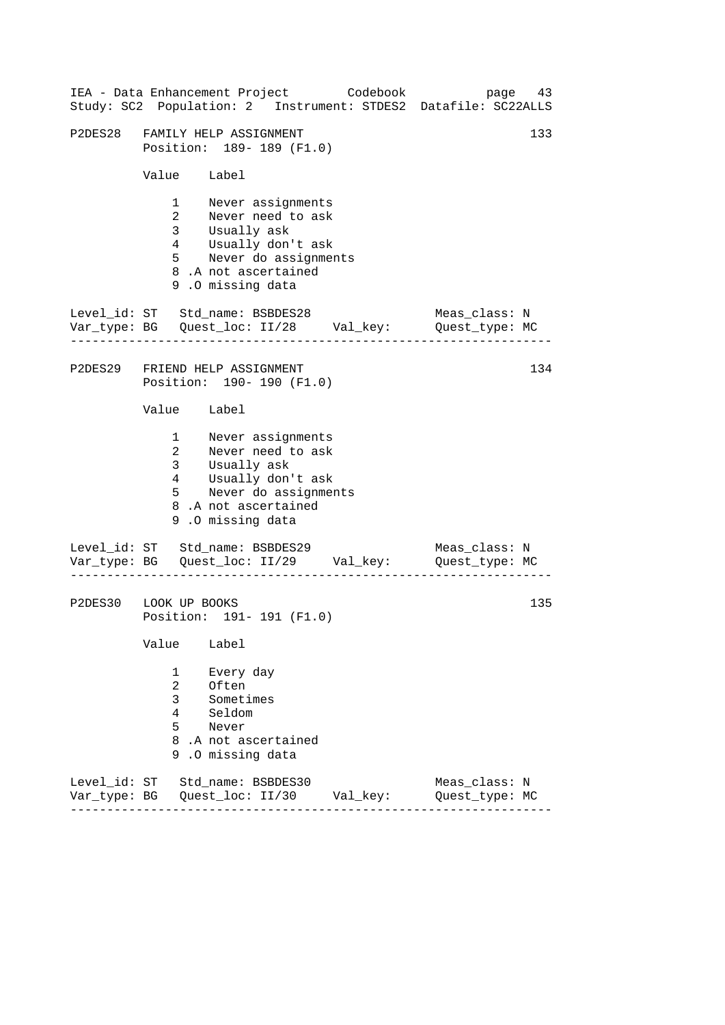|                              |                                         | IEA - Data Enhancement Project Codebook                                                                                                                 |  |          | Study: SC2 Population: 2 Instrument: STDES2 Datafile: SC22ALLS                  | page 43 |
|------------------------------|-----------------------------------------|---------------------------------------------------------------------------------------------------------------------------------------------------------|--|----------|---------------------------------------------------------------------------------|---------|
|                              |                                         | P2DES28 FAMILY HELP ASSIGNMENT<br>Position: 189- 189 (F1.0)                                                                                             |  |          | 133                                                                             |         |
|                              | Value Label                             |                                                                                                                                                         |  |          |                                                                                 |         |
|                              | $5^{\circ}$                             | 1 Never assignments<br>2 Never need to ask<br>3 Usually ask<br>4 Usually don't ask<br>Never do assignments<br>8.A not ascertained<br>9.0 missing data   |  |          |                                                                                 |         |
|                              |                                         | Level_id: ST Std_name: BSBDES28                                                                                                                         |  |          | Meas_class: N<br>Var_type: BG    Quest_loc: II/28    Val_key:    Quest_type: MC |         |
|                              |                                         | P2DES29 FRIEND HELP ASSIGNMENT<br>Position: 190- 190 (F1.0)                                                                                             |  |          |                                                                                 | 134     |
|                              | Value Label                             |                                                                                                                                                         |  |          |                                                                                 |         |
|                              |                                         | 1 Never assignments<br>2 Never need to ask<br>3 Usually ask<br>4 Usually don't ask<br>5 Never do assignments<br>8.A not ascertained<br>9.0 missing data |  |          |                                                                                 |         |
|                              |                                         | Level_id: ST Std_name: BSBDES29                                                                                                                         |  |          | Meas_class: N<br>Var_type: BG    Quest_loc: II/29    Val_key:    Quest_type: MC |         |
| P2DES30 LOOK UP BOOKS        |                                         | Position: 191- 191 (F1.0)                                                                                                                               |  |          |                                                                                 | 135     |
|                              | Value                                   | Label                                                                                                                                                   |  |          |                                                                                 |         |
|                              | 1<br>$\overline{2}$<br>3<br>4<br>5<br>9 | Every day<br>Often<br>Sometimes<br>Seldom<br>Never<br>8.A not ascertained<br>.0 missing data                                                            |  |          |                                                                                 |         |
| Level_id: ST<br>Var_type: BG |                                         | Std_name: BSBDES30<br>Quest_loc: II/30                                                                                                                  |  | Val_key: | Meas_class: N<br>Quest_type: MC                                                 |         |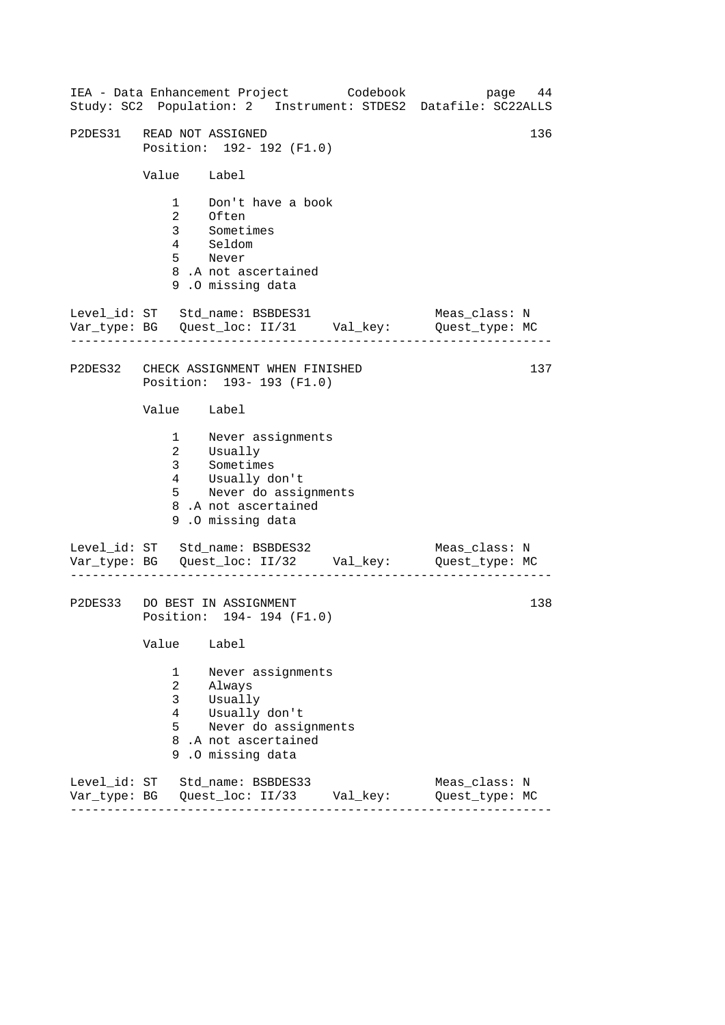| IEA - Data Enhancement Project Codebook<br>Study: SC2 Population: 2 Instrument: STDES2 Datafile: SC22ALLS                                                                     | page 44                         |
|-------------------------------------------------------------------------------------------------------------------------------------------------------------------------------|---------------------------------|
| P2DES31 READ NOT ASSIGNED<br>Position: 192- 192 (F1.0)                                                                                                                        | 136                             |
| Value Label                                                                                                                                                                   |                                 |
| 1 Don't have a book<br>2 Often<br>3 Sometimes<br>Seldom<br>$4\overline{ }$<br>5 Never<br>8.A not ascertained<br>9.0 missing data                                              |                                 |
| Var_type: BG    Quest_loc: II/31    Val_key:    Quest_type: MC                                                                                                                | Meas_class: N                   |
| P2DES32 CHECK ASSIGNMENT WHEN FINISHED<br>Position: 193- 193 (F1.0)                                                                                                           | 137                             |
| Value Label                                                                                                                                                                   |                                 |
| 1 Never assignments<br>2 Usually<br>3 <sup>7</sup><br>Sometimes<br>Usually don't<br>$4\overline{ }$<br>5 Never do assignments<br>8.A not ascertained<br>9.0 missing data      |                                 |
| Level_id: ST Std_name: BSBDES32<br>Var_type: BG    Quest_loc: II/32    Val_key:    Quest_type: MC                                                                             | Meas_class: N                   |
| P2DES33 DO BEST IN ASSIGNMENT<br>Position: 194- 194 (F1.0)                                                                                                                    | 138                             |
| Value<br>Label                                                                                                                                                                |                                 |
| Never assignments<br>1<br>$\overline{a}$<br>Always<br>3 <sup>7</sup><br>Usually<br>Usually don't<br>4<br>5<br>Never do assignments<br>8.A not ascertained<br>9.0 missing data |                                 |
| Level_id: ST Std_name: BSBDES33                                                                                                                                               | Meas_class: N<br>Quest_type: MC |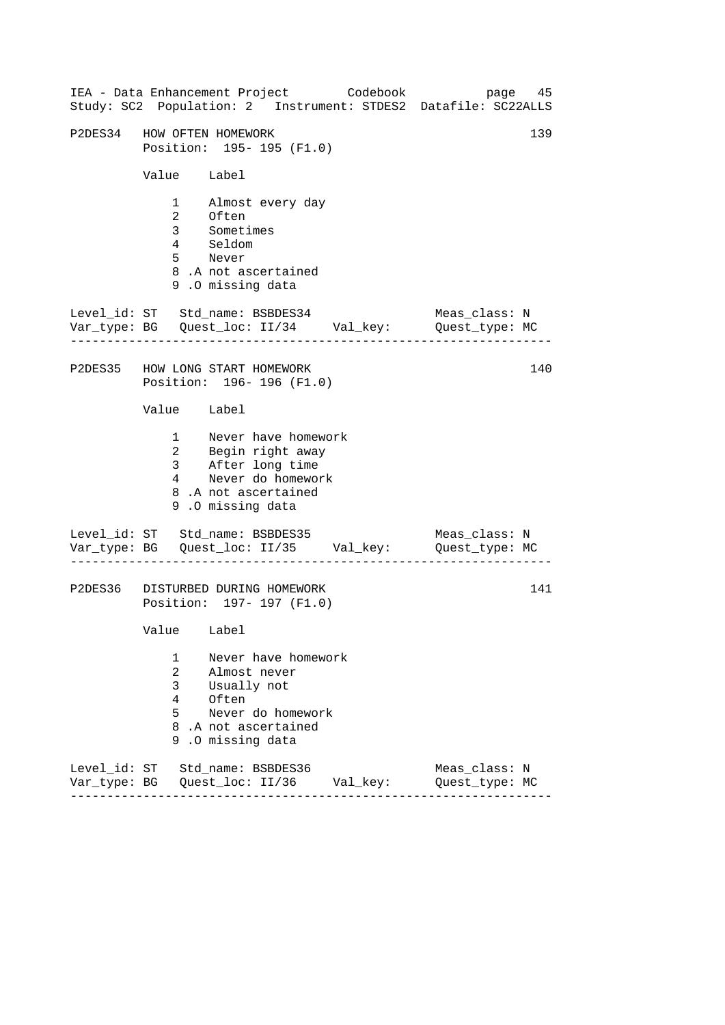|                                                 | IEA - Data Enhancement Project Codebook                                                                                            |          | page 45<br>Study: SC2 Population: 2 Instrument: STDES2 Datafile: SC22ALLS |
|-------------------------------------------------|------------------------------------------------------------------------------------------------------------------------------------|----------|---------------------------------------------------------------------------|
|                                                 | P2DES34 HOW OFTEN HOMEWORK<br>Position: 195- 195 (F1.0)                                                                            |          | 139                                                                       |
| Value Label                                     |                                                                                                                                    |          |                                                                           |
|                                                 | 1 Almost every day<br>2 Often<br>3 Sometimes<br>4 Seldom<br>5 Never<br>8.A not ascertained<br>9.0 missing data                     |          |                                                                           |
|                                                 | Level_id: ST Std_name: BSBDES34 Meas_class: N<br>Var_type: BG Quest_loc: II/34 Val_key: Quest_type: MC                             |          |                                                                           |
|                                                 | P2DES35 HOW LONG START HOMEWORK<br>Position: 196-196 (F1.0)                                                                        |          | 140                                                                       |
| Value Label                                     |                                                                                                                                    |          |                                                                           |
|                                                 | 1 Never have homework<br>2 Begin right away<br>3 After long time<br>4 Never do homework<br>8.A not ascertained<br>9.0 missing data |          |                                                                           |
|                                                 | Level_id: ST Std_name: BSBDES35<br>Var_type: BG    Quest_loc: II/35    Val_key:    Quest_type: MC                                  |          | Meas_class: N                                                             |
|                                                 | P2DES36 DISTURBED DURING HOMEWORK<br>Position: 197- 197 (F1.0)                                                                     |          | 141                                                                       |
| Value Label                                     |                                                                                                                                    |          |                                                                           |
| 1<br>$\overline{a}$<br>3 <sup>7</sup><br>4<br>5 | Never have homework<br>Almost never<br>Usually not<br>Often<br>Never do homework<br>8.A not ascertained<br>9.0 missing data        |          |                                                                           |
|                                                 | Level_id: ST Std_name: BSBDES36                                                                                                    | Val_key: | Meas class: N<br>Quest_type: MC                                           |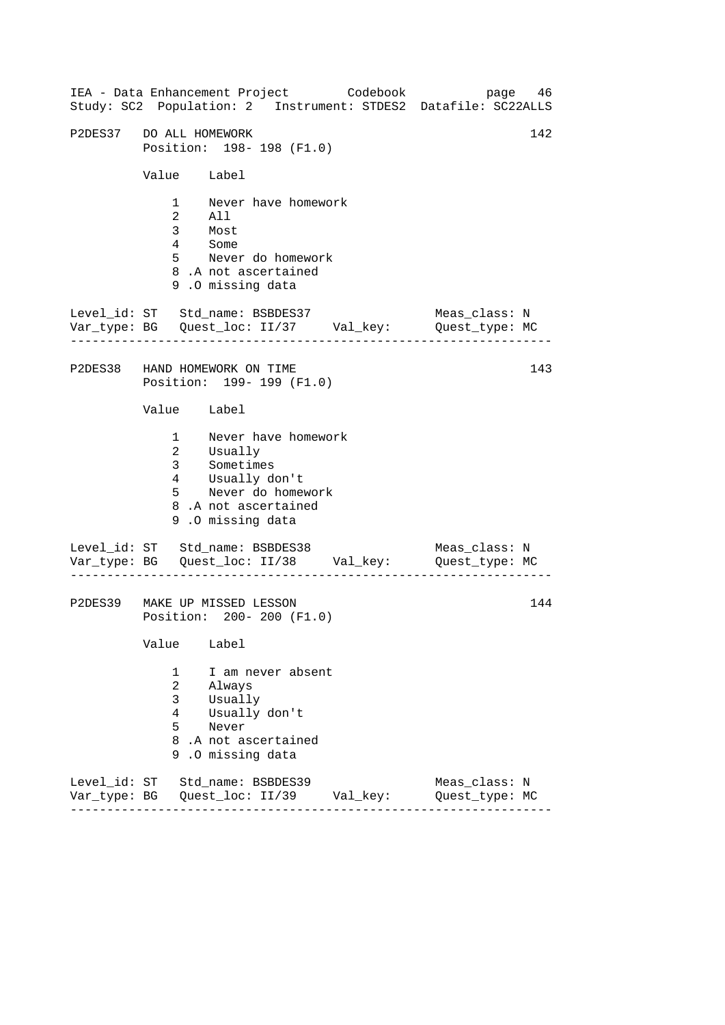------------------------------------------------------------------ ------------------------------------------------------------------ ------------------------------------------------------------------ IEA - Data Enhancement Project Codebook page 46 Study: SC2 Population: 2 Instrument: STDES2 Datafile: SC22ALLS P2DES37 DO ALL HOMEWORK 142 Position: 198- 198 (F1.0) Value Label 1 Never have homework 2 All 3 Most 4 Some 5 Never do homework 8 .A not ascertained 9 .O missing data Level\_id: ST Std\_name: BSBDES37 Meas\_class: N Var\_type: BG Quest\_loc: II/37 Val\_key: Quest\_type: MC P2DES38 HAND HOMEWORK ON TIME Position: 199- 199 (F1.0) Value Label 1 Never have homework 2 3 Usually Sometimes 4 5 Usually don't Never do homework 8 .A not ascertained 9 .O missing data Level\_id: ST Std\_name: BSBDES38 Meas\_class: N Var\_type: BG Quest\_loc: II/38 Val\_key: Quest\_type: MC P2DES39 MAKE UP MISSED LESSON Position: 200- 200 (F1.0) Value Label 1 I am never absent 2 Always 3 Usually 4 Usually don't 5 Never 8 .A not ascertained 9 .O missing data Level\_id: ST Std\_name: BSBDES39 Meas\_class: N Var\_type: BG Quest\_loc: II/39 Val\_key: Quest\_type: MC 143 144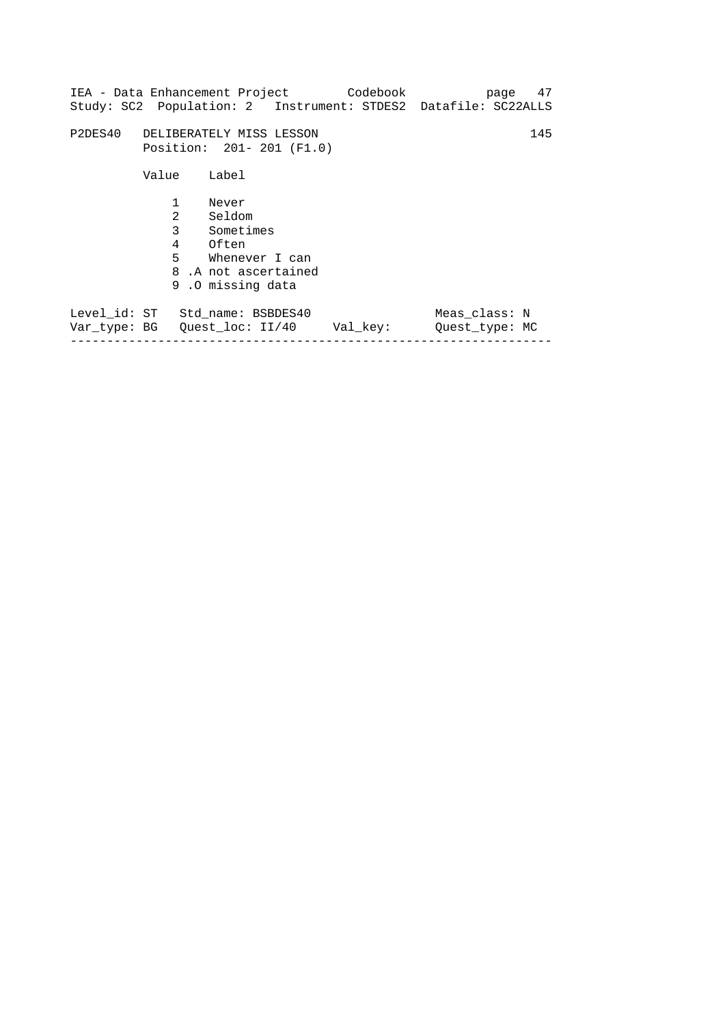|                            | Study: SC2 Population: 2 Instrument: STDES2 Datafile: SC22ALLS                                                    |          |                                 | page 47 |
|----------------------------|-------------------------------------------------------------------------------------------------------------------|----------|---------------------------------|---------|
|                            | P2DES40 DELIBERATELY MISS LESSON<br>Position: 201-201 (F1.0)                                                      |          |                                 | 145     |
| Value<br>$\mathbf{1}$<br>2 | Label<br>Never<br>Seldom<br>3 Sometimes<br>4 Often<br>5 Whenever I can<br>8.A not ascertained<br>9.0 missing data |          |                                 |         |
|                            | Level_id: ST Std_name: BSBDES40                                                                                   | Val key: | Meas class: N<br>Quest type: MC |         |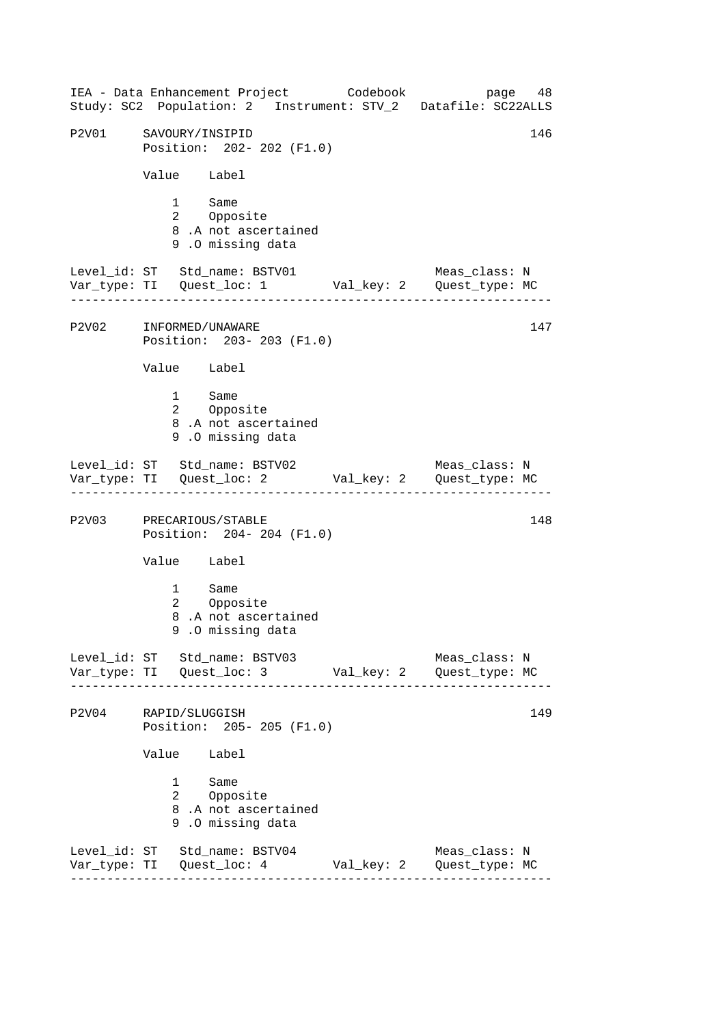------------------------------------------------------------------ ------------------------------------------------------------------ ------------------------------------------------------------------ ------------------------------------------------------------------ IEA - Data Enhancement Project Codebook page 48 Study: SC2 Population: 2 Instrument: STV\_2 Datafile: SC22ALLS P2V01 SAVOURY/INSIPID 146 Position: 202- 202 (F1.0) Value Label 1 Same<br>2 Oppos Opposite 8 .A not ascertained 9 .O missing data Level\_id: ST Std\_name: BSTV01 Meas\_class: N Var\_type: TI Quest\_loc: 1 Val\_key: 2 Quest\_type: MC P2V02 INFORMED/UNAWARE Position: 203- 203 (F1.0) Value Label 1 Same 2 Opposite 8 .A not ascertained 9 .O missing data Level\_id: ST Std\_name: BSTV02 Meas\_class: N Var\_type: TI Quest\_loc: 2 Val\_key: 2 Quest\_type: MC P2V03 PRECARIOUS/STABLE 148 Position: 204- 204 (F1.0) Value Label 1 Same 2 Opposite 8 .A not ascertained 9 .O missing data Level\_id: ST Std\_name: BSTV03 Meas\_class: N Var\_type: TI Quest\_loc: 3 Val\_key: 2 Quest\_type: MC P2V04 RAPID/SLUGGISH 149 Position: 205- 205 (F1.0) Value Label 1 Same 2 Opposite 8 .A not ascertained 9 .O missing data Level\_id: ST Std\_name: BSTV04 Meas\_class: N Var\_type: TI Quest\_loc: 4 Val\_key: 2 Quest\_type: MC 147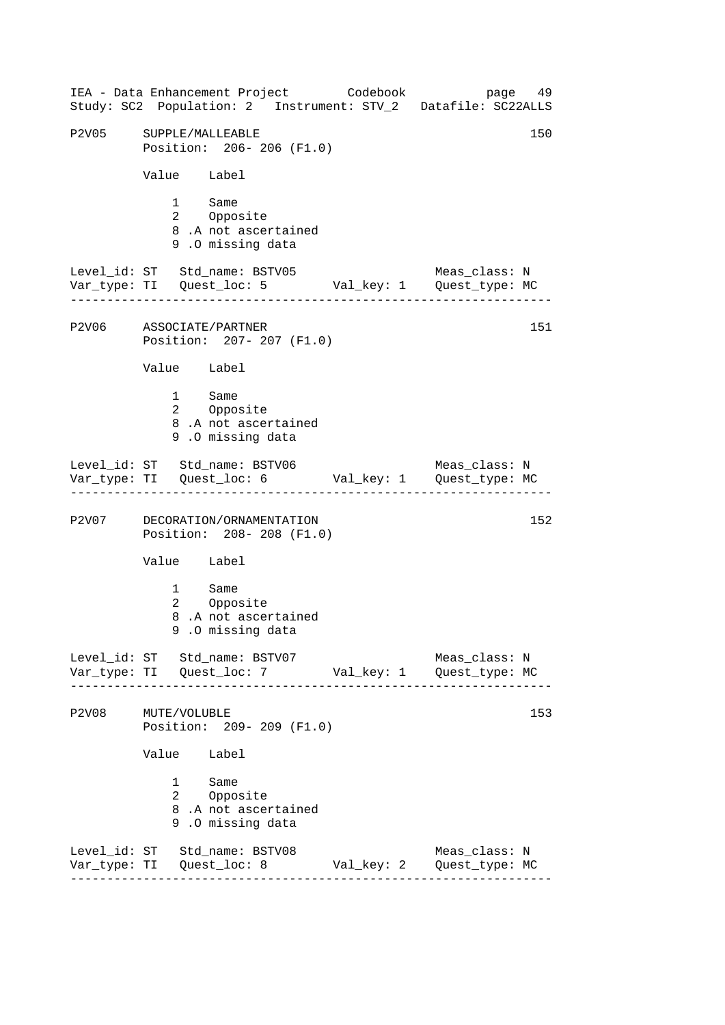------------------------------------------------------------------ ------------------------------------------------------------------ ------------------------------------------------------------------ ------------------------------------------------------------------ IEA - Data Enhancement Project Codebook page 49 Study: SC2 Population: 2 Instrument: STV\_2 Datafile: SC22ALLS P2V05 SUPPLE/MALLEABLE 150 Position: 206- 206 (F1.0) Value Label 1 Same<br>2 Oppos Opposite 8 .A not ascertained 9 .O missing data Level\_id: ST Std\_name: BSTV05 Meas\_class: N Var\_type: TI Quest\_loc: 5 Val\_key: 1 Quest\_type: MC P2V06 ASSOCIATE/PARTNER Position: 207- 207 (F1.0) Value Label 1 Same 2 Opposite 8 .A not ascertained 9 .O missing data Level\_id: ST Std\_name: BSTV06 Meas\_class: N Var\_type: TI Quest\_loc: 6 Val\_key: 1 Quest\_type: MC P2V07 DECORATION/ORNAMENTATION 152 Position: 208- 208 (F1.0) Value Label 1 Same 2 Opposite 8 .A not ascertained 9 .O missing data Level id: ST Std name: BSTV07 Meas class: N Var\_type: TI Quest\_loc: 7 Val\_key: 1 Quest\_type: MC P2V08 MUTE/VOLUBLE 153 Position: 209- 209 (F1.0) Value Label 1 Same 2 Opposite 8 .A not ascertained 9 .O missing data Level\_id: ST Std\_name: BSTV08 Meas\_class: N Var\_type: TI Quest\_loc: 8 Val\_key: 2 Quest\_type: MC 151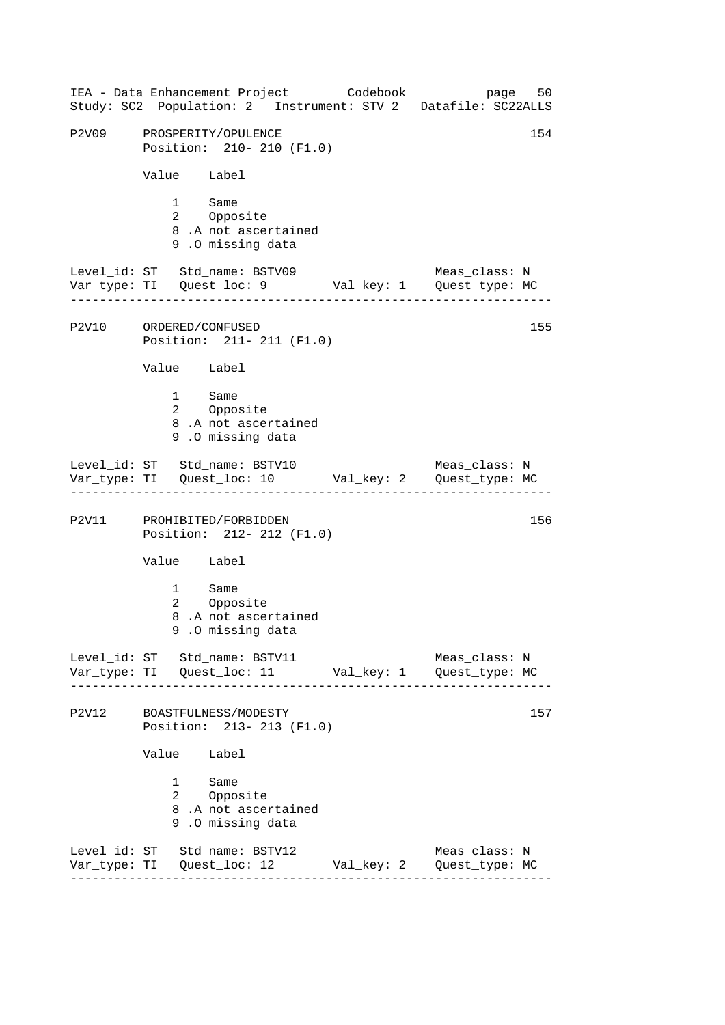------------------------------------------------------------------ ------------------------------------------------------------------ ------------------------------------------------------------------ ------------------------------------------------------------------ IEA - Data Enhancement Project Codebook page 50 Study: SC2 Population: 2 Instrument: STV\_2 Datafile: SC22ALLS P2V09 PROSPERITY/OPULENCE 2000 PROSPERITY/OPULENCE Position: 210- 210 (F1.0) Value Label 1 Same<br>2 Oppos Opposite 8 .A not ascertained 9 .O missing data Level\_id: ST Std\_name: BSTV09 Meas\_class: N Var\_type: TI Quest\_loc: 9 Val\_key: 1 Quest\_type: MC P2V10 ORDERED/CONFUSED Position: 211- 211 (F1.0) Value Label 1 Same 2 Opposite 8 .A not ascertained 9 .O missing data Level\_id: ST Std\_name: BSTV10 Meas\_class: N Var\_type: TI Quest\_loc: 10 Val\_key: 2 Quest\_type: MC P2V11 PROHIBITED/FORBIDDEN 156 Position: 212- 212 (F1.0) Value Label 1 Same 2 Opposite 8 .A not ascertained 9 .O missing data Level id: ST Std name: BSTV11 Meas class: N Var\_type: TI Quest\_loc: 11 Val\_key: 1 Quest\_type: MC P2V12 BOASTFULNESS/MODESTY 157 Position: 213- 213 (F1.0) Value Label 1 Same 2 Opposite 8 .A not ascertained 9 .O missing data Level\_id: ST Std\_name: BSTV12 Meas\_class: N Var\_type: TI Quest\_loc: 12 Val\_key: 2 Quest\_type: MC 155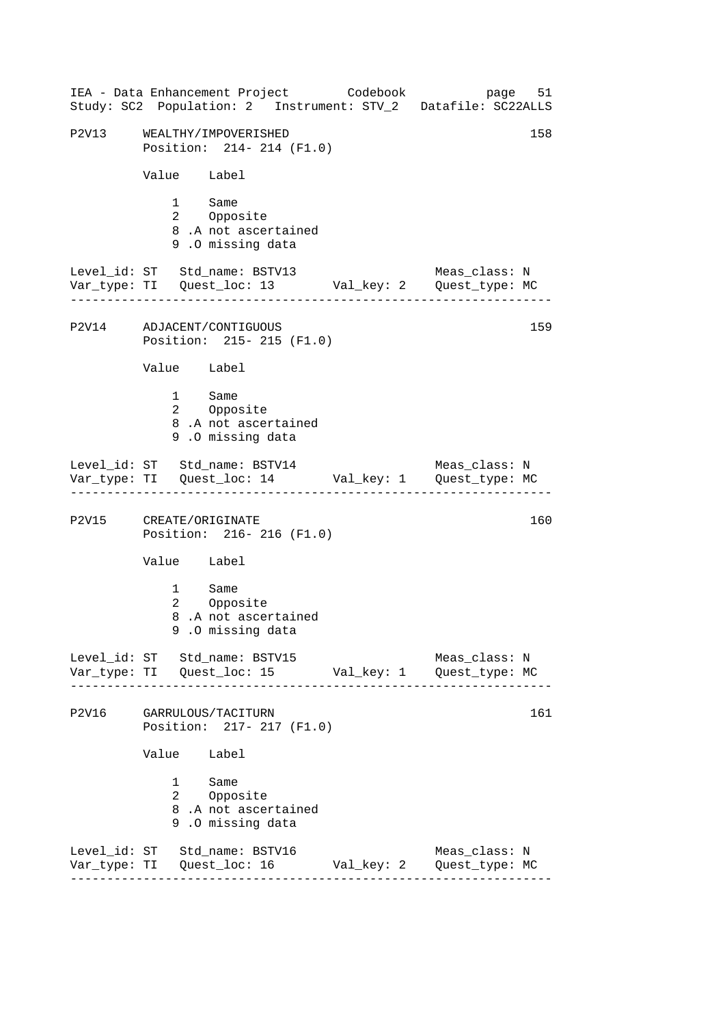|       | IEA - Data Enhancement Project Codebook<br>Study: SC2 Population: 2 Instrument: STV_2 Datafile: SC22ALLS |            | page 51                         |
|-------|----------------------------------------------------------------------------------------------------------|------------|---------------------------------|
| P2V13 | WEALTHY/IMPOVERISHED<br>Position: 214- 214 (F1.0)                                                        |            | 158                             |
|       | Value Label                                                                                              |            |                                 |
|       | 1 Same<br>2 Opposite<br>8.A not ascertained<br>9.0 missing data                                          |            |                                 |
|       | Level_id: ST Std_name: BSTV13                                                                            |            | Meas_class: N                   |
|       | P2V14 ADJACENT/CONTIGUOUS<br>Position: 215- 215 (F1.0)                                                   |            | 159                             |
|       | Value Label                                                                                              |            |                                 |
|       | 1 Same<br>2 Opposite<br>8.A not ascertained<br>9.0 missing data                                          |            |                                 |
|       | Level_id: ST Std_name: BSTV14 Meas_class: N<br>Var_type: TI Quest_loc: 14 Val_key: 1 Quest_type: MC      |            |                                 |
|       | P2V15 CREATE/ORIGINATE<br>Position: 216-216 (F1.0)                                                       |            | 160                             |
|       | Value Label                                                                                              |            |                                 |
|       | 1 Same<br>Opposite<br>$\mathbf{2}$<br>8.A not ascertained<br>9.0 missing data                            |            |                                 |
|       | Level_id: ST Std_name: BSTV15                                                                            |            | Meas_class: N                   |
| P2V16 | GARRULOUS/TACITURN<br>Position: 217- 217 (F1.0)                                                          |            | 161                             |
|       | Value Label                                                                                              |            |                                 |
|       | 1<br>Same<br>2 Opposite<br>8.A not ascertained<br>9.0 missing data                                       |            |                                 |
|       | Level_id: ST Std_name: BSTV16<br>Var_type: TI Quest_loc: 16                                              | Val_key: 2 | Meas_class: N<br>Quest_type: MC |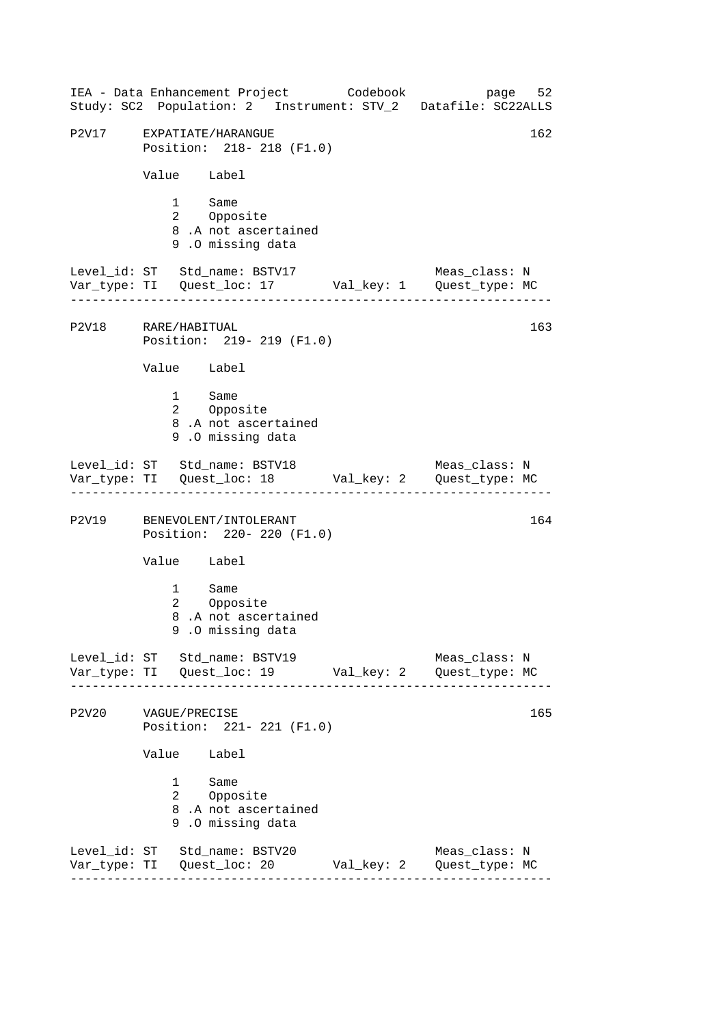------------------------------------------------------------------ ------------------------------------------------------------------ ------------------------------------------------------------------ ------------------------------------------------------------------ IEA - Data Enhancement Project Codebook page 52 Study: SC2 Population: 2 Instrument: STV\_2 Datafile: SC22ALLS P2V17 EXPATIATE/HARANGUE 162 Position: 218- 218 (F1.0) Value Label 1 Same<br>2 Oppos Opposite 8 .A not ascertained 9 .O missing data Level\_id: ST Std\_name: BSTV17 Meas\_class: N Var\_type: TI Quest\_loc: 17 Val\_key: 1 Quest\_type: MC P2V18 RARE/HABITUAL Position: 219- 219 (F1.0) Value Label 1 Same 2 Opposite 8 .A not ascertained 9 .O missing data Level\_id: ST Std\_name: BSTV18 Meas\_class: N Var\_type: TI Quest\_loc: 18 Val\_key: 2 Quest\_type: MC P2V19 BENEVOLENT/INTOLERANT 164 Position: 220- 220 (F1.0) Value Label 1 Same 2 Opposite 8 .A not ascertained 9 .O missing data Level\_id: ST Std\_name: BSTV19 Meas\_class: N Var\_type: TI Quest\_loc: 19 Val\_key: 2 Quest\_type: MC P2V20 VAGUE/PRECISE 165 Position: 221- 221 (F1.0) Value Label 1 Same 2 Opposite 8 .A not ascertained 9 .O missing data Level\_id: ST Std\_name: BSTV20 Meas\_class: N Var\_type: TI Quest\_loc: 20 Val\_key: 2 Quest\_type: MC 163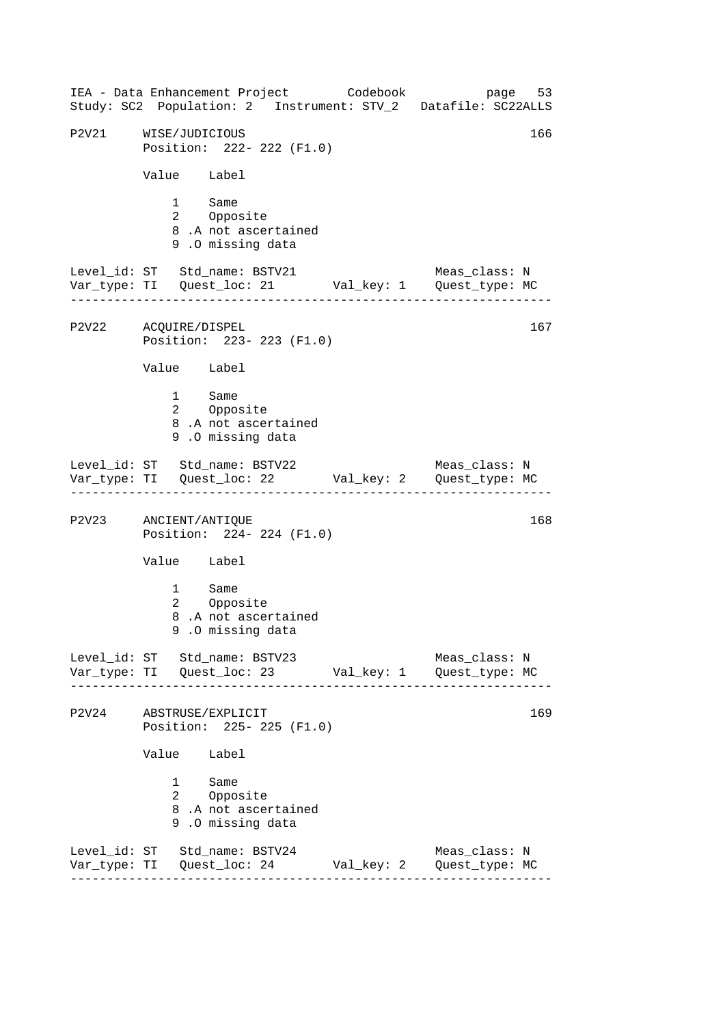------------------------------------------------------------------ ------------------------------------------------------------------ ------------------------------------------------------------------ ------------------------------------------------------------------ IEA - Data Enhancement Project Codebook page 53 Study: SC2 Population: 2 Instrument: STV\_2 Datafile: SC22ALLS P2V21 WISE/JUDICIOUS 2001 166 Position: 222- 222 (F1.0) Value Label 1 Same<br>2 Oppos Opposite 8 .A not ascertained 9 .O missing data Level\_id: ST Std\_name: BSTV21 Meas\_class: N Var\_type: TI Quest\_loc: 21 Val\_key: 1 Quest\_type: MC P2V22 ACQUIRE/DISPEL Position: 223- 223 (F1.0) Value Label 1 Same 2 Opposite 8 .A not ascertained 9 .O missing data Level\_id: ST Std\_name: BSTV22 Meas\_class: N Var\_type: TI Quest\_loc: 22 Val\_key: 2 Quest\_type: MC P2V23 ANCIENT/ANTIQUE 168 Position: 224- 224 (F1.0) Value Label 1 Same 2 Opposite 8 .A not ascertained 9 .O missing data Level\_id: ST Std\_name: BSTV23 Meas\_class: N Var\_type: TI Quest\_loc: 23 Val\_key: 1 Quest\_type: MC P2V24 ABSTRUSE/EXPLICIT 169 Position: 225- 225 (F1.0) Value Label 1 Same 2 Opposite 8 .A not ascertained 9 .O missing data Level\_id: ST Std\_name: BSTV24 Meas\_class: N Var\_type: TI Quest\_loc: 24 Val\_key: 2 Quest\_type: MC 167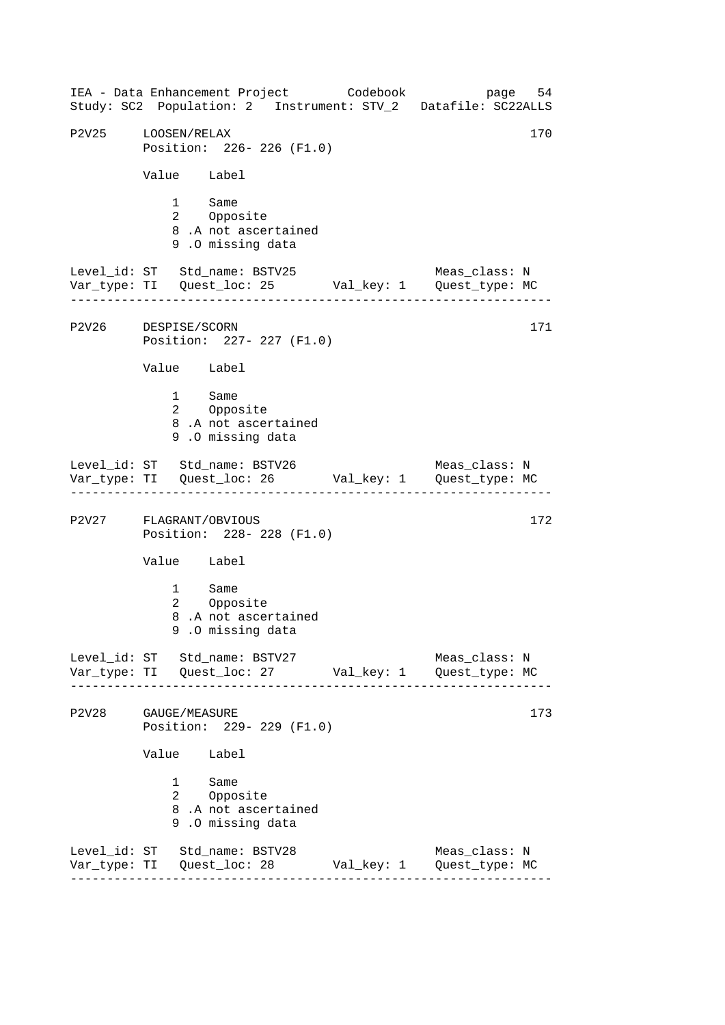------------------------------------------------------------------ ------------------------------------------------------------------ ------------------------------------------------------------------ ------------------------------------------------------------------ IEA - Data Enhancement Project Codebook page 54 Study: SC2 Population: 2 Instrument: STV\_2 Datafile: SC22ALLS P2V25 LOOSEN/RELAX 170 Position: 226- 226 (F1.0) Value Label 1 Same<br>2 Oppos Opposite 8 .A not ascertained 9 .O missing data Level\_id: ST Std\_name: BSTV25 Meas\_class: N Var\_type: TI Quest\_loc: 25 Val\_key: 1 Quest\_type: MC P2V26 DESPISE/SCORN Position: 227- 227 (F1.0) Value Label 1 Same 2 Opposite 8 .A not ascertained 9 .O missing data Level\_id: ST Std\_name: BSTV26 Meas\_class: N Var\_type: TI Quest\_loc: 26 Val\_key: 1 Quest\_type: MC P2V27 FLAGRANT/OBVIOUS 172 Position: 228- 228 (F1.0) Value Label 1 Same 2 Opposite 8 .A not ascertained 9 .O missing data Level\_id: ST Std\_name: BSTV27 Meas\_class: N Var\_type: TI Quest\_loc: 27 Val\_key: 1 Quest\_type: MC P2V28 GAUGE/MEASURE 173 Position: 229- 229 (F1.0) Value Label 1 Same 2 Opposite 8 .A not ascertained 9 .O missing data Level\_id: ST Std\_name: BSTV28 Meas\_class: N Var\_type: TI Quest\_loc: 28 Val\_key: 1 Quest\_type: MC 171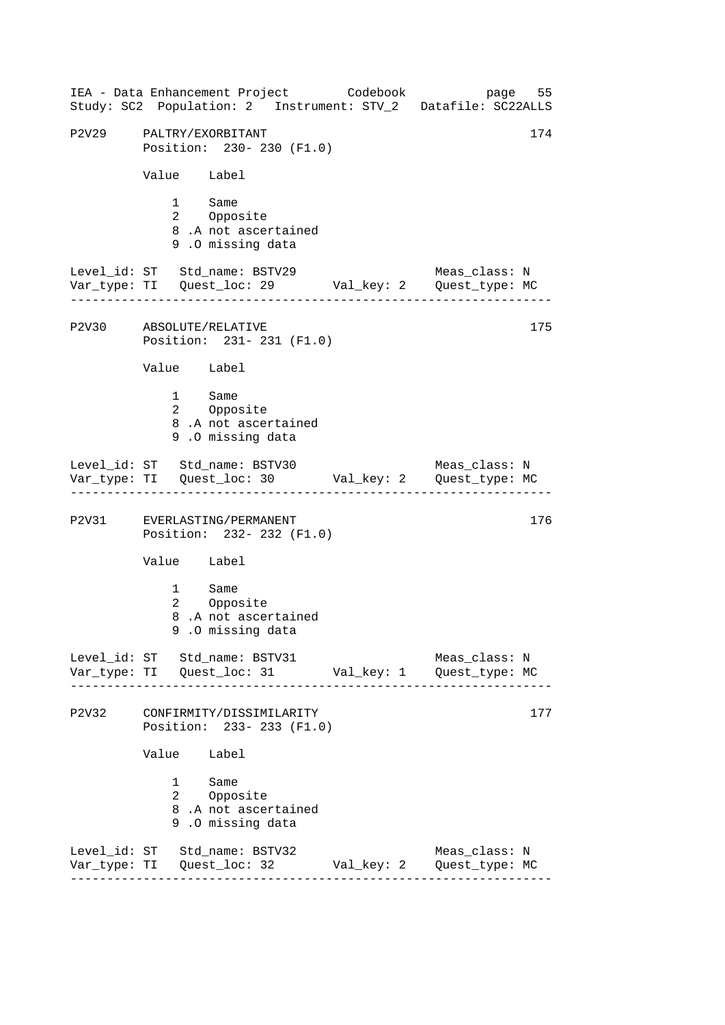------------------------------------------------------------------ ------------------------------------------------------------------ ------------------------------------------------------------------ ------------------------------------------------------------------ IEA - Data Enhancement Project Codebook page 55 Study: SC2 Population: 2 Instrument: STV\_2 Datafile: SC22ALLS P2V29 PALTRY/EXORBITANT 174 Position: 230- 230 (F1.0) Value Label 1 Same<br>2 Oppos Opposite 8 .A not ascertained 9 .O missing data Level\_id: ST Std\_name: BSTV29 Meas\_class: N Var\_type: TI Quest\_loc: 29 Val\_key: 2 Quest\_type: MC P2V30 ABSOLUTE/RELATIVE Position: 231- 231 (F1.0) Value Label 1 Same 2 Opposite 8 .A not ascertained 9 .O missing data Level\_id: ST Std\_name: BSTV30 Meas\_class: N Var\_type: TI Quest\_loc: 30 Val\_key: 2 Quest\_type: MC P2V31 EVERLASTING/PERMANENT 176 Position: 232- 232 (F1.0) Value Label 1 Same<br>2 Oppos Opposite 8 .A not ascertained 9 .O missing data Level id: ST Std name: BSTV31 Meas class: N Var\_type: TI Quest\_loc: 31 Val\_key: 1 Quest\_type: MC P2V32 CONFIRMITY/DISSIMILARITY 177 Position: 233- 233 (F1.0) Value Label 1 Same 2 Opposite 8 .A not ascertained 9 .O missing data Level\_id: ST Std\_name: BSTV32 Meas\_class: N Var\_type: TI Quest\_loc: 32 Val\_key: 2 Quest\_type: MC 175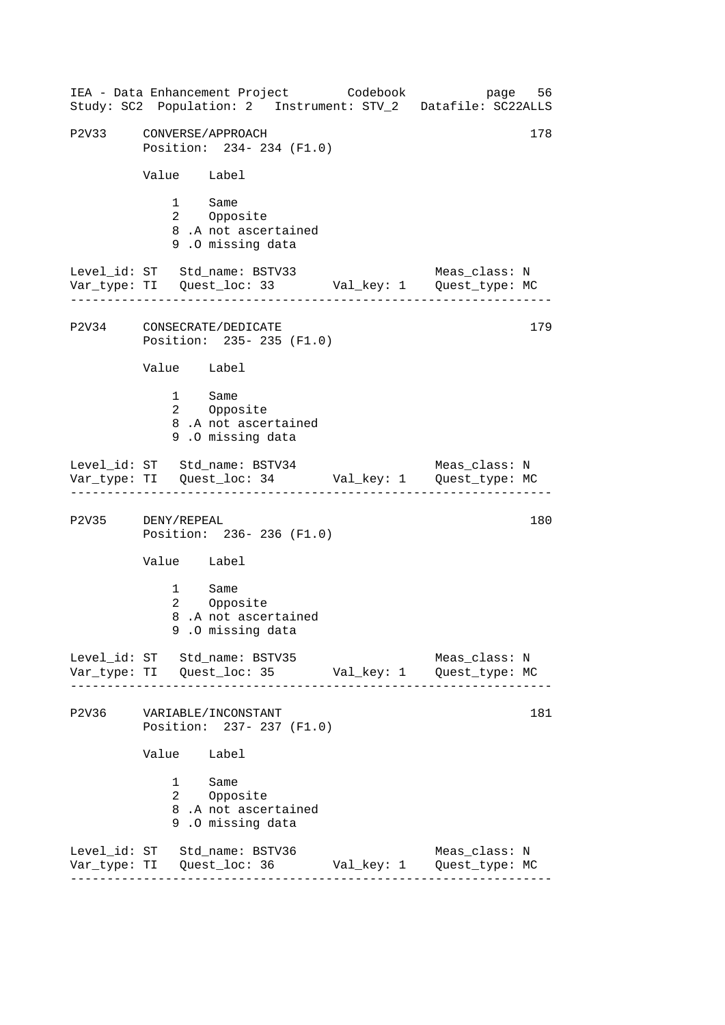------------------------------------------------------------------ ------------------------------------------------------------------ ------------------------------------------------------------------ ------------------------------------------------------------------ IEA - Data Enhancement Project Codebook page 56 Study: SC2 Population: 2 Instrument: STV\_2 Datafile: SC22ALLS P2V33 CONVERSE/APPROACH 178 Position: 234- 234 (F1.0) Value Label 1 Same<br>2 Oppos Opposite 8 .A not ascertained 9 .O missing data Level\_id: ST Std\_name: BSTV33 Meas\_class: N Var\_type: TI Quest\_loc: 33 Val\_key: 1 Quest\_type: MC P2V34 CONSECRATE/DEDICATE Position: 235- 235 (F1.0) Value Label 1 Same 2 Opposite 8 .A not ascertained 9 .O missing data Level\_id: ST Std\_name: BSTV34 Meas\_class: N Var\_type: TI Quest\_loc: 34 Val\_key: 1 Quest\_type: MC P2V35 DENY/REPEAL 180 Position: 236- 236 (F1.0) Value Label 1 Same 2 Opposite 8 .A not ascertained 9 .O missing data Level\_id: ST Std\_name: BSTV35 Meas\_class: N Var\_type: TI Quest\_loc: 35 Val\_key: 1 Quest\_type: MC P2V36 VARIABLE/INCONSTANT 181 Position: 237- 237 (F1.0) Value Label 1 Same 2 Opposite 8 .A not ascertained 9 .O missing data Level\_id: ST Std\_name: BSTV36 Meas\_class: N Var\_type: TI Quest\_loc: 36 Val\_key: 1 Quest\_type: MC 179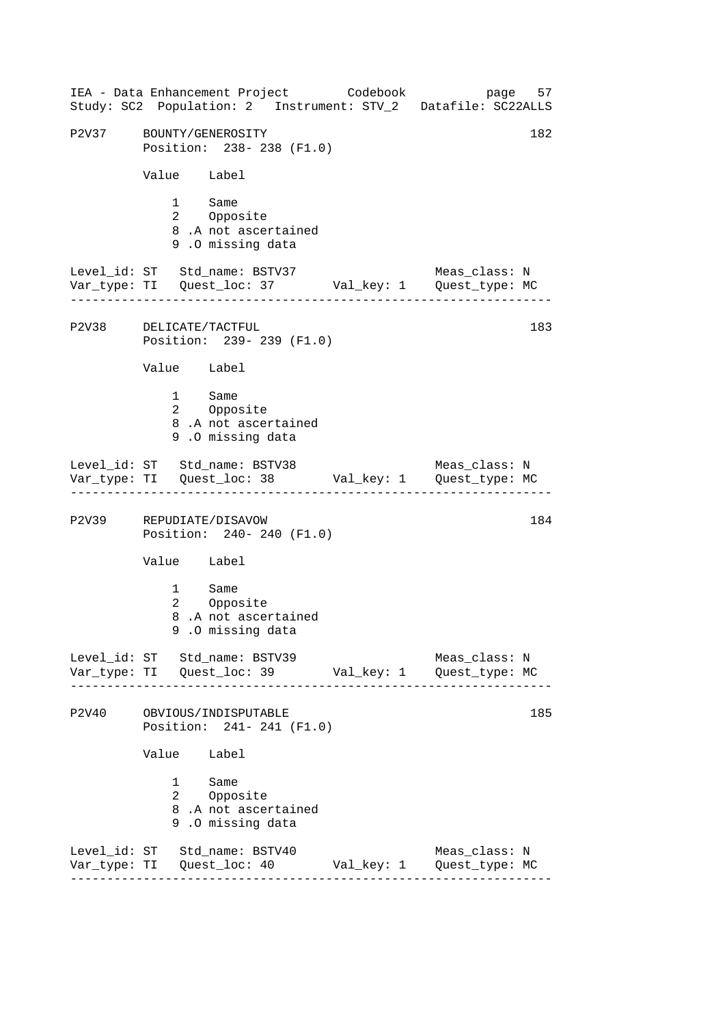------------------------------------------------------------------ ------------------------------------------------------------------ ------------------------------------------------------------------ ------------------------------------------------------------------ IEA - Data Enhancement Project Codebook page 57 Study: SC2 Population: 2 Instrument: STV\_2 Datafile: SC22ALLS P2V37 BOUNTY/GENEROSITY 182 Position: 238- 238 (F1.0) Value Label 1 Same<br>2 Oppos Opposite 8 .A not ascertained 9 .O missing data Level\_id: ST Std\_name: BSTV37 Meas\_class: N Var\_type: TI Quest\_loc: 37 Val\_key: 1 Quest\_type: MC P2V38 DELICATE/TACTFUL Position: 239- 239 (F1.0) Value Label 1 Same 2 Opposite 8 .A not ascertained 9 .O missing data Level\_id: ST Std\_name: BSTV38 Meas\_class: N Var\_type: TI Quest\_loc: 38 Val\_key: 1 Quest\_type: MC P2V39 REPUDIATE/DISAVOW 184 Position: 240- 240 (F1.0) Value Label 1 Same 2 Opposite 8 .A not ascertained 9 .O missing data Level\_id: ST Std\_name: BSTV39 Meas\_class: N Var\_type: TI Quest\_loc: 39 Val\_key: 1 Quest\_type: MC P2V40 OBVIOUS/INDISPUTABLE 185 Position: 241- 241 (F1.0) Value Label 1 Same 2 Opposite 8 .A not ascertained 9 .O missing data Level\_id: ST Std\_name: BSTV40 Meas\_class: N Var\_type: TI Quest\_loc: 40 Val\_key: 1 Quest\_type: MC 183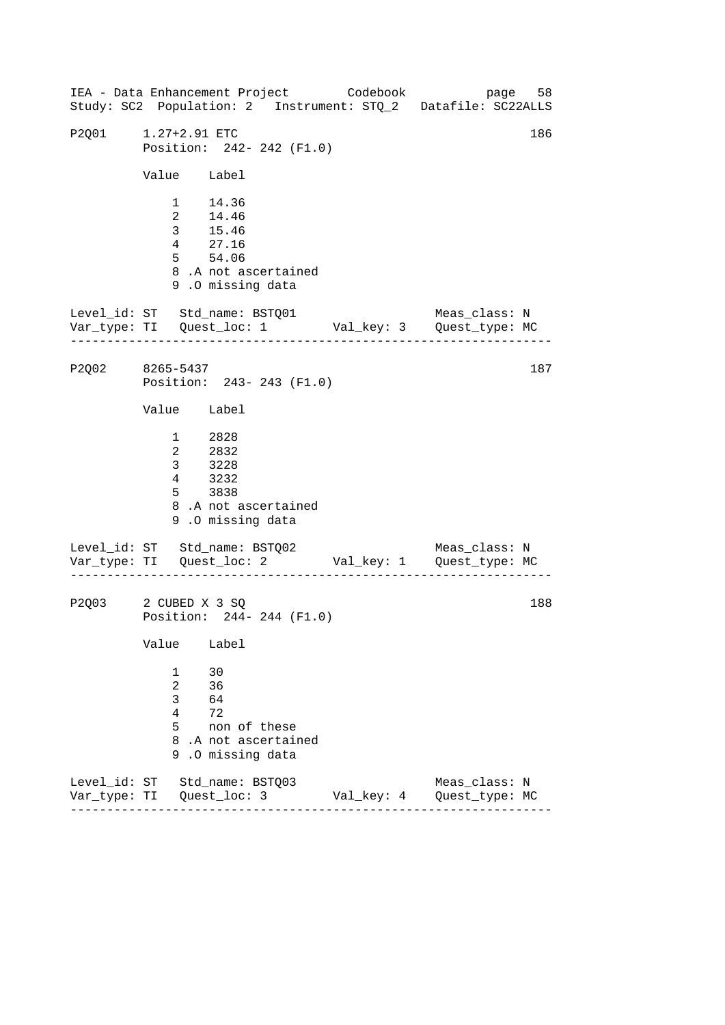------------------------------------------------------------------ ------------------------------------------------------------------ ------------------------------------------------------------------ IEA - Data Enhancement Project Codebook page 58 Study: SC2 Population: 2 Instrument: STQ\_2 Datafile: SC22ALLS P2Q01 [1.27+2.91](https://1.27+2.91) ETC 186 Position: 242- 242 (F1.0) Value Label 1 14.36 2 14.46 3 15.46 4 27.16 5 54.06 8 .A not ascertained 9 .O missing data Level\_id: ST Std\_name: BSTQ01 Meas\_class: N Var\_type: TI Quest\_loc: 1 Val\_key: 3 Quest\_type: MC P2Q02 8265-5437 Position: 243- 243 (F1.0) Value Label 1 2828 2 2832 3 3228 4 3232 5 3838 8 .A not ascertained 9 .O missing data Level\_id: ST Std\_name: BSTQ02 Var\_type: TI Quest\_loc: 2 Val\_key: 1 Quest\_type: MC Meas\_class: N P2Q03 2 CUBED X 3 SQ Position: 244- 244 (F1.0) Value Label 1 30 2 36 3 64 4 72 5 non of these 8 .A not ascertained 9 .O missing data Level\_id: ST Std\_name: BSTQ03 Meas\_class: N Var\_type: TI Quest\_loc: 3 Val\_key: 4 Quest\_type: MC 187 188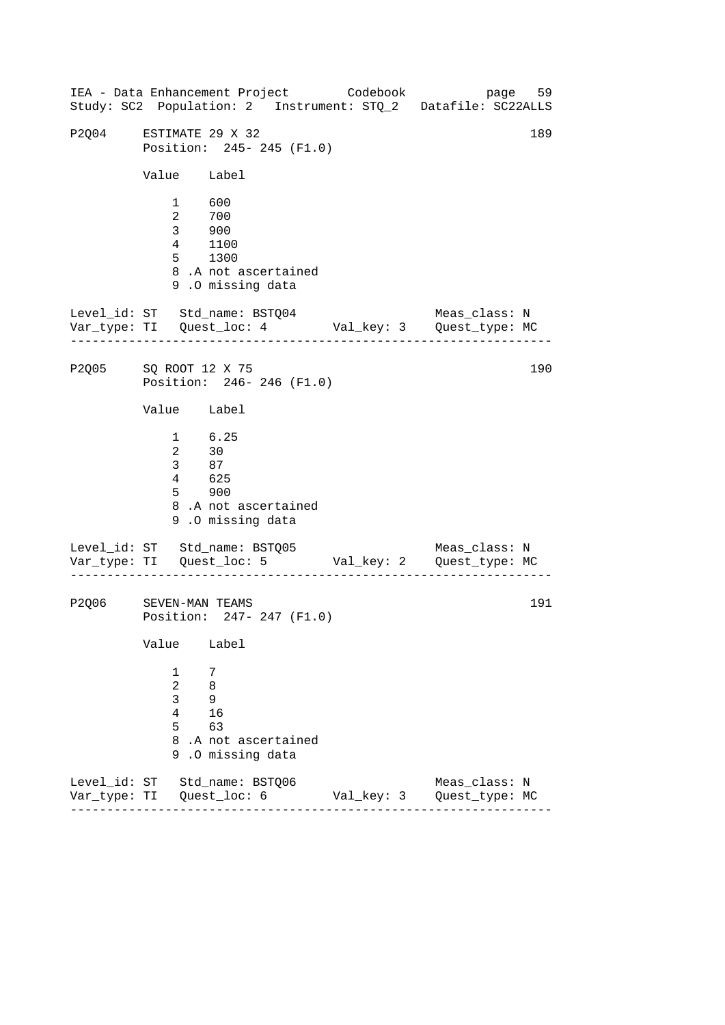------------------------------------------------------------------ ------------------------------------------------------------------ ------------------------------------------------------------------ IEA - Data Enhancement Project Codebook page 59 Study: SC2 Population: 2 Instrument: STQ\_2 Datafile: SC22ALLS P2004 ESTIMATE 29 X 32 189 Position: 245- 245 (F1.0) Value Label 1 600 2 700 3 900 4 1100 5 1300 8 .A not ascertained 9 .O missing data Level\_id: ST Std\_name: BSTQ04 Meas\_class: N Var\_type: TI Quest\_loc: 4 Val\_key: 3 Quest\_type: MC P2Q05 SQ ROOT 12 X 75 Position: 246- 246 (F1.0) Value Label 1 6.25 2 30 3 87  $4 \overline{625}$ 5 900 8 .A not ascertained 9 .O missing data Level\_id: ST Std\_name: BSTQ05 Var\_type: TI Quest\_loc: 5 Val\_key: 2 Quest\_type: MC Meas\_class: N P2Q06 SEVEN-MAN TEAMS Position: 247- 247 (F1.0) Value Label 1 7 2 8 3 9 4 16 5 63 8 .A not ascertained 9 .O missing data Level\_id: ST Std\_name: BSTQ06 Meas\_class: N Var\_type: TI Quest\_loc: 6 Val\_key: 3 Quest\_type: MC 190 191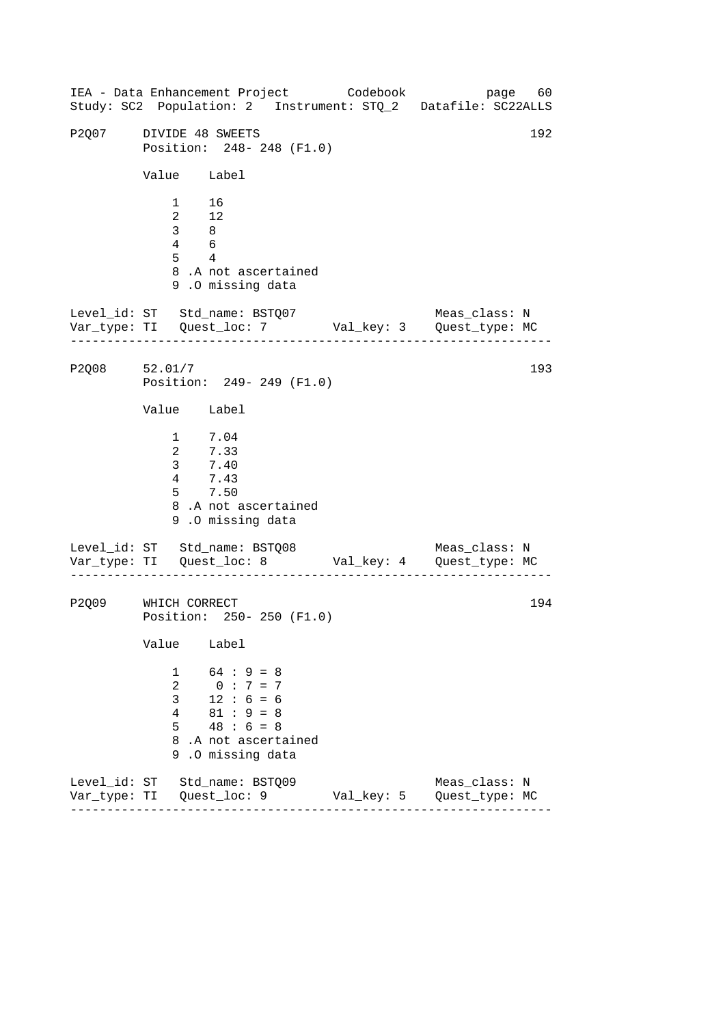------------------------------------------------------------------ ------------------------------------------------------------------ IEA - Data Enhancement Project Codebook page 60 Study: SC2 Population: 2 Instrument: STQ\_2 Datafile: SC22ALLS P2007 DIVIDE 48 SWEETS 192 Position: 248- 248 (F1.0) Value Label 1 16 2 12 3 8 4 6 5 4 8 .A not ascertained 9 .O missing data Level\_id: ST Std\_name: BSTQ07 Meas\_class: N Var\_type: TI Quest\_loc: 7 Val\_key: 3 Quest\_type: MC P2Q08 52.01/7 Position: 249- 249 (F1.0) Value Label 1 7.04 2 7.33 3 7.40 4 7.43 5 7.50 8 .A not ascertained 9 .O missing data Level\_id: ST Std\_name: BSTQ08 Var\_type: TI Quest\_loc: 8 Val\_key: 4 Quest\_type: MC Meas\_class: N P2Q09 WHICH CORRECT Position: 250- 250 (F1.0) Value Label  $1 \t 64 : 9 = 8$ 2 0 : 7 = 7  $3 \t12 : 6 = 6$ 4 81 : 9 = 8  $5 \t 48 \t : 6 = 8$ 8 .A not ascertained 9 .O missing data Level\_id: ST Std\_name: BSTQ09 Meas\_class: N Var\_type: TI Quest\_loc: 9 Val\_key: 5 Quest\_type: MC 193 194

------------------------------------------------------------------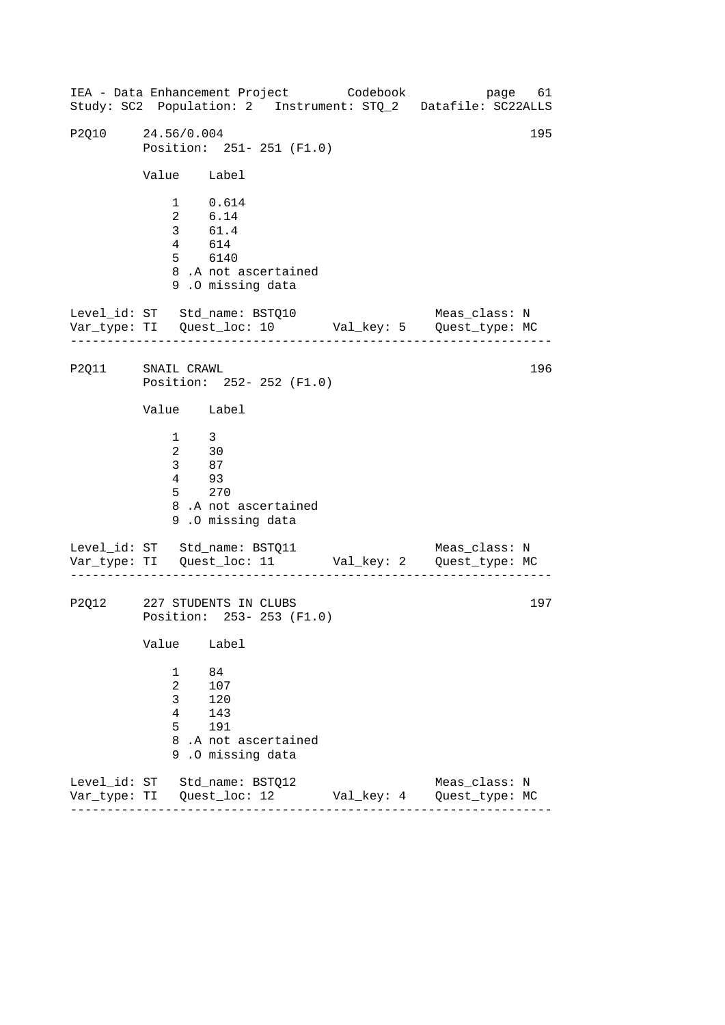------------------------------------------------------------------ ------------------------------------------------------------------ ------------------------------------------------------------------ IEA - Data Enhancement Project Codebook page 61 Study: SC2 Population: 2 Instrument: STQ\_2 Datafile: SC22ALLS P2O10 24.56/0.004 195 Position: 251- 251 (F1.0) Value Label 1 0.614 2 6.14 3 61.4 4 614 5 6140 8 .A not ascertained 9 .O missing data Level\_id: ST Std\_name: BSTQ10 Meas\_class: N Var\_type: TI Quest\_loc: 10 Val\_key: 5 Quest\_type: MC P2Q11 SNAIL CRAWL Position: 252- 252 (F1.0) Value Label 1 3 2 30 3 87 4 93 5 270 8 .A not ascertained 9 .O missing data Level\_id: ST Std\_name: BSTQ11 Var\_type: TI Quest\_loc: 11 Val\_key: 2 Quest\_type: MC Meas\_class: N P2Q12 227 STUDENTS IN CLUBS Position: 253- 253 (F1.0) Value Label 1 84 2 107 3 120 4 143 5 191 8 .A not ascertained 9 .O missing data Level\_id: ST Std\_name: BSTQ12 Meas\_class: N Var\_type: TI Quest\_loc: 12 Val\_key: 4 Quest\_type: MC 196 197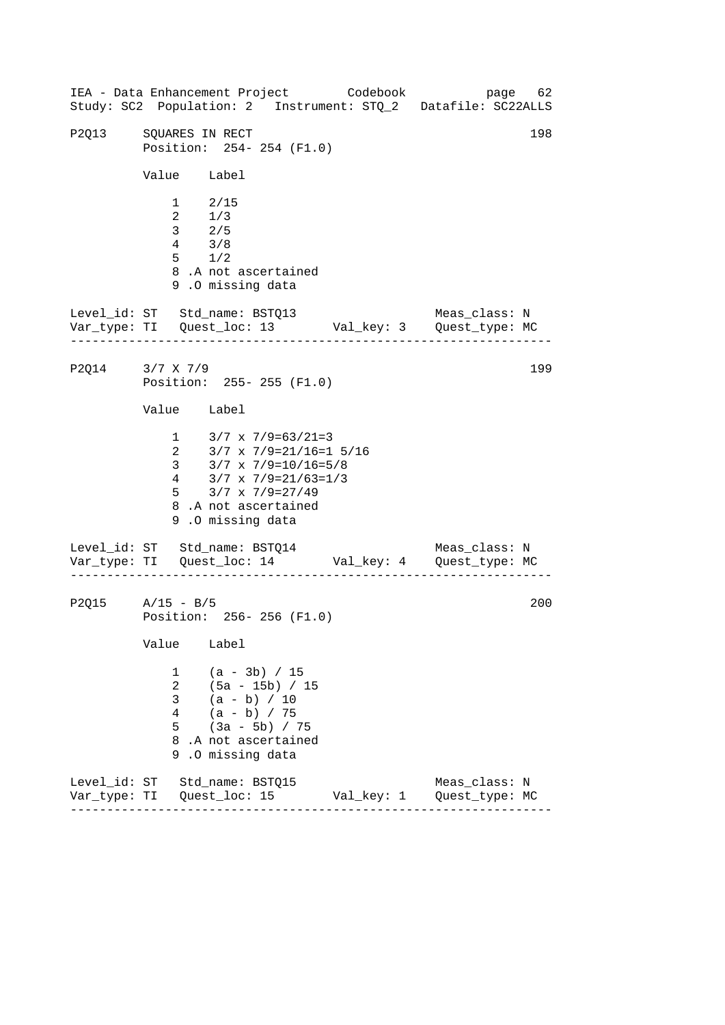------------------------------------------------------------------ ------------------------------------------------------------------ IEA - Data Enhancement Project Codebook page 62 Study: SC2 Population: 2 Instrument: STQ\_2 Datafile: SC22ALLS P2013 SOUARES IN RECT 198 Position: 254- 254 (F1.0) Value Label 1 2/15 2 1/3 3 2/5 4 3/8 5 1/2 8 .A not ascertained 9 .O missing data Level\_id: ST Std\_name: BSTQ13 Meas\_class: N Var\_type: TI Quest\_loc: 13 Val\_key: 3 Quest\_type: MC P2014 3/7 X 7/9 199 Position: 255- 255 (F1.0) Value Label 1  $3/7 \times 7/9 = 63/21 = 3$ 2 3/7 x 7/9=21/16=1 5/16 3 3/7 x 7/9=10/16=5/8 4 3/7 x 7/9=21/63=1/3 5 3/7 x 7/9=27/49 8 .A not ascertained 9 .O missing data Level\_id: ST Std\_name: BSTQ14 Meas\_class: N Var\_type: TI Quest\_loc: 14 Val\_key: 4 Quest\_type: MC P2Q15 A/15 - B/5 200 Position: 256- 256 (F1.0) Value Label 1 (a - 3b) / 15 2 (5a - 15b) / 15  $3 \t (a - b) / 10$ 4 (a - b) / 75 5 (3a - 5b) / 75 8 .A not ascertained 9 .O missing data Level\_id: ST Std\_name: BSTQ15 Meas\_class: N Var\_type: TI Quest\_loc: 15 Val\_key: 1 Quest\_type: MC

------------------------------------------------------------------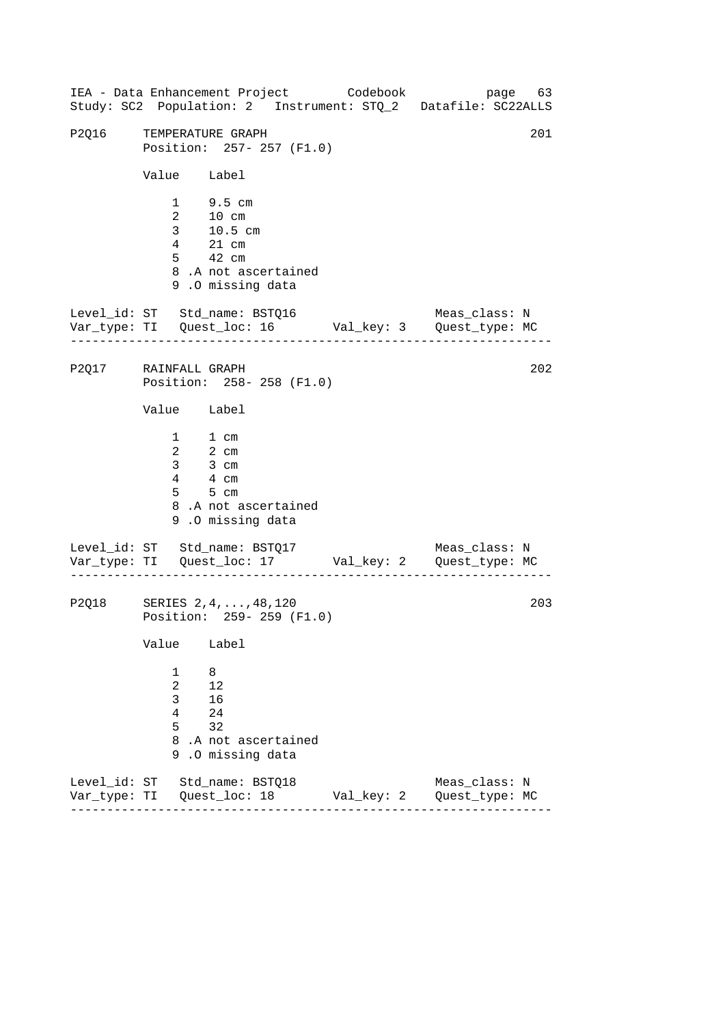------------------------------------------------------------------ ------------------------------------------------------------------ IEA - Data Enhancement Project Codebook page 63 Study: SC2 Population: 2 Instrument: STQ\_2 Datafile: SC22ALLS P2016 TEMPERATURE GRAPH 201 Position: 257- 257 (F1.0) Value Label 1 9.5 cm 2 10 cm 3 10.5 cm 4 21 cm 5 42 cm 8 .A not ascertained 9 .O missing data Level\_id: ST Std\_name: BSTQ16 Meas\_class: N Var\_type: TI Quest\_loc: 16 Val\_key: 3 Quest\_type: MC P2Q17 RAINFALL GRAPH Position: 258- 258 (F1.0) Value Label 1 1 cm 2 2 cm 3 3 cm 4 4 cm 5 5 cm 8 .A not ascertained 9 .O missing data Level\_id: ST Std\_name: BSTQ17 Var\_type: TI Quest\_loc: 17 Val\_key: 2 Quest\_type: MC Meas\_class: N P2Q18 SERIES 2,4,...,48,120 Position: 259- 259 (F1.0) Value Label 1 8 2 12 3 16 4 24 5 32 8 .A not ascertained 9 .O missing data Level\_id: ST Std\_name: BSTQ18 Meas\_class: N Var\_type: TI Quest\_loc: 18 Val\_key: 2 Quest\_type: MC 202 203

------------------------------------------------------------------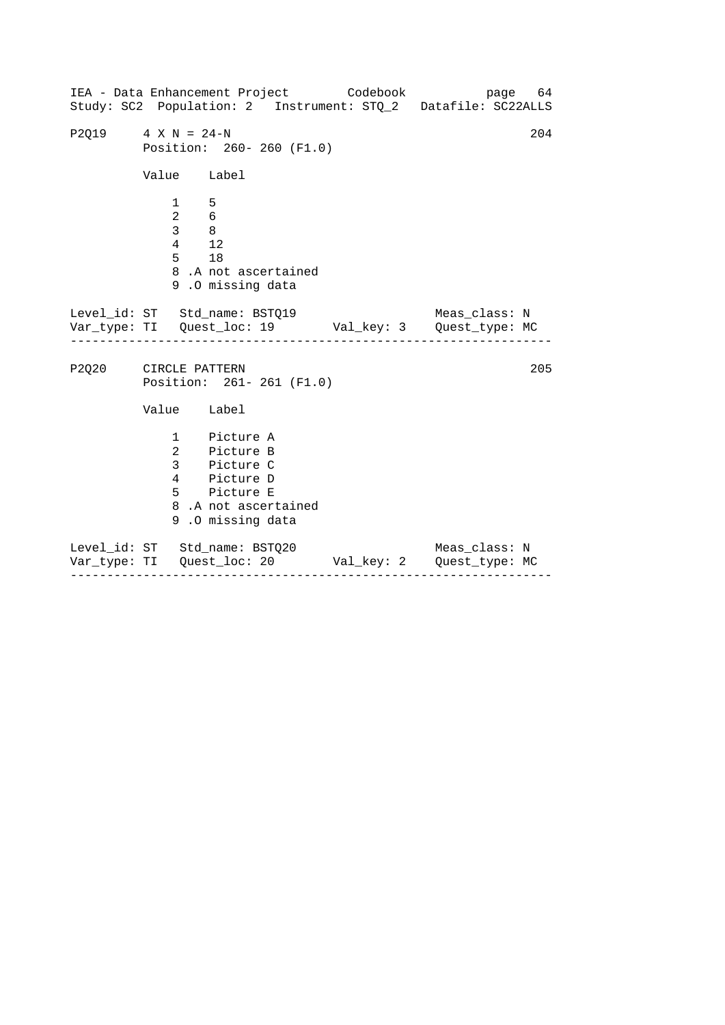|                      |                                                       | IEA - Data Enhancement Project Codebook<br>Study: SC2 Population: 2 Instrument: STQ_2 Datafile: SC22ALLS           |               | page 64 |
|----------------------|-------------------------------------------------------|--------------------------------------------------------------------------------------------------------------------|---------------|---------|
| $P2Q19$ 4 X N = 24-N |                                                       | Position: 260- 260 (F1.0)                                                                                          |               | 204     |
|                      | Value Label                                           |                                                                                                                    |               |         |
|                      | $\mathbf{1}$<br>2 6<br>$3 \qquad 8$<br>4 12<br>$5$ 18 | 5<br>8.A not ascertained<br>9.0 missing data                                                                       |               |         |
|                      |                                                       | Level_id: ST Std_name: BSTQ19                                                                                      | Meas_class: N |         |
| P2Q20 CIRCLE PATTERN |                                                       | Position: 261-261 (F1.0)                                                                                           |               | 205     |
|                      | Value Label                                           |                                                                                                                    |               |         |
|                      |                                                       | 1 Picture A<br>2 Picture B<br>3 Picture C<br>4 Picture D<br>5 Picture E<br>8.A not ascertained<br>9.0 missing data |               |         |
|                      |                                                       | Level_id: ST Std_name: BSTQ20<br>Var_type: TI Quest_loc: 20    Val_key: 2    Quest_type: MC                        | Meas_class: N |         |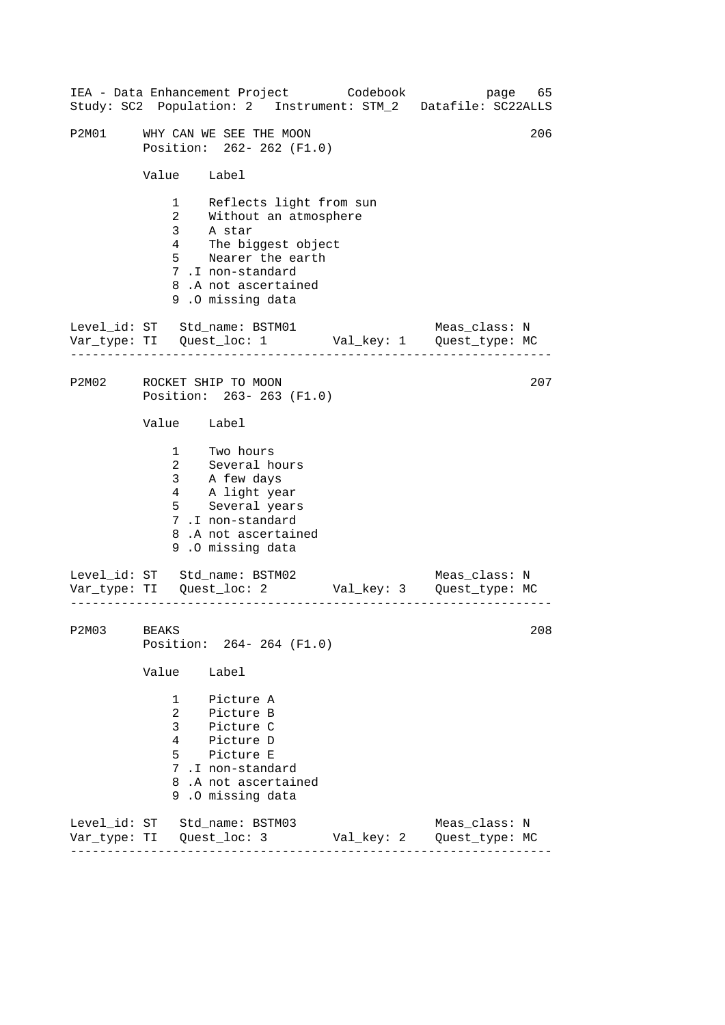|       |                                                      |                                                                                                                                                                             | IEA - Data Enhancement Project Codebook | page 65<br>Study: SC2 Population: 2 Instrument: STM_2 Datafile: SC22ALLS      |  |  |
|-------|------------------------------------------------------|-----------------------------------------------------------------------------------------------------------------------------------------------------------------------------|-----------------------------------------|-------------------------------------------------------------------------------|--|--|
| P2M01 | WHY CAN WE SEE THE MOON<br>Position: 262- 262 (F1.0) |                                                                                                                                                                             |                                         |                                                                               |  |  |
|       | Value Label                                          |                                                                                                                                                                             |                                         |                                                                               |  |  |
|       | $5^{\circ}$                                          | 1 Reflects light from sun<br>2 Without an atmosphere<br>3 A star<br>4 The biggest object<br>Nearer the earth<br>7.I non-standard<br>8.A not ascertained<br>9.0 missing data |                                         |                                                                               |  |  |
|       |                                                      | Level_id: ST Std_name: BSTM01                                                                                                                                               |                                         | Meas_class: N<br>Var_type: TI    Quest_loc: 1    Val_key: 1    Quest_type: MC |  |  |
| P2M02 |                                                      | ROCKET SHIP TO MOON<br>207<br>Position: 263-263 (F1.0)                                                                                                                      |                                         |                                                                               |  |  |
|       | Value Label                                          |                                                                                                                                                                             |                                         |                                                                               |  |  |
|       |                                                      | 1 Two hours<br>2 Several hours<br>3 A few days<br>4 A light year<br>5 Several years<br>7.I non-standard<br>8.A not ascertained<br>9.0 missing data                          |                                         |                                                                               |  |  |
|       |                                                      | Level_id: ST Std_name: BSTM02                                                                                                                                               |                                         | Meas_class: N                                                                 |  |  |
| P2M03 | BEAKS                                                | Position: 264-264 (F1.0)                                                                                                                                                    |                                         | 208                                                                           |  |  |
|       | Value                                                | Label                                                                                                                                                                       |                                         |                                                                               |  |  |
|       | $\overline{2}$<br>$\mathbf{3}$<br>$5^{\circ}$        | 1 Picture A<br>Picture B<br>Picture C<br>4 Picture D<br>Picture E<br>7.I non-standard<br>8.A not ascertained<br>9.0 missing data                                            |                                         |                                                                               |  |  |
|       |                                                      | Level_id: ST Std_name: BSTM03                                                                                                                                               | Val_key: 2                              | Meas_class: N<br>Quest_type: MC                                               |  |  |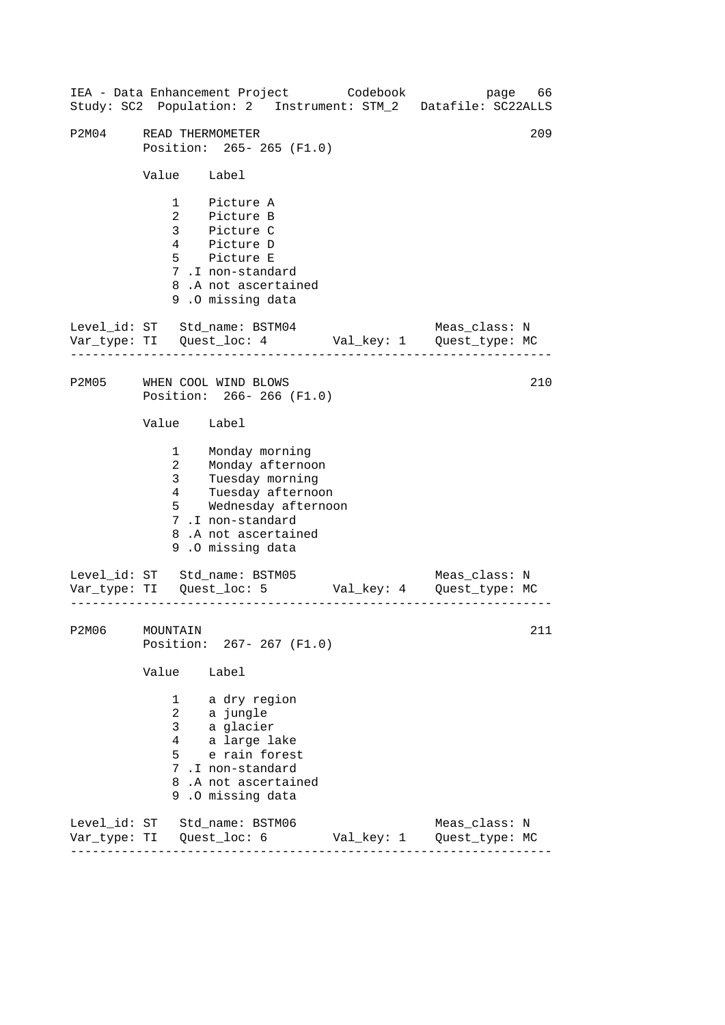------------------------------------------------------------------ ------------------------------------------------------------------ ------------------------------------------------------------------ IEA - Data Enhancement Project Codebook page 66 Study: SC2 Population: 2 Instrument: STM\_2 Datafile: SC22ALLS P2M04 READ THERMOMETER 209 Position: 265- 265 (F1.0) Value Label 1 Picture A 2 Picture B 3 Picture C 4 Picture D 5 Picture E 7 .I non-standard 8 .A not ascertained 9 .O missing data Level id: ST Std name: BSTM04 Meas class: N Var\_type: TI Quest\_loc: 4 Val\_key: 1 Quest\_type: MC P2M05 WHEN COOL WIND BLOWS Position: 266- 266 (F1.0) Value Label 1 Monday morning 2 Monday afternoon 3 Tuesday morning 4 Tuesday afternoon 5 Wednesday afternoon 7 .I non-standard 8 .A not ascertained 9 .O missing data Level\_id: ST Std\_name: BSTM05 Meas\_class: N Var\_type: TI Quest\_loc: 5 Val\_key: 4 Quest\_type: MC P2M06 MOUNTAIN Position: 267- 267 (F1.0) Value Label 1 a dry region 2 a jungle 3 a glacier 4 a large lake 5 e rain forest 7 .I non-standard 8 .A not ascertained 9 .O missing data Level\_id: ST Std\_name: BSTM06 Meas\_class: N Var\_type: TI Quest\_loc: 6 Val\_key: 1 Quest\_type: MC 210 211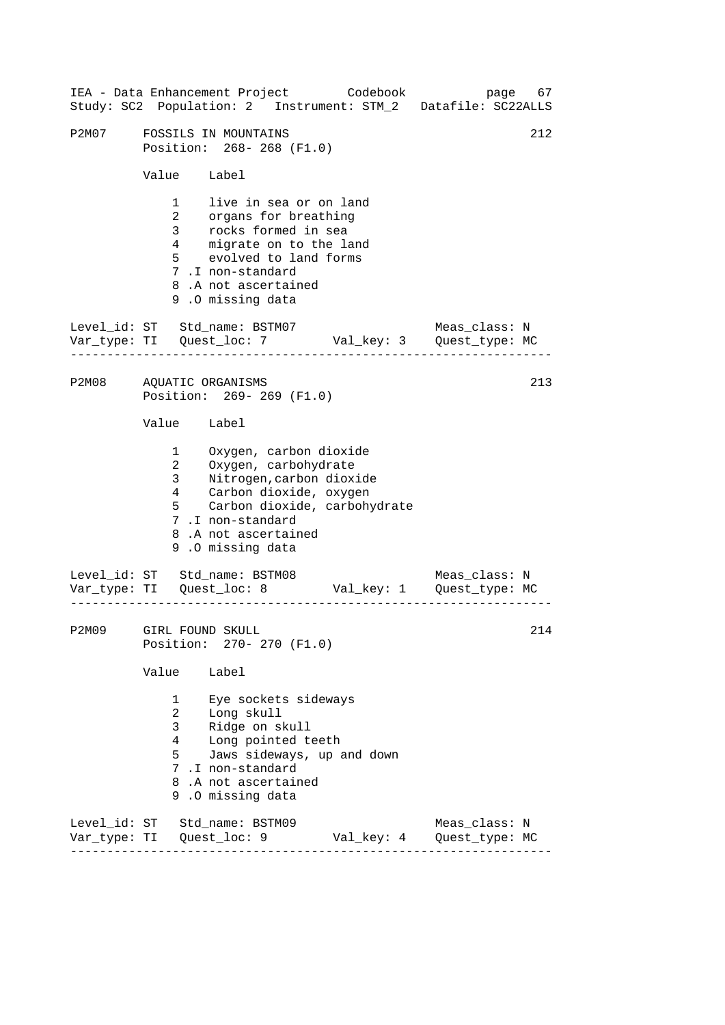|       | IEA - Data Enhancement Project Codebook<br>Study: SC2 Population: 2 Instrument: STM_2 Datafile: SC22ALLS                                                                                                                                 | page 67                         |  |  |  |
|-------|------------------------------------------------------------------------------------------------------------------------------------------------------------------------------------------------------------------------------------------|---------------------------------|--|--|--|
| P2M07 | 212<br>FOSSILS IN MOUNTAINS<br>Position: 268-268 (F1.0)                                                                                                                                                                                  |                                 |  |  |  |
|       | Value Label                                                                                                                                                                                                                              |                                 |  |  |  |
|       | 1 live in sea or on land<br>2 organs for breathing<br>3 rocks formed in sea<br>4 migrate on to the land<br>$5^{\circ}$<br>evolved to land forms<br>7.I non-standard<br>8.A not ascertained<br>9.0 missing data                           |                                 |  |  |  |
|       | Level_id: ST Std_name: BSTM07 Meas_class: N<br>Var_type: TI Quest_loc: 7 Val_key: 3 Quest_type: MC                                                                                                                                       |                                 |  |  |  |
|       | P2M08 AQUATIC ORGANISMS<br>Position: 269- 269 (F1.0)                                                                                                                                                                                     | 213                             |  |  |  |
|       | Value Label                                                                                                                                                                                                                              |                                 |  |  |  |
|       | 1 Oxygen, carbon dioxide<br>Oxygen, carbohydrate<br>$\mathbf{2}$<br>3 Nitrogen, carbon dioxide<br>4 Carbon dioxide, oxygen<br>$5^{\circ}$<br>Carbon dioxide, carbohydrate<br>7.I non-standard<br>8.A not ascertained<br>9.0 missing data |                                 |  |  |  |
|       | Level_id: ST Std_name: BSTM08<br>Var_type: TI Quest_loc: 8 Val_key: 1 Quest_type: MC                                                                                                                                                     | Meas_class: N                   |  |  |  |
| P2M09 | 214<br>GIRL FOUND SKULL<br>Position: 270- 270 (F1.0)                                                                                                                                                                                     |                                 |  |  |  |
|       | Value<br>Label                                                                                                                                                                                                                           |                                 |  |  |  |
|       | 1<br>Eye sockets sideways<br>Long skull<br>$\overline{2}$<br>3<br>Ridge on skull<br>Long pointed teeth<br>4<br>5<br>Jaws sideways, up and down<br>7.I non-standard<br>8.A not ascertained<br>9.0 missing data                            |                                 |  |  |  |
|       | Level_id: ST Std_name: BSTM09<br>Var_type: TI   Quest_loc: 9<br>Val_key: 4                                                                                                                                                               | Meas_class: N<br>Quest_type: MC |  |  |  |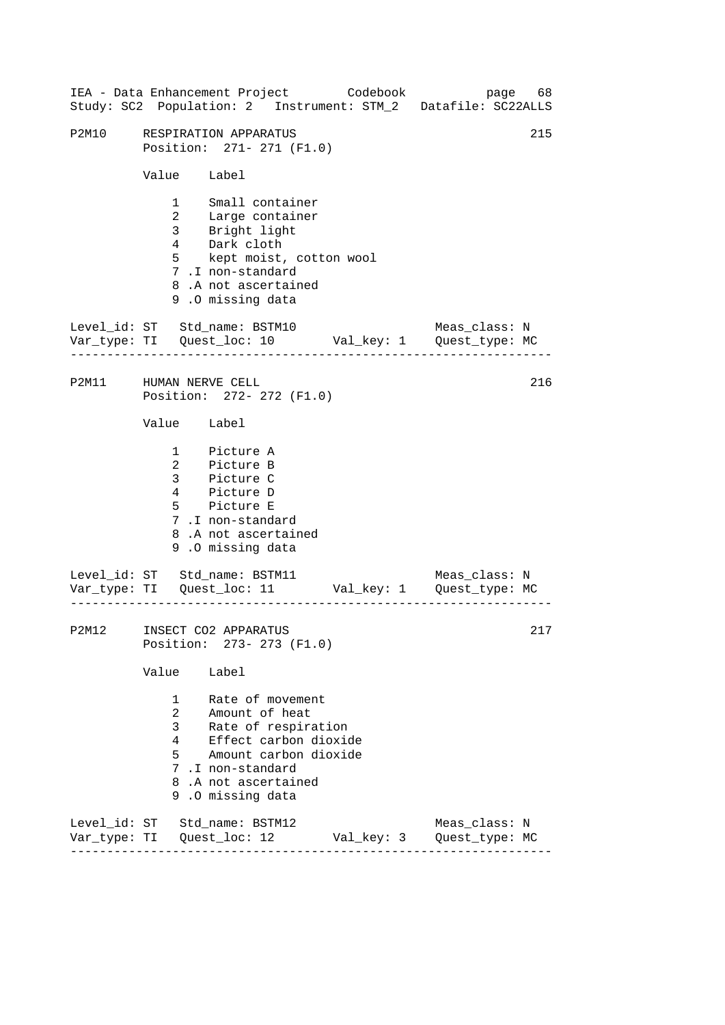|       | IEA - Data Enhancement Project Codebook page 68<br>Study: SC2 Population: 2 Instrument: STM_2 Datafile: SC22ALLS                                                                                                                                    |            |                                 |  |  |  |
|-------|-----------------------------------------------------------------------------------------------------------------------------------------------------------------------------------------------------------------------------------------------------|------------|---------------------------------|--|--|--|
| P2M10 | 215<br>RESPIRATION APPARATUS<br>Position: 271- 271 (F1.0)                                                                                                                                                                                           |            |                                 |  |  |  |
|       | Value Label                                                                                                                                                                                                                                         |            |                                 |  |  |  |
|       | 1 Small container<br>2 Large container<br>3 Bright light<br>4 Dark cloth<br>5 kept moist, cotton wool<br>7.I non-standard<br>8.A not ascertained<br>9.0 missing data                                                                                |            |                                 |  |  |  |
|       | Level_id: ST Std_name: BSTM10 Meas_class: N<br>Var_type: TI Quest_loc: 10 Val_key: 1 Quest_type: MC                                                                                                                                                 |            |                                 |  |  |  |
|       | P2M11 HUMAN NERVE CELL<br>Position: 272- 272 (F1.0)                                                                                                                                                                                                 |            |                                 |  |  |  |
|       | Value Label                                                                                                                                                                                                                                         |            |                                 |  |  |  |
|       | 1 Picture A<br>2 Picture B<br>3 Picture C<br>4 Picture D<br>5 Picture E<br>7.I non-standard<br>8.A not ascertained<br>9.0 missing data                                                                                                              |            |                                 |  |  |  |
|       | Level_id: ST Std_name: BSTM11 Meas_class: N<br>Var_type: TI Quest_loc: 11 Val_key: 1 Quest_type: MC<br>_________________________________                                                                                                            |            |                                 |  |  |  |
|       | P2M12 INSECT CO2 APPARATUS<br>217<br>Position: 273- 273 (F1.0)                                                                                                                                                                                      |            |                                 |  |  |  |
|       | Value<br>Label                                                                                                                                                                                                                                      |            |                                 |  |  |  |
|       | Rate of movement<br>$\mathbf{1}$<br>Amount of heat<br>$\overline{2}$<br>$\mathbf{3}$<br>Rate of respiration<br>Effect carbon dioxide<br>$4\degree$<br>5<br>Amount carbon dioxide<br>7.I non-standard<br>8.A not ascertained<br>.0 missing data<br>9 |            |                                 |  |  |  |
|       | Level_id: ST Std_name: BSTM12<br>Var_type: TI Quest_loc: 12                                                                                                                                                                                         | Val_key: 3 | Meas_class: N<br>Quest_type: MC |  |  |  |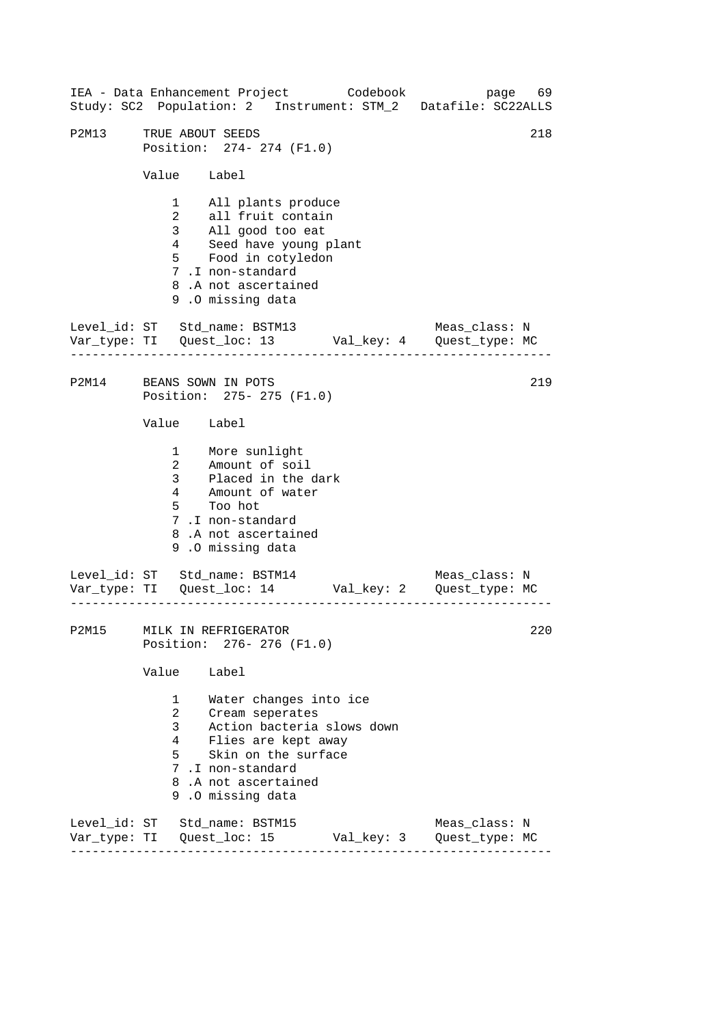------------------------------------------------------------------ ------------------------------------------------------------------ ------------------------------------------------------------------ IEA - Data Enhancement Project Codebook page 69 Study: SC2 Population: 2 Instrument: STM\_2 Datafile: SC22ALLS P2M13 TRUE ABOUT SEEDS 218 Position: 274- 274 (F1.0) Value Label 1 All plants produce 2 all fruit contain 3 All good too eat 4 Seed have young plant 5 Food in cotyledon 7 .I non-standard 8 .A not ascertained 9 .O missing data Level id: ST Std name: BSTM13 Meas class: N Var\_type: TI Quest\_loc: 13 Val\_key: 4 Quest\_type: MC P2M14 BEANS SOWN IN POTS Position: 275- 275 (F1.0) Value Label 1 2 Amount of soil More sunlight 3 Placed in the dark 4 Amount of water 5 Too hot 7 .I non-standard 8 .A not ascertained 9 .O missing data Level\_id: ST Std\_name: BSTM14 Meas\_class: N Var\_type: TI Quest\_loc: 14 Val\_key: 2 Quest\_type: MC P2M15 MILK IN REFRIGERATOR Position: 276- 276 (F1.0) Value Label 1 Water changes into ice 2 Cream seperates 3 Action bacteria slows down 4 Flies are kept away 5 Skin on the surface 7 .I non-standard 8 .A not ascertained 9 .O missing data Level\_id: ST Std\_name: BSTM15 Meas\_class: N Var\_type: TI Quest\_loc: 15 Val\_key: 3 Quest\_type: MC 219 220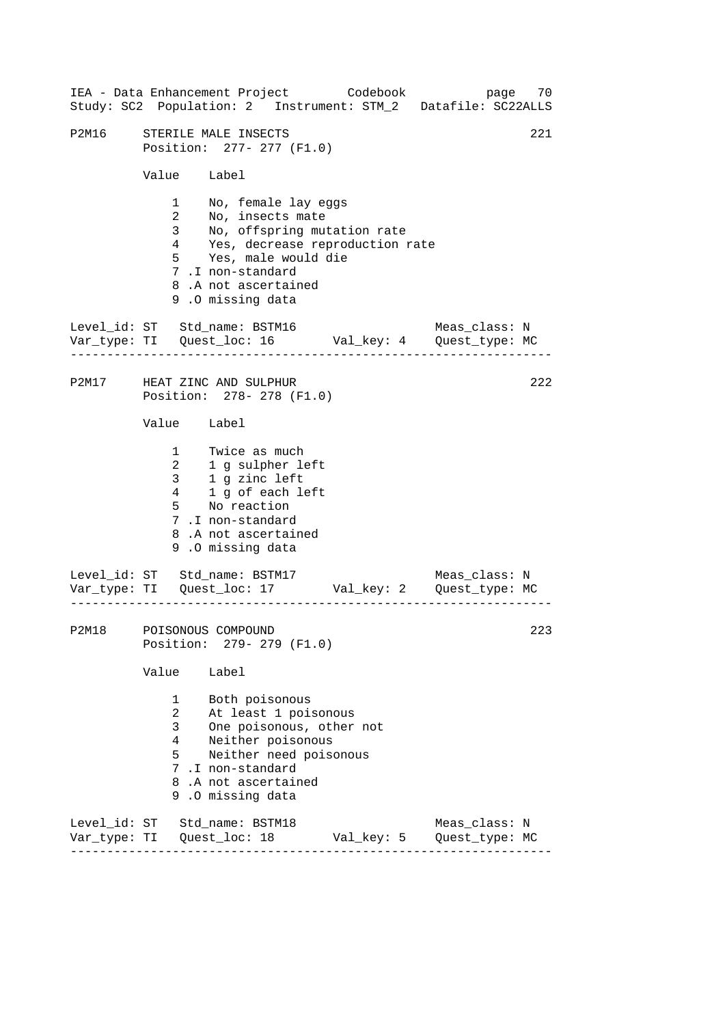|       |                                                                                                                                                                                                               | IEA - Data Enhancement Project Codebook<br>Study: SC2 Population: 2 Instrument: STM_2 Datafile: SC22ALLS                                                                                                               |  |            |                                 | page 70 |
|-------|---------------------------------------------------------------------------------------------------------------------------------------------------------------------------------------------------------------|------------------------------------------------------------------------------------------------------------------------------------------------------------------------------------------------------------------------|--|------------|---------------------------------|---------|
| P2M16 | 221<br>STERILE MALE INSECTS<br>Position: 277- 277 (F1.0)                                                                                                                                                      |                                                                                                                                                                                                                        |  |            |                                 |         |
|       | Value Label                                                                                                                                                                                                   |                                                                                                                                                                                                                        |  |            |                                 |         |
|       | $\mathbf{2}$                                                                                                                                                                                                  | 1 No, female lay eggs<br>No, insects mate<br>3 No, offspring mutation rate<br>4 Yes, decrease reproduction rate<br>5 Yes, male would die<br>7.I non-standard<br>8.A not ascertained<br>9.0 missing data                |  |            |                                 |         |
|       |                                                                                                                                                                                                               | Level_id: ST Std_name: BSTM16                                                                                                                                                                                          |  |            | Meas_class: N                   |         |
|       | P2M17 HEAT ZINC AND SULPHUR<br>Position: 278- 278 (F1.0)                                                                                                                                                      |                                                                                                                                                                                                                        |  |            | 222                             |         |
|       | Value Label                                                                                                                                                                                                   |                                                                                                                                                                                                                        |  |            |                                 |         |
|       |                                                                                                                                                                                                               | 1 Twice as much<br>2 1 g sulpher left<br>3 1 g zinc left<br>$4\qquad 1\stackrel{\overline{\smash{\circ}}}{\smash{\circ}}$ of each left<br>5 No reaction<br>7.I non-standard<br>8.A not ascertained<br>9.0 missing data |  |            |                                 |         |
|       |                                                                                                                                                                                                               | Level_id: ST Std_name: BSTM17<br>Var_type: TI Quest_loc: 17 Val_key: 2 Quest_type: MC                                                                                                                                  |  |            | Meas_class: N                   |         |
|       | 223<br>P2M18 POISONOUS COMPOUND<br>Position: 279- 279 (F1.0)                                                                                                                                                  |                                                                                                                                                                                                                        |  |            |                                 |         |
|       | Value                                                                                                                                                                                                         | Label                                                                                                                                                                                                                  |  |            |                                 |         |
|       | $1 -$<br>Both poisonous<br>2<br>At least 1 poisonous<br>One poisonous, other not<br>3<br>4<br>Neither poisonous<br>5<br>Neither need poisonous<br>7.I non-standard<br>8.A not ascertained<br>9.0 missing data |                                                                                                                                                                                                                        |  |            |                                 |         |
|       |                                                                                                                                                                                                               | Level_id: ST Std_name: BSTM18<br>Var_type: TI   Quest_loc: 18                                                                                                                                                          |  | Val_key: 5 | Meas_class: N<br>Quest_type: MC |         |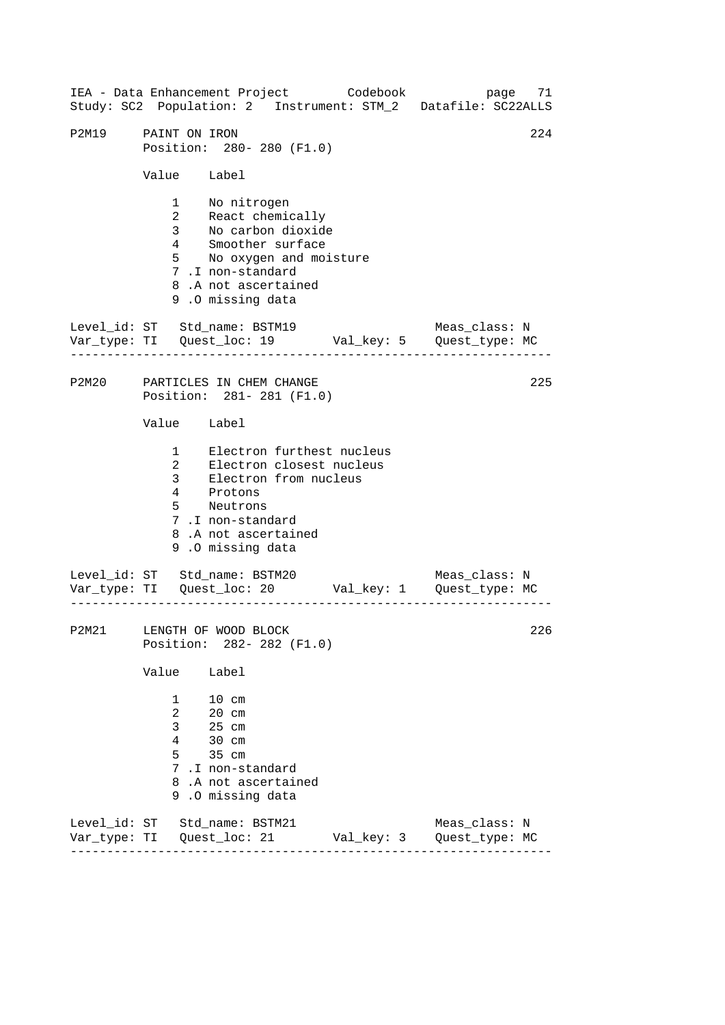------------------------------------------------------------------ ------------------------------------------------------------------ ------------------------------------------------------------------ IEA - Data Enhancement Project Codebook page 71 Study: SC2 Population: 2 Instrument: STM\_2 Datafile: SC22ALLS P2M19 PAINT ON IRON 224 Position: 280- 280 (F1.0) Value Label 1 No nitrogen 2 React chemically 3 No carbon dioxide 4 Smoother surface 5 No oxygen and moisture 7 .I non-standard 8 .A not ascertained 9 .O missing data Level id: ST Std name: BSTM19 Meas class: N Var\_type: TI Quest\_loc: 19 Val\_key: 5 Quest\_type: MC P2M20 PARTICLES IN CHEM CHANGE Position: 281- 281 (F1.0) Value Label 1 Electron furthest nucleus 2 Electron closest nucleus 3 Electron from nucleus 4 Protons 5 Neutrons 7 .I non-standard 8 .A not ascertained 9 .O missing data Level\_id: ST Std\_name: BSTM20 Var\_type: TI Quest\_loc: 20 Val\_key: 1 Quest\_type: MC Meas\_class: N P2M21 LENGTH OF WOOD BLOCK Position: 282- 282 (F1.0) Value Label 1 10 cm 2 20 cm 3 25 cm 4 30 cm 5 35 cm 7 .I non-standard 8 .A not ascertained 9 .O missing data Level\_id: ST Std\_name: BSTM21 Meas\_class: N Var\_type: TI Quest\_loc: 21 Val\_key: 3 Quest\_type: MC 225 226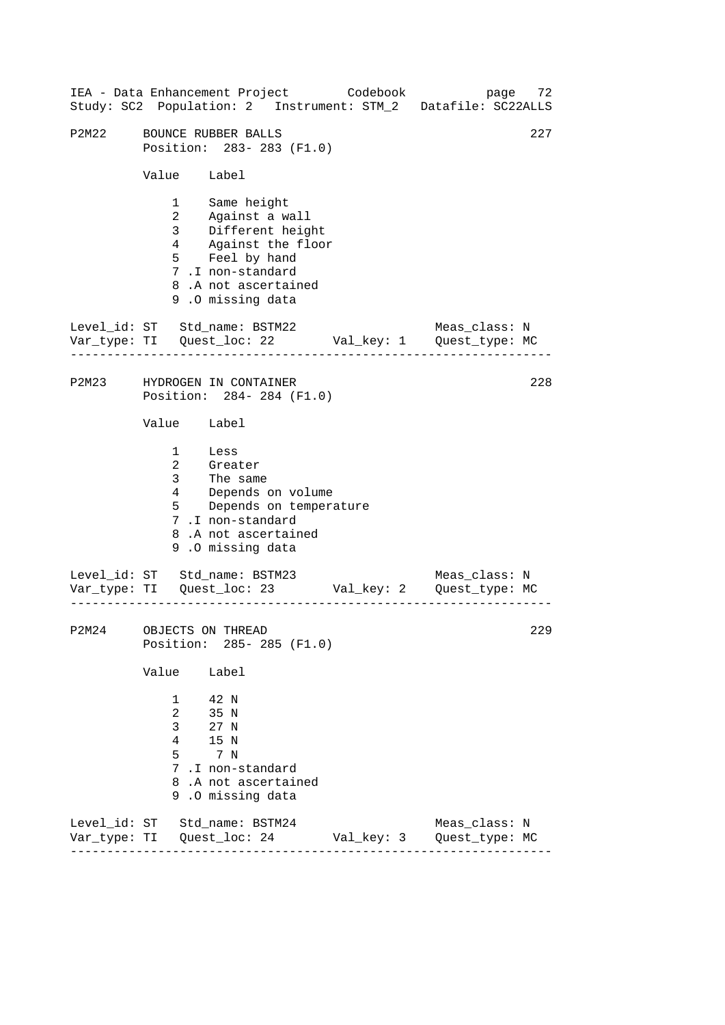------------------------------------------------------------------ ------------------------------------------------------------------ ------------------------------------------------------------------ 227 IEA - Data Enhancement Project Codebook page 72 Study: SC2 Population: 2 Instrument: STM\_2 Datafile: SC22ALLS P2M22 BOUNCE RUBBER BALLS Position: 283- 283 (F1.0) Value Label 1 Same height 2 Against a wall<br>3 Different heig Different height 4 Against the floor 5 Feel by hand 7 .I non-standard 8 .A not ascertained 9 .O missing data Level id: ST Std name: BSTM22 Meas class: N Var\_type: TI Quest\_loc: 22 Val\_key: 1 Quest\_type: MC P2M23 HYDROGEN IN CONTAINER Position: 284- 284 (F1.0) Value Label 1 Less 2 Greater 3 The same 4 Depends on volume 5 Depends on temperature 7 .I non-standard 8 .A not ascertained 9 .O missing data Level\_id: ST Std\_name: BSTM23 Meas\_class: N Var\_type: TI Quest\_loc: 23 Val\_key: 2 Quest\_type: MC P2M24 OBJECTS ON THREAD Position: 285- 285 (F1.0) Value Label 1 42 N 2 35 N 3 27 N 4 15 N 5 7 N 7 .I non-standard 8 .A not ascertained 9 .O missing data Level\_id: ST Std\_name: BSTM24 Meas\_class: N Var\_type: TI Quest\_loc: 24 Val\_key: 3 Quest\_type: MC 228 229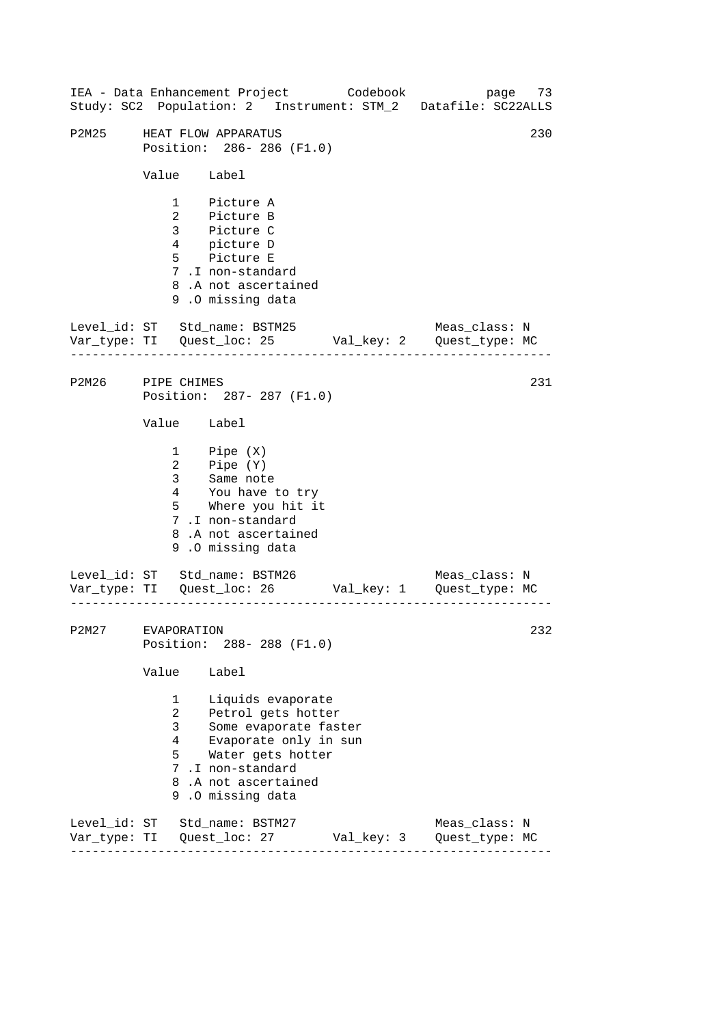------------------------------------------------------------------ ------------------------------------------------------------------ ------------------------------------------------------------------ IEA - Data Enhancement Project Codebook page 73 Study: SC2 Population: 2 Instrument: STM\_2 Datafile: SC22ALLS P2M25 HEAT FLOW APPARATUS 230 Position: 286- 286 (F1.0) Value Label 1 Picture A 2 Picture B 3 Picture C 4 picture D 5 Picture E 7 .I non-standard 8 .A not ascertained 9 .O missing data Level\_id: ST Std\_name: BSTM25 Meas\_class: N Var\_type: TI Quest\_loc: 25 Val\_key: 2 Quest\_type: MC P2M26 PIPE CHIMES Position: 287- 287 (F1.0) Value Label 1 2 3 Pipe (X) Pipe (Y) Same note 4 You have to try 5 Where you hit it 7 .I non-standard 8 .A not ascertained 9 .O missing data Level\_id: ST Std\_name: BSTM26 Meas\_class: N Var\_type: TI Quest\_loc: 26 Val\_key: 1 Quest\_type: MC P2M27 EVAPORATION Position: 288- 288 (F1.0) Value Label 1 Liquids evaporate 2 Petrol gets hotter 3 Some evaporate faster 4 Evaporate only in sun 5 Water gets hotter 7 .I non-standard 8 .A not ascertained 9 .O missing data Level\_id: ST Std\_name: BSTM27 Meas\_class: N Var\_type: TI Quest\_loc: 27 Val\_key: 3 Quest\_type: MC 231 232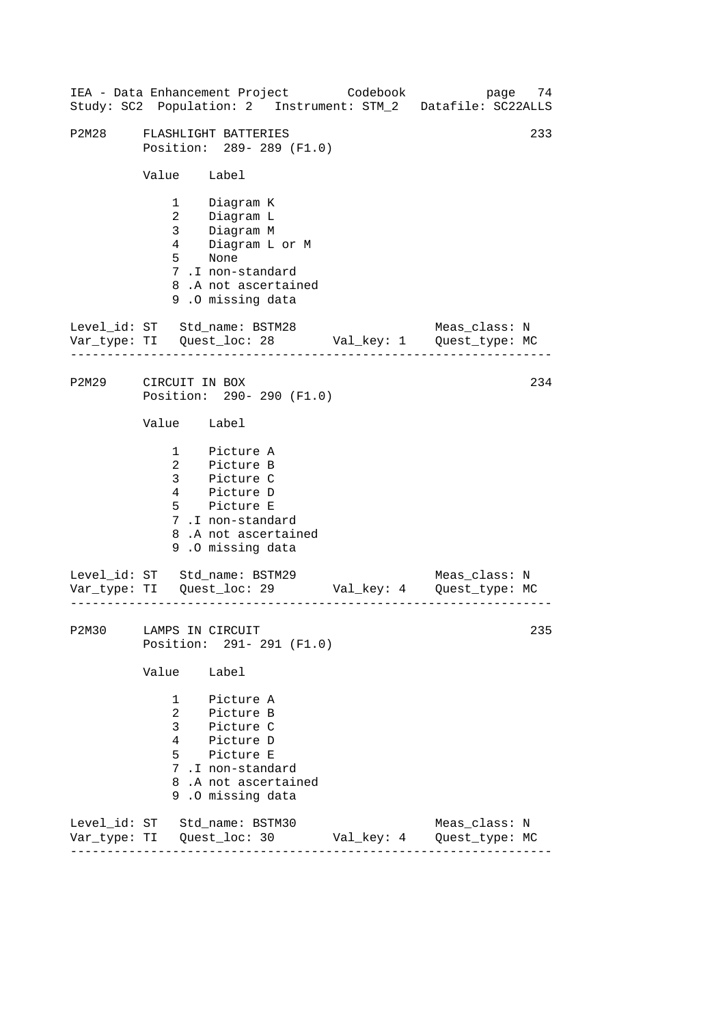|                        |                                 | IEA - Data Enhancement Project Codebook                                                                                                | 74<br>page<br>Study: SC2 Population: 2 Instrument: STM_2 Datafile: SC22ALLS    |  |
|------------------------|---------------------------------|----------------------------------------------------------------------------------------------------------------------------------------|--------------------------------------------------------------------------------|--|
| P2M28                  |                                 | FLASHLIGHT BATTERIES<br>Position: 289- 289 (F1.0)                                                                                      | 233                                                                            |  |
|                        | Value Label                     |                                                                                                                                        |                                                                                |  |
|                        | $5^{\circ}$                     | 1 Diagram K<br>2 Diagram L<br>3 Diagram M<br>4 Diagram L or M<br>None<br>7.I non-standard<br>8.A not ascertained<br>9.0 missing data   |                                                                                |  |
|                        |                                 | Level_id: ST Std_name: BSTM28                                                                                                          | Meas_class: N                                                                  |  |
| P2M29                  | CIRCUIT IN BOX                  | Position: 290- 290 (F1.0)                                                                                                              | 234                                                                            |  |
|                        | Value Label                     |                                                                                                                                        |                                                                                |  |
|                        |                                 | 1 Picture A<br>2 Picture B<br>3 Picture C<br>4 Picture D<br>5 Picture E<br>7.I non-standard<br>8.A not ascertained<br>9.0 missing data |                                                                                |  |
|                        |                                 | Level_id: ST Std_name: BSTM29                                                                                                          | Meas_class: N<br>Var_type: TI    Quest_loc: 29    Val_key: 4    Quest_type: MC |  |
| P2M30 LAMPS IN CIRCUIT |                                 | Position: 291- 291 (F1.0)                                                                                                              | 235                                                                            |  |
|                        | Value                           | Label                                                                                                                                  |                                                                                |  |
|                        | $\mathbf{3}$<br>$4\overline{ }$ | 1 Picture A<br>2 Picture B<br>Picture C<br>Picture D<br>5 Picture E<br>7.I non-standard<br>8.A not ascertained<br>9.0 missing data     |                                                                                |  |
|                        |                                 | Level_id: ST Std_name: BSTM30                                                                                                          | Meas_class: N                                                                  |  |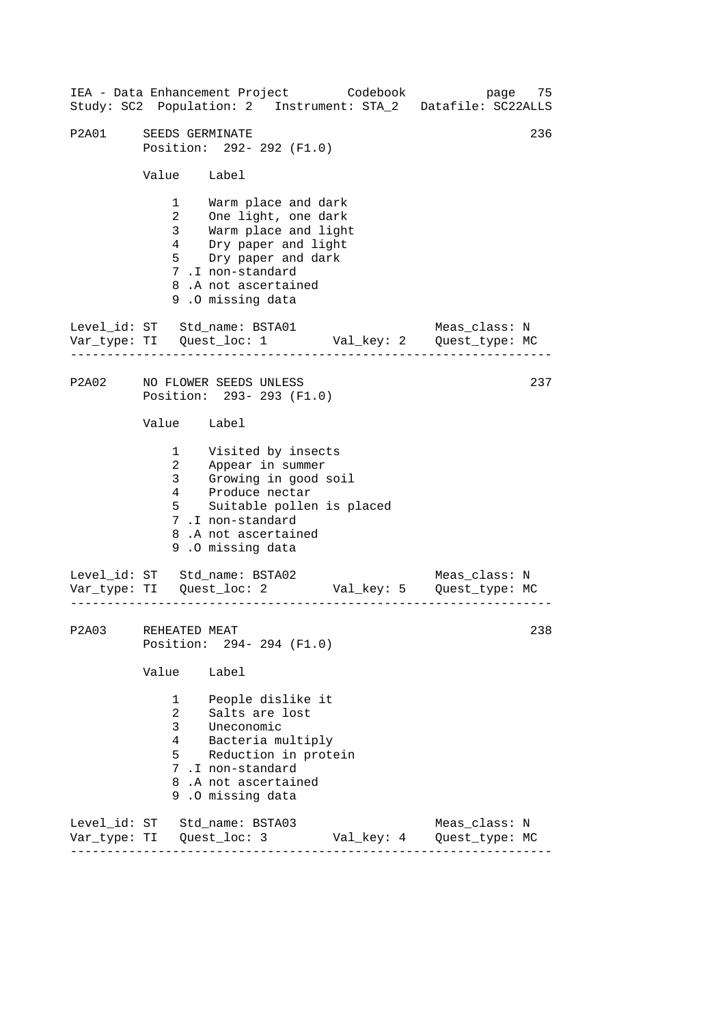------------------------------------------------------------------ ------------------------------------------------------------------ ------------------------------------------------------------------ 236 IEA - Data Enhancement Project Codebook page 75 Study: SC2 Population: 2 Instrument: STA\_2 Datafile: SC22ALLS P2A01 SEEDS GERMINATE Position: 292- 292 (F1.0) Value Label 1 Warm place and dark 2 One light, one dark 3 Warm place and light 4 Dry paper and light 5 Dry paper and dark 7 .I non-standard 8 .A not ascertained 9 .O missing data Level id: ST Std name: BSTA01 Meas class: N Var\_type: TI Quest\_loc: 1 Val\_key: 2 Quest\_type: MC P2A02 NO FLOWER SEEDS UNLESS Position: 293- 293 (F1.0) Value Label 1 2 3 4 Visited by insects Appear in summer Growing in good soil Produce nectar 5 Suitable pollen is placed 7 .I non-standard 8 .A not ascertained 9 .O missing data Level\_id: ST Std\_name: BSTA02 Meas\_class: N Var\_type: TI Quest\_loc: 2 Val\_key: 5 Quest\_type: MC P2A03 REHEATED MEAT Position: 294- 294 (F1.0) Value Label 1 People dislike it 2 Salts are lost 3 Uneconomic 4 Bacteria multiply 5 Reduction in protein 7 .I non-standard 8 .A not ascertained 9 .O missing data Level\_id: ST Std\_name: BSTA03 Meas\_class: N Var\_type: TI Quest\_loc: 3 Val\_key: 4 Quest\_type: MC 237 238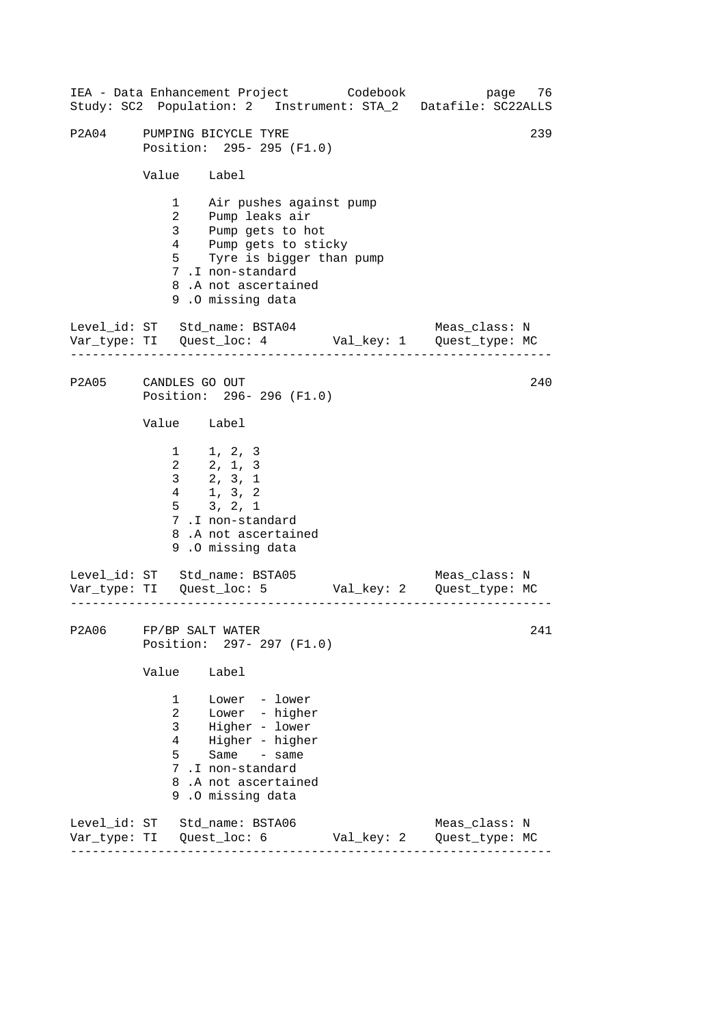|       | IEA - Data Enhancement Project Codebook<br>Study: SC2 Population: 2 Instrument: STA_2 Datafile: SC22ALLS                                                                                                                               | page 76                                        |
|-------|----------------------------------------------------------------------------------------------------------------------------------------------------------------------------------------------------------------------------------------|------------------------------------------------|
| P2A04 | PUMPING BICYCLE TYRE<br>Position: 295- 295 (F1.0)                                                                                                                                                                                      | 239                                            |
|       | Value Label                                                                                                                                                                                                                            |                                                |
|       | 1 Air pushes against pump<br>2 Pump leaks air<br>3 <sup>7</sup><br>Pump gets to hot<br>Pump gets to sticky<br>$\overline{4}$<br>$5^{\circ}$<br>Tyre is bigger than pump<br>7.I non-standard<br>8.A not ascertained<br>9.0 missing data |                                                |
|       | Level_id: ST Std_name: BSTA04<br>Var_type: TI Quest_loc: 4 Val_key: 1 Quest_type: MC                                                                                                                                                   | Meas_class: N                                  |
|       | P2A05 CANDLES GO OUT<br>Position: 296-296 (F1.0)                                                                                                                                                                                       | 240                                            |
|       | Value Label                                                                                                                                                                                                                            |                                                |
|       | $1 \t 1, 2, 3$<br>2, 1, 3<br>$2, 3, 1$<br>$1, 3, 2$<br>3 <sup>7</sup><br>4<br>$\frac{1}{5}$ 3, 2, 1<br>7.I non-standard<br>8.A not ascertained<br>9.0 missing data                                                                     |                                                |
|       | Level_id: ST Std_name: BSTA05                                                                                                                                                                                                          | Meas_class: N                                  |
|       | P2A06 FP/BP SALT WATER<br>Position: 297- 297 (F1.0)                                                                                                                                                                                    | 241                                            |
|       | Value<br>Label                                                                                                                                                                                                                         |                                                |
|       | Lower - lower<br>$\mathbf{1}$<br>$\overline{2}$<br>Lower - higher<br>$\mathbf{3}$<br>Higher - lower<br>Higher - higher<br>4<br>Same - same<br>5.<br>7 .I non-standard<br>8.A not ascertained<br>9.0 missing data                       |                                                |
|       | Level_id: ST Std_name: BSTA06                                                                                                                                                                                                          | Meas_class: N<br>Val_key: 2     Quest_type: MC |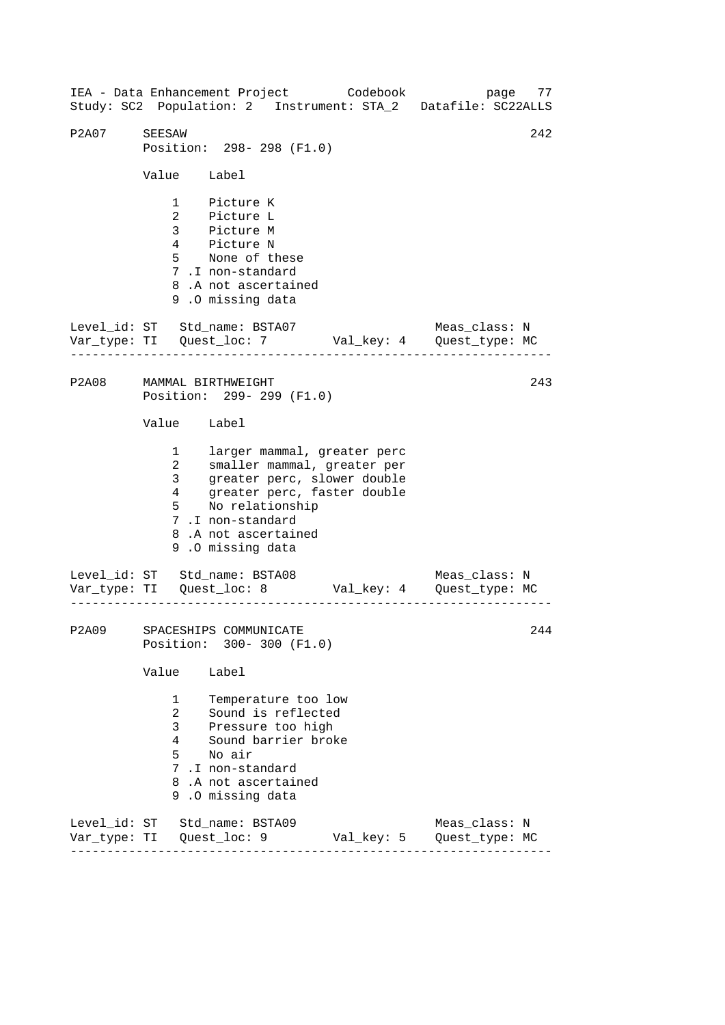------------------------------------------------------------------ ------------------------------------------------------------------ ------------------------------------------------------------------ IEA - Data Enhancement Project Codebook page 77 Study: SC2 Population: 2 Instrument: STA\_2 Datafile: SC22ALLS P2A07 SEESAW 242 Position: 298- 298 (F1.0) Value Label 1 Picture K 2 Picture L 3 Picture M 4 Picture N 5 None of these 7 .I non-standard 8 .A not ascertained 9 .O missing data Level id: ST Std name: BSTA07 Meas class: N Var\_type: TI Quest\_loc: 7 Val\_key: 4 Quest\_type: MC P2A08 MAMMAL BIRTHWEIGHT Position: 299- 299 (F1.0) Value Label 1 larger mammal, greater perc 2 smaller mammal, greater per 3 greater perc, slower double 4 greater perc, faster double 5 No relationship 7 .I non-standard 8 .A not ascertained 9 .O missing data Level\_id: ST Std\_name: BSTA08 Meas\_class: N Var\_type: TI Quest\_loc: 8 Val\_key: 4 Quest\_type: MC P2A09 SPACESHIPS COMMUNICATE Position: 300- 300 (F1.0) Value Label 1 Temperature too low 2 Sound is reflected 3 Pressure too high 4 Sound barrier broke 5 No air 7 .I non-standard 8 .A not ascertained 9 .O missing data Level\_id: ST Std\_name: BSTA09 Meas\_class: N Var\_type: TI Quest\_loc: 9 Val\_key: 5 Quest\_type: MC 243 244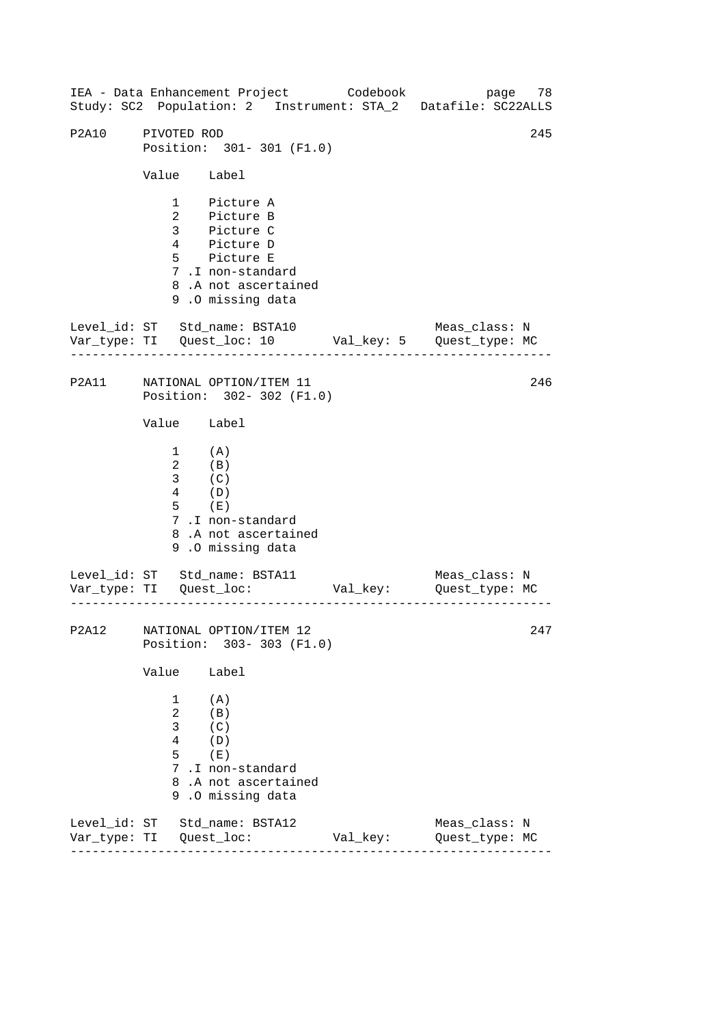|       |                                                                                                             | IEA - Data Enhancement Project Codebook                                                                                                |          | Study: SC2 Population: 2 Instrument: STA_2 Datafile: SC22ALLS | page 78 |
|-------|-------------------------------------------------------------------------------------------------------------|----------------------------------------------------------------------------------------------------------------------------------------|----------|---------------------------------------------------------------|---------|
| P2A10 | PIVOTED ROD                                                                                                 | Position: 301-301 (F1.0)                                                                                                               |          |                                                               | 245     |
|       | Value Label                                                                                                 |                                                                                                                                        |          |                                                               |         |
|       |                                                                                                             | 1 Picture A<br>2 Picture B<br>3 Picture C<br>4 Picture D<br>5 Picture E<br>7.I non-standard<br>8.A not ascertained<br>9.0 missing data |          |                                                               |         |
|       |                                                                                                             | Level_id: ST Std_name: BSTA10                                                                                                          |          | Meas_class: N                                                 |         |
|       |                                                                                                             | P2A11 NATIONAL OPTION/ITEM 11<br>Position: 302-302 (F1.0)                                                                              |          |                                                               | 246     |
|       | Value Label                                                                                                 |                                                                                                                                        |          |                                                               |         |
|       | $1$ (A)<br>$\begin{array}{cc} 2 & & ({\rm B}) \\ 3 & & ({\rm C}) \\ 4 & & ({\rm D}) \end{array}$<br>$5$ (E) | 7.I non-standard<br>8.A not ascertained<br>9.0 missing data                                                                            |          |                                                               |         |
|       |                                                                                                             |                                                                                                                                        |          | Meas_class: N                                                 |         |
|       |                                                                                                             | P2A12 NATIONAL OPTION/ITEM 12<br>Position: 303-303 (F1.0)                                                                              |          |                                                               | 247     |
|       | Value                                                                                                       | Label                                                                                                                                  |          |                                                               |         |
|       | 1<br>$\overline{2}$<br>$\mathbf{3}$<br>4<br>5                                                               | (A)<br>(B)<br>(C)<br>(D)<br>(E)<br>7.I non-standard<br>8.A not ascertained<br>9.0 missing data                                         |          |                                                               |         |
|       |                                                                                                             | Level_id: ST Std_name: BSTA12                                                                                                          | Val_key: | Meas_class: N<br>Quest_type: MC                               |         |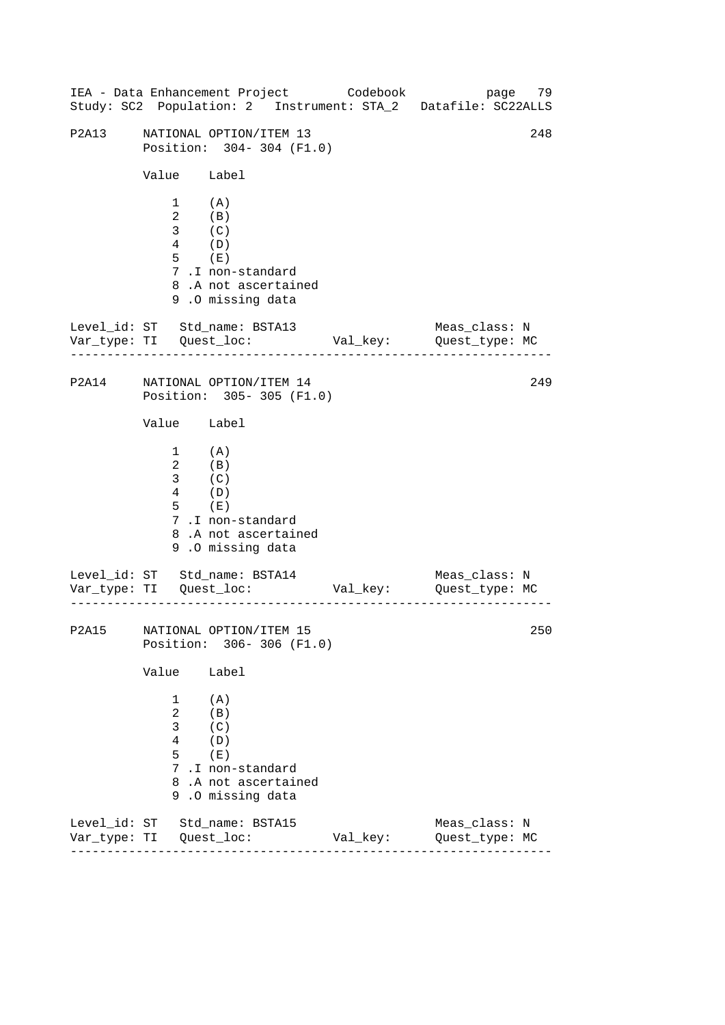|                         |                                                                                                                         |                                                                                                | IEA - Data Enhancement Project Codebook | page 79<br>Study: SC2 Population: 2 Instrument: STA_2 Datafile: SC22ALLS     |     |
|-------------------------|-------------------------------------------------------------------------------------------------------------------------|------------------------------------------------------------------------------------------------|-----------------------------------------|------------------------------------------------------------------------------|-----|
| P2A13                   |                                                                                                                         | NATIONAL OPTION/ITEM 13<br>Position: 304-304 (F1.0)                                            |                                         |                                                                              | 248 |
|                         | Value Label                                                                                                             |                                                                                                |                                         |                                                                              |     |
|                         | $1$ (A)<br>$\begin{array}{cc} 2 & & \text{(B)}\\ 3 & & \text{(C)} \end{array}$<br>$\frac{1}{4}$ (D)<br>$5$ (E)          | 7.I non-standard<br>8.A not ascertained<br>9.0 missing data                                    |                                         |                                                                              |     |
|                         |                                                                                                                         | Level_id: ST Std_name: BSTA13                                                                  |                                         | Meas_class: N<br>Var_type: TI Quest_loc: Val_key: Quest_type: MC             |     |
|                         |                                                                                                                         | P2A14 NATIONAL OPTION/ITEM 14<br>Position: 305-305 (F1.0)                                      |                                         |                                                                              | 249 |
|                         | Value Label                                                                                                             |                                                                                                |                                         |                                                                              |     |
|                         | $\begin{array}{cc} 1 & & {\rm (A)} \\ 2 & & {\rm (B)} \\ 3 & & {\rm (C)} \end{array}$<br>$\frac{1}{4}$ (D)<br>$5$ $(E)$ | 7.I non-standard<br>8.A not ascertained<br>9.0 missing data                                    |                                         |                                                                              |     |
|                         |                                                                                                                         | Level_id: ST Std_name: BSTA14                                                                  |                                         | Meas_class: N<br>Var_type: TI     Quest_loc:     Val_key:     Quest_type: MC |     |
|                         |                                                                                                                         | P2A15 NATIONAL OPTION/ITEM 15<br>Position: 306-306 (F1.0)                                      |                                         |                                                                              | 250 |
|                         | Value                                                                                                                   | Label                                                                                          |                                         |                                                                              |     |
|                         | 1<br>$\overline{a}$<br>3<br>4<br>5                                                                                      | (A)<br>(B)<br>(C)<br>(D)<br>(E)<br>7.I non-standard<br>8.A not ascertained<br>9.0 missing data |                                         |                                                                              |     |
| Var_type: TI Quest_loc: |                                                                                                                         | Level_id: ST Std_name: BSTA15                                                                  | Val_key:                                | Meas_class: N<br>Quest_type: MC                                              |     |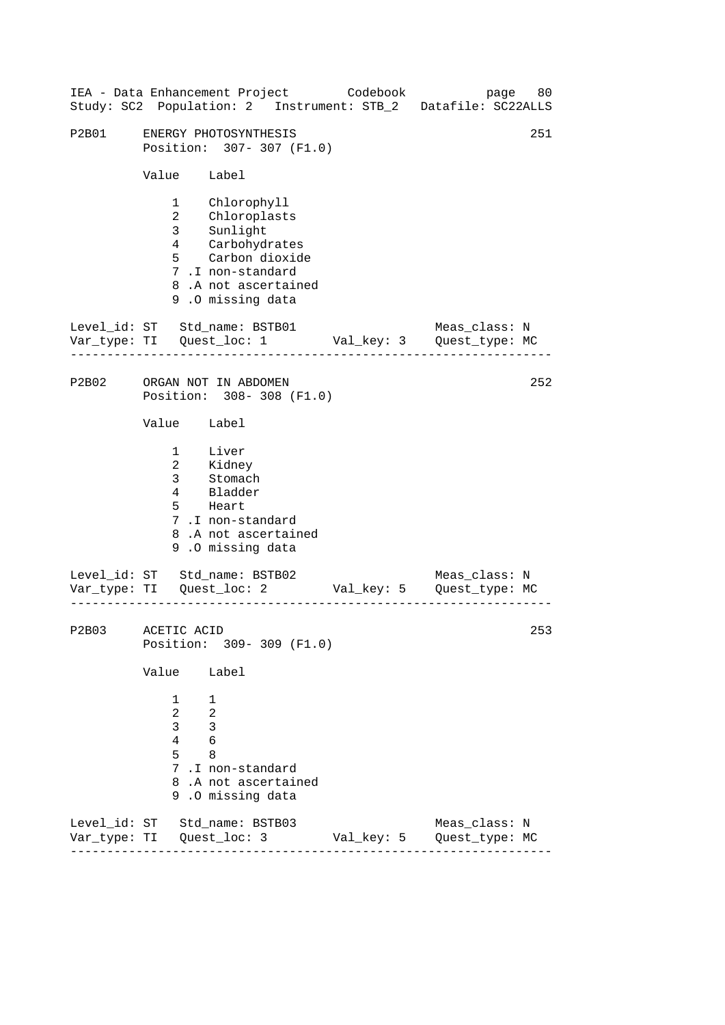|                           |                                         | IEA - Data Enhancement Project Codebook                                                                                                             |            | page 80<br>Study: SC2 Population: 2 Instrument: STB_2 Datafile: SC22ALLS |
|---------------------------|-----------------------------------------|-----------------------------------------------------------------------------------------------------------------------------------------------------|------------|--------------------------------------------------------------------------|
| P2B01                     |                                         | ENERGY PHOTOSYNTHESIS<br>Position: 307- 307 (F1.0)                                                                                                  |            | 251                                                                      |
|                           | Value Label                             |                                                                                                                                                     |            |                                                                          |
|                           |                                         | 1 Chlorophyll<br>2 Chloroplasts<br>3 Sunlight<br>4 Carbohydrates<br>5 Carbon dioxide<br>7.I non-standard<br>8.A not ascertained<br>9.0 missing data |            |                                                                          |
|                           |                                         | Level_id: ST Std_name: BSTB01                                                                                                                       |            | Meas_class: N<br>Var_type: TI Quest_loc: 1 Val_key: 3 Quest_type: MC     |
| P2B02                     |                                         | ORGAN NOT IN ABDOMEN<br>Position: 308-308 (F1.0)                                                                                                    |            | 252                                                                      |
|                           | Value Label                             |                                                                                                                                                     |            |                                                                          |
|                           |                                         | 1 Liver<br>2 Kidney<br>3 Stomach<br>4 Bladder<br>5 Heart<br>7.I non-standard<br>8.A not ascertained<br>9.0 missing data                             |            |                                                                          |
|                           |                                         | Level_id: ST Std_name: BSTB02                                                                                                                       |            | Meas_class: N<br>Var_type: TI Quest_loc: 2 Val_key: 5 Quest_type: MC     |
| P2B03                     | ACETIC ACID                             | Position: 309-309 (F1.0)                                                                                                                            |            | 253                                                                      |
|                           | Value                                   | Label                                                                                                                                               |            |                                                                          |
|                           | 1<br>$\overline{2}$<br>3<br>4<br>5<br>9 | 1<br>$\overline{2}$<br>3<br>6<br>8<br>7.I non-standard<br>8.A not ascertained<br>.0 missing data                                                    |            |                                                                          |
| Var_type: TI Quest_loc: 3 |                                         | Level_id: ST Std_name: BSTB03                                                                                                                       | Val_key: 5 | Meas_class: N<br>Quest_type: MC                                          |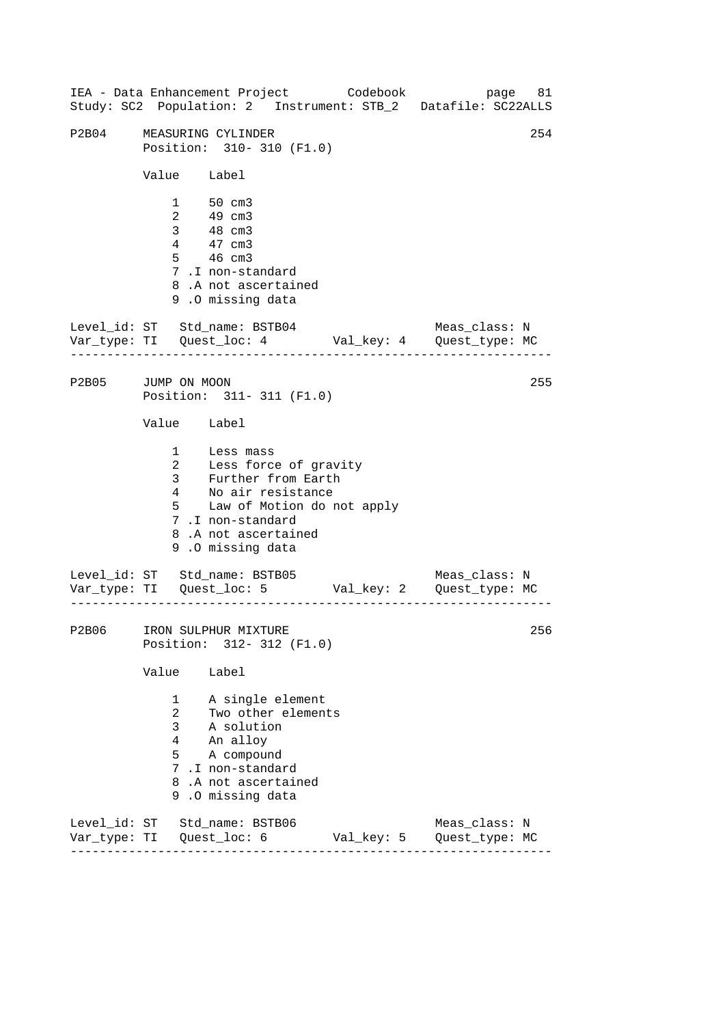------------------------------------------------------------------ ------------------------------------------------------------------ ------------------------------------------------------------------ IEA - Data Enhancement Project Codebook page 81 Study: SC2 Population: 2 Instrument: STB\_2 Datafile: SC22ALLS P2B04 MEASURING CYLINDER 254 Position: 310- 310 (F1.0) Value Label 1 50 cm3 2 49 cm3 3 48 cm3 4 47 cm3 5 46 cm3 7 .I non-standard 8 .A not ascertained 9 .O missing data Level\_id: ST Std\_name: BSTB04 Meas\_class: N Var\_type: TI Quest\_loc: 4 Val\_key: 4 Quest\_type: MC P2B05 JUMP ON MOON Position: 311- 311 (F1.0) Value Label 1 Less mass 2 3 Less force of gravity Further from Earth 4 No air resistance 5 Law of Motion do not apply 7 .I non-standard 8 .A not ascertained 9 .O missing data Level\_id: ST Std\_name: BSTB05 Meas\_class: N Var\_type: TI Quest\_loc: 5 Val\_key: 2 Quest\_type: MC P2B06 IRON SULPHUR MIXTURE Position: 312- 312 (F1.0) Value Label 1 A single element 2 Two other elements 3 A solution 4 An alloy 5 A compound 7 .I non-standard 8 .A not ascertained 9 .O missing data Level\_id: ST Std\_name: BSTB06 Meas\_class: N Var\_type: TI Quest\_loc: 6 Val\_key: 5 Quest\_type: MC 255 256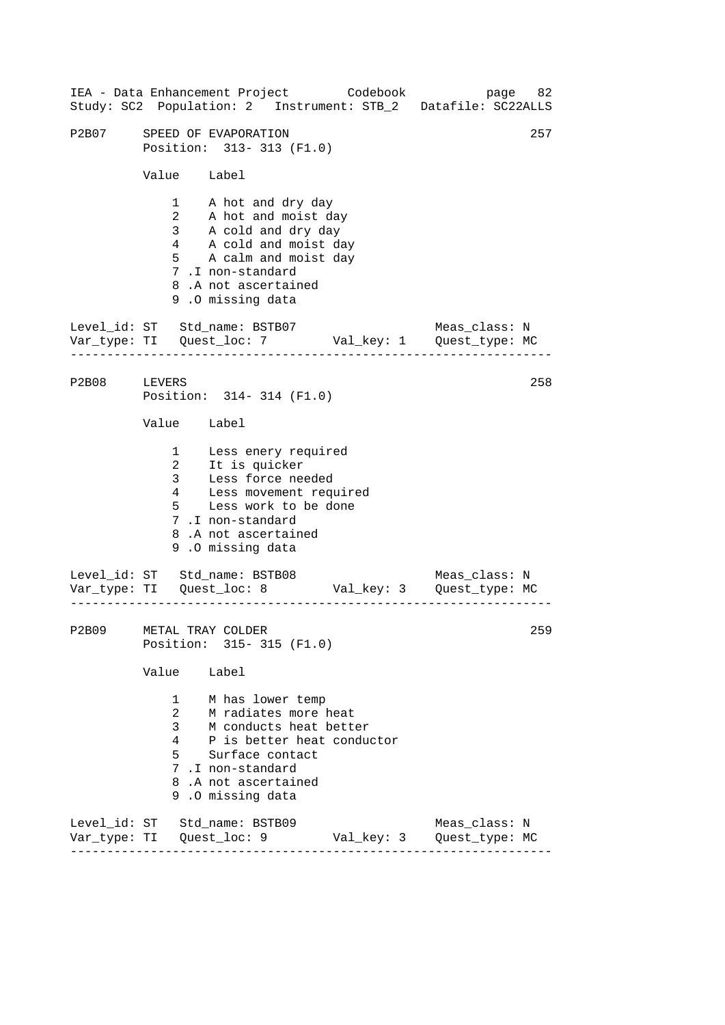|              |                                                                     | IEA - Data Enhancement Project Codebook page 82<br>Study: SC2 Population: 2 Instrument: STB_2 Datafile: SC22ALLS                                                                        |            |                                 |     |
|--------------|---------------------------------------------------------------------|-----------------------------------------------------------------------------------------------------------------------------------------------------------------------------------------|------------|---------------------------------|-----|
| P2B07        |                                                                     | SPEED OF EVAPORATION<br>Position: 313-313 (F1.0)                                                                                                                                        |            |                                 | 257 |
|              | Value Label                                                         |                                                                                                                                                                                         |            |                                 |     |
|              |                                                                     | 1 A hot and dry day<br>2 A hot and moist day<br>3 A cold and dry day<br>4 A cold and moist day<br>5 A calm and moist day<br>7.I non-standard<br>8.A not ascertained<br>9.0 missing data |            |                                 |     |
|              | -----------------                                                   | Level_id: ST Std_name: BSTB07 Meas_class: N<br>Var_type: TI Quest_loc: 7 Val_key: 1 Quest_type: MC                                                                                      |            |                                 |     |
| P2B08 LEVERS |                                                                     | Position: 314-314 (F1.0)                                                                                                                                                                |            |                                 | 258 |
|              | Value Label                                                         |                                                                                                                                                                                         |            |                                 |     |
|              | $4\overline{ }$<br>$5^{\circ}$                                      | 1 Less enery required<br>2 It is quicker<br>3 Less force needed<br>Less movement required<br>Less work to be done<br>7.I non-standard<br>8.A not ascertained<br>9.0 missing data        |            |                                 |     |
|              |                                                                     | Level_id: ST Std_name: BSTB08 Meas_class: N<br>Var_type: TI Quest_loc: 8 Val_key: 3 Quest_type: MC                                                                                      |            |                                 |     |
| <b>P2B09</b> | METAL TRAY COLDER                                                   | Position: 315-315 (F1.0)                                                                                                                                                                |            |                                 | 259 |
|              | Value Label                                                         |                                                                                                                                                                                         |            |                                 |     |
|              | $\mathbf{1}$<br>$\mathbf{2}$<br>$\mathbf{3}$<br>$4\degree$<br>5 - 1 | M has lower temp<br>M radiates more heat<br>M conducts heat better<br>P is better heat conductor<br>Surface contact<br>7.I non-standard<br>8.A not ascertained<br>9.0 missing data      |            |                                 |     |
|              |                                                                     | Level_id: ST Std_name: BSTB09<br>Var_type: TI Quest_loc: 9                                                                                                                              | Val_key: 3 | Meas_class: N<br>Quest_type: MC |     |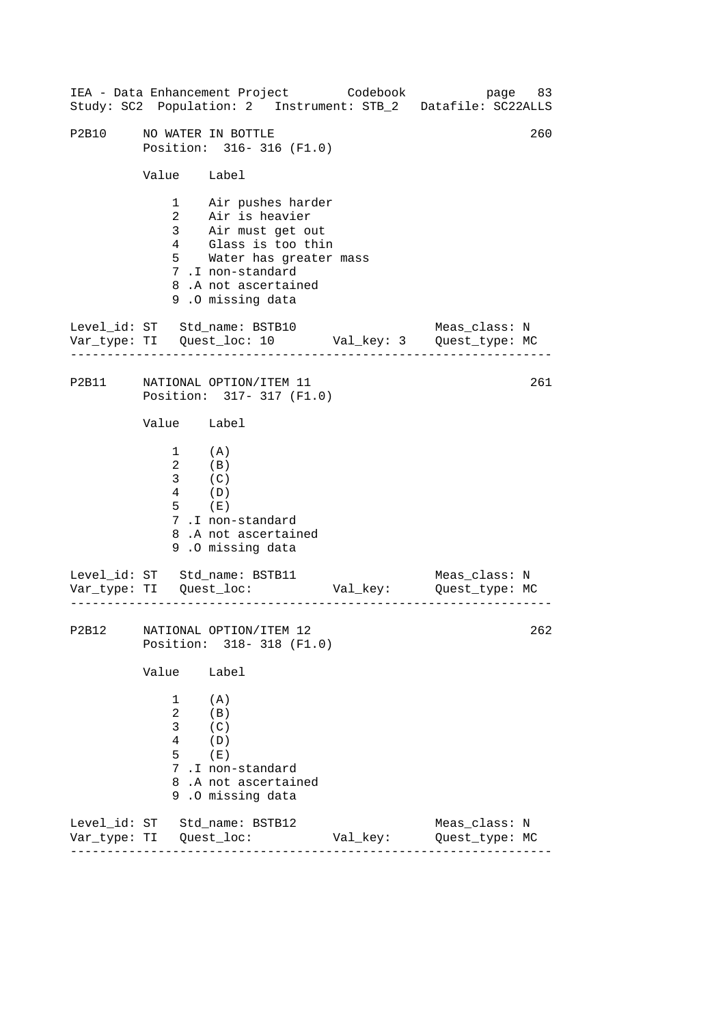------------------------------------------------------------------ ------------------------------------------------------------------ ------------------------------------------------------------------ IEA - Data Enhancement Project Codebook page 83 Study: SC2 Population: 2 Instrument: STB\_2 Datafile: SC22ALLS P2B10 NO WATER IN BOTTLE 260 Position: 316- 316 (F1.0) Value Label 1 Air pushes harder 2 Air is heavier 3 Air must get out 4 Glass is too thin 5 Water has greater mass 7 .I non-standard 8 .A not ascertained 9 .O missing data Level id: ST Std name: BSTB10 Meas class: N Var\_type: TI Quest\_loc: 10 Val\_key: 3 Quest\_type: MC P2B11 NATIONAL OPTION/ITEM 11 Position: 317- 317 (F1.0) Value Label  $1$   $\qquad$   $\qquad$   $\qquad$   $\qquad$   $\qquad$   $\qquad$   $\qquad$   $\qquad$   $\qquad$ 2 (B) 3 (C) 4 (D) 5 (E) 7 .I non-standard 8 .A not ascertained 9 .O missing data Level\_id: ST Std\_name: BSTB11 Meas\_class: N Var\_type: TI Quest\_loc: Val\_key: Quest\_type: MC P2B12 NATIONAL OPTION/ITEM 12 Position: 318- 318 (F1.0) Value Label 1 (A) 2 (B) 3 (C) 4 (D) 5 (E) 7 .I non-standard 8 .A not ascertained 9 .O missing data Level\_id: ST Std\_name: BSTB12 Meas\_class: N Var\_type: TI Quest\_loc: Val\_key: Quest\_type: MC 261 262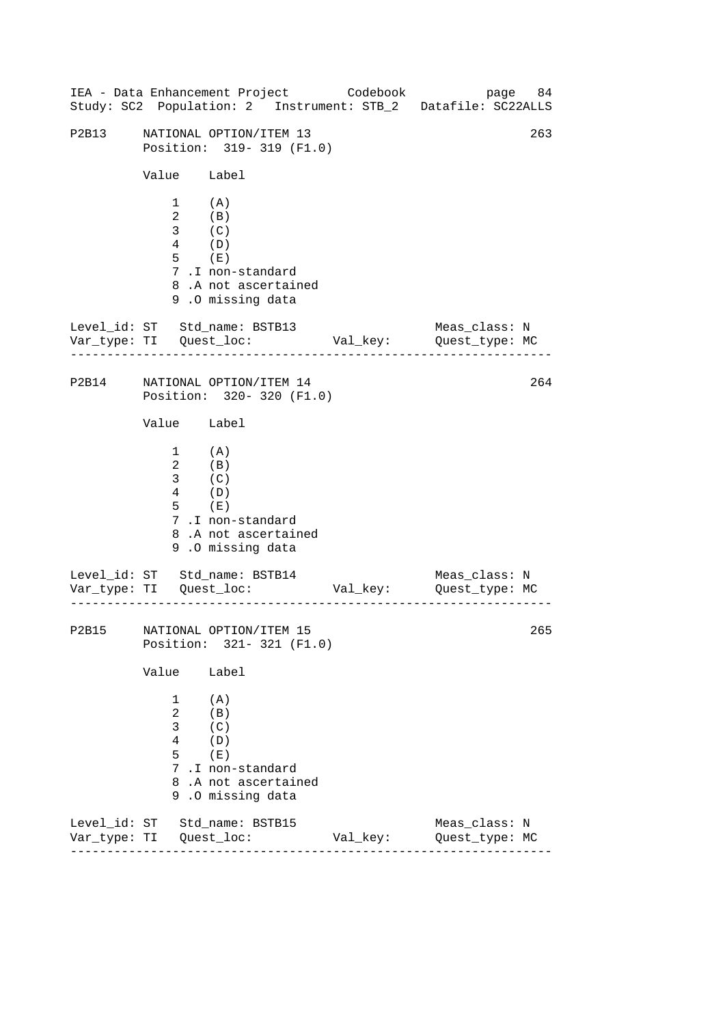|       |                                                                                                                          | IEA - Data Enhancement Project Codebook                                                        |          | Study: SC2 Population: 2 Instrument: STB_2 Datafile: SC22ALLS | page 84 |
|-------|--------------------------------------------------------------------------------------------------------------------------|------------------------------------------------------------------------------------------------|----------|---------------------------------------------------------------|---------|
| P2B13 |                                                                                                                          | NATIONAL OPTION/ITEM 13<br>Position: 319- 319 (F1.0)                                           |          |                                                               | 263     |
|       | Value Label                                                                                                              |                                                                                                |          |                                                               |         |
|       | $\begin{array}{cc} 1 & & {\rm (A)} \\ 2 & & {\rm (B)} \\ 3 & & {\rm (C)} \end{array}$<br>$\overline{4}$ (D)<br>$5$ $(E)$ | 7.I non-standard<br>8.A not ascertained<br>9.0 missing data                                    |          |                                                               |         |
|       |                                                                                                                          | Level_id: ST Std_name: BSTB13                                                                  |          | Meas_class: N                                                 |         |
|       |                                                                                                                          | P2B14 NATIONAL OPTION/ITEM 14<br>Position: 320-320 (F1.0)                                      |          |                                                               | 264     |
|       | Value Label                                                                                                              |                                                                                                |          |                                                               |         |
|       | $\begin{array}{cc} 1 & & {\rm (A)} \\ 2 & & {\rm (B)} \\ 3 & & {\rm (C)} \end{array}$<br>$\overline{4}$ (D)<br>$5$ $(E)$ | 7.I non-standard<br>8.A not ascertained<br>9.0 missing data                                    |          |                                                               |         |
|       |                                                                                                                          | Level_id: ST Std_name: BSTB14                                                                  |          | Meas_class: N                                                 |         |
|       |                                                                                                                          | P2B15 NATIONAL OPTION/ITEM 15<br>Position: 321- 321 (F1.0)                                     |          |                                                               | 265     |
|       | Value                                                                                                                    | Label                                                                                          |          |                                                               |         |
|       | 1<br>$\overline{a}$<br>3<br>4<br>5                                                                                       | (A)<br>(B)<br>(C)<br>(D)<br>(E)<br>7.I non-standard<br>8.A not ascertained<br>9.0 missing data |          |                                                               |         |
|       |                                                                                                                          | Level_id: ST Std_name: BSTB15                                                                  | Val_key: | Meas_class: N<br>Quest_type: MC                               |         |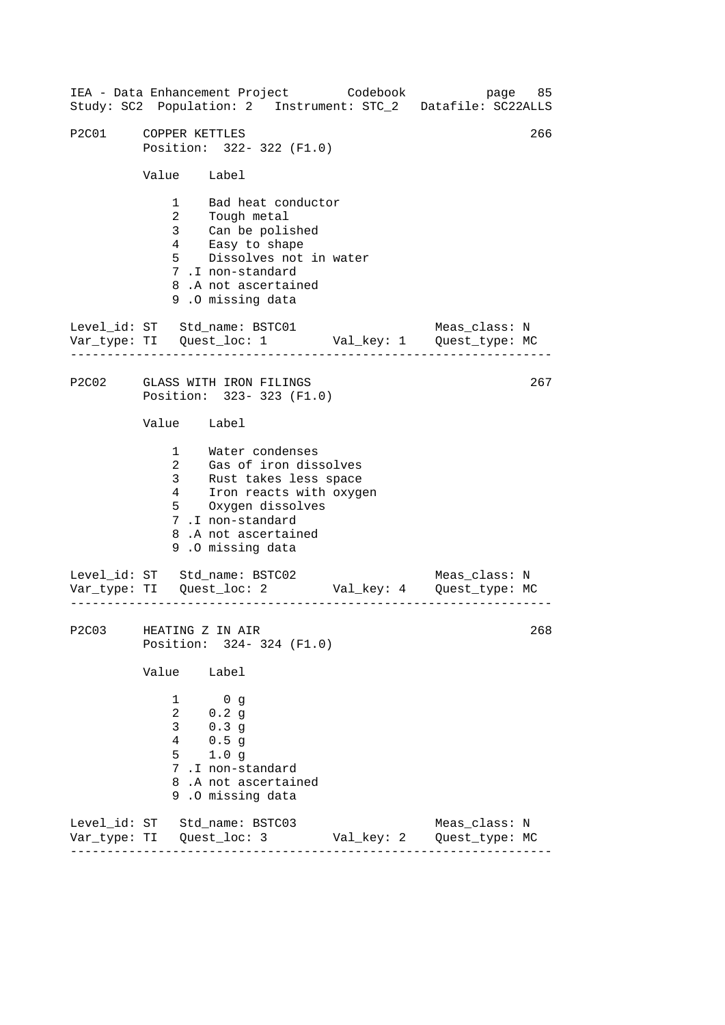------------------------------------------------------------------ ------------------------------------------------------------------ ------------------------------------------------------------------ IEA - Data Enhancement Project Codebook page 85 Study: SC2 Population: 2 Instrument: STC\_2 Datafile: SC22ALLS P2C01 COPPER KETTLES 266 Position: 322- 322 (F1.0) Value Label 1 Bad heat conductor 2 Tough metal 3 Can be polished 4 Easy to shape 5 Dissolves not in water 7 .I non-standard 8 .A not ascertained 9 .O missing data Level id: ST Std name: BSTC01 Meas class: N Var\_type: TI Quest\_loc: 1 Val\_key: 1 Quest\_type: MC P2C02 GLASS WITH IRON FILINGS Position: 323- 323 (F1.0) Value Label 1 Water condenses 2 Gas of iron dissolves 3 Rust takes less space 4 Iron reacts with oxygen 5 Oxygen dissolves 7 .I non-standard 8 .A not ascertained 9 .O missing data Level\_id: ST Std\_name: BSTC02 Meas\_class: N Var\_type: TI Quest\_loc: 2 Val\_key: 4 Quest\_type: MC P2C03 HEATING Z IN AIR Position: 324- 324 (F1.0) Value Label 1 0 g 2 0.2 g 3 0.3 g 4 0.5 g 5 1.0 g 7 .I non-standard 8 .A not ascertained 9 .O missing data Level\_id: ST Std\_name: BSTC03 Meas\_class: N Var\_type: TI Quest\_loc: 3 Val\_key: 2 Quest\_type: MC 267 268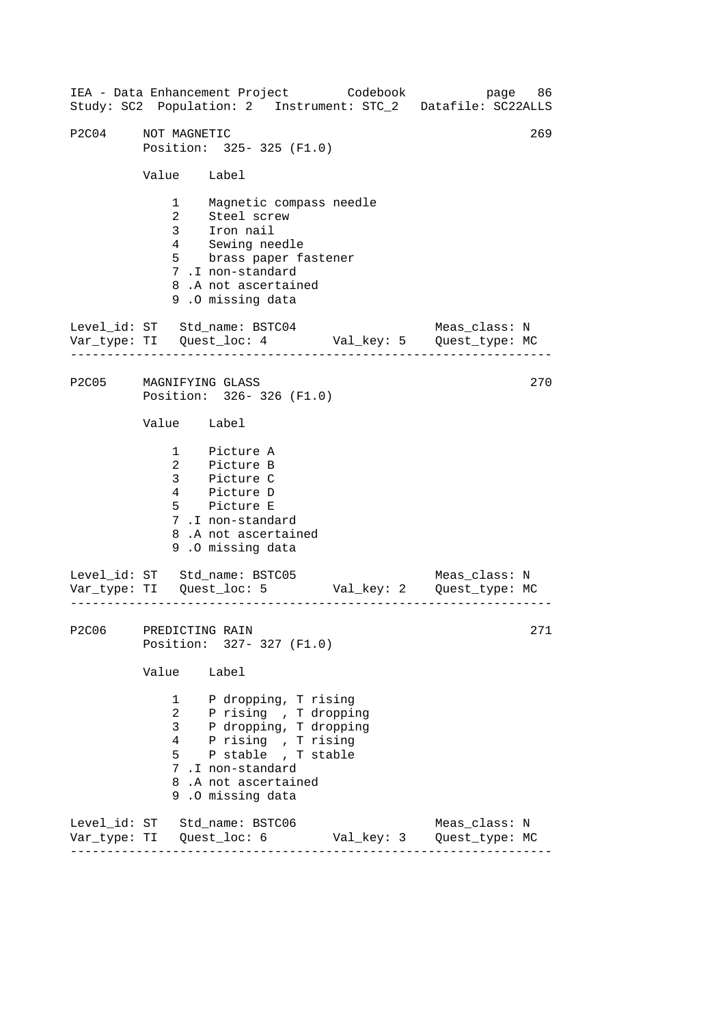------------------------------------------------------------------ ------------------------------------------------------------------ ------------------------------------------------------------------ IEA - Data Enhancement Project Codebook page 86 Study: SC2 Population: 2 Instrument: STC\_2 Datafile: SC22ALLS P2C04 NOT MAGNETIC 269 Position: 325- 325 (F1.0) Value Label 1 Magnetic compass needle 2 Steel screw 3 Iron nail 4 Sewing needle 5 brass paper fastener 7 .I non-standard 8 .A not ascertained 9 .O missing data Level id: ST Std name: BSTC04 Meas class: N Var\_type: TI Quest\_loc: 4 Val\_key: 5 Quest\_type: MC P2C05 MAGNIFYING GLASS Position: 326- 326 (F1.0) Value Label 1 Picture A 2 Picture B 3 Picture C 4 Picture D 5 Picture E 7 .I non-standard 8 .A not ascertained 9 .O missing data Level\_id: ST Std\_name: BSTC05 Var\_type: TI Quest\_loc: 5 Val\_key: 2 Quest\_type: MC Meas\_class: N P2C06 PREDICTING RAIN Position: 327- 327 (F1.0) Value Label 1 P dropping, T rising 2 P rising , T dropping 3 P dropping, T dropping 4 P rising , T rising 5 P stable , T stable 7 .I non-standard 8 .A not ascertained 9 .O missing data Level\_id: ST Std\_name: BSTC06 Meas\_class: N Var\_type: TI Quest\_loc: 6 Val\_key: 3 Quest\_type: MC 270 271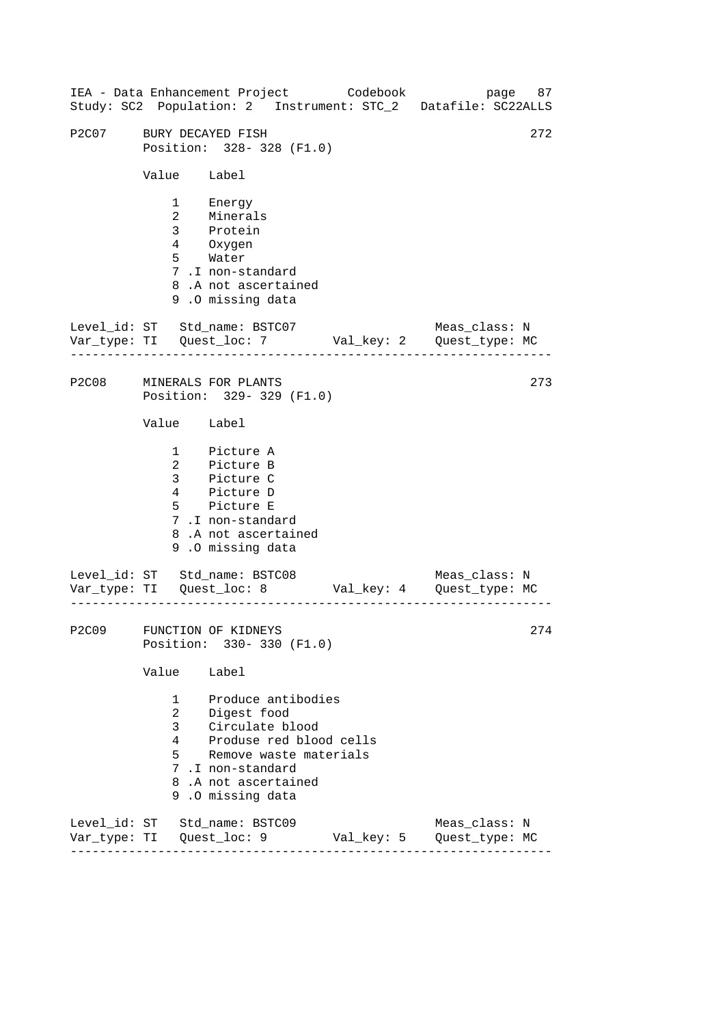|       |                                    | IEA - Data Enhancement Project Codebook                                                                                                                                  |            | Study: SC2 Population: 2 Instrument: STC_2 Datafile: SC22ALLS                 | page 87 |
|-------|------------------------------------|--------------------------------------------------------------------------------------------------------------------------------------------------------------------------|------------|-------------------------------------------------------------------------------|---------|
| P2C07 | BURY DECAYED FISH                  | Position: 328-328 (F1.0)                                                                                                                                                 |            |                                                                               | 272     |
|       | Value Label                        |                                                                                                                                                                          |            |                                                                               |         |
|       |                                    | 1 Energy<br>2 Minerals<br>3 Protein<br>4 0xygen<br>5 Water<br>7.I non-standard<br>8.A not ascertained<br>9.0 missing data                                                |            |                                                                               |         |
|       |                                    | Level_id: ST Std_name: BSTC07                                                                                                                                            |            | Meas_class: N<br>Var_type: TI    Quest_loc: 7    Val_key: 2    Quest_type: MC |         |
|       |                                    | P2C08 MINERALS FOR PLANTS<br>Position: 329-329 (F1.0)                                                                                                                    |            |                                                                               | 273     |
|       | Value Label                        |                                                                                                                                                                          |            |                                                                               |         |
|       |                                    | 1 Picture A<br>2 Picture B<br>3 Picture C<br>4 Picture D<br>5 Picture E<br>7.I non-standard<br>8.A not ascertained<br>9.0 missing data                                   |            |                                                                               |         |
|       |                                    | Level_id: ST Std_name: BSTC08                                                                                                                                            |            | Meas_class: N<br>Var_type: TI    Quest_loc: 8    Val_key: 4    Quest_type: MC |         |
| P2C09 |                                    | FUNCTION OF KIDNEYS<br>Position: 330-330 (F1.0)                                                                                                                          |            |                                                                               | 274     |
|       | Value                              | Label                                                                                                                                                                    |            |                                                                               |         |
|       | 1<br>$\overline{a}$<br>3<br>4<br>5 | Produce antibodies<br>Digest food<br>Circulate blood<br>Produse red blood cells<br>Remove waste materials<br>7.I non-standard<br>8.A not ascertained<br>9.0 missing data |            |                                                                               |         |
|       |                                    | Level_id: ST Std_name: BSTC09<br>Var_type: TI Quest_loc: 9                                                                                                               | Val_key: 5 | Meas_class: N<br>Quest_type: MC                                               |         |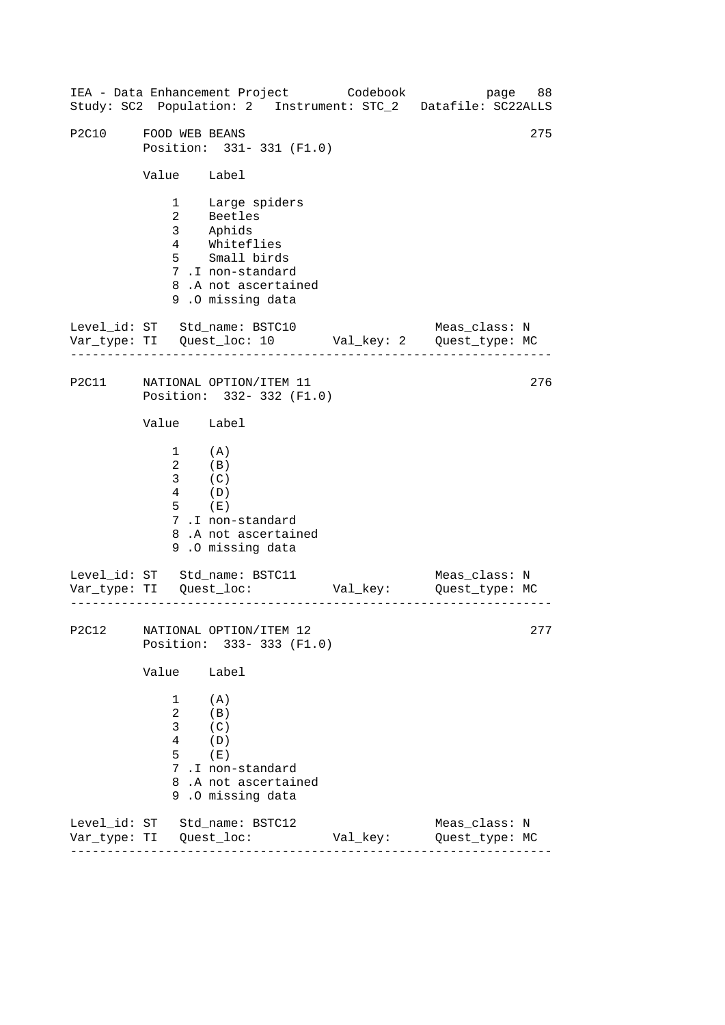|                      |                                                                                                               | IEA - Data Enhancement Project Codebook                                                                                                       |          | page 88<br>Study: SC2 Population: 2 Instrument: STC_2 Datafile: SC22ALLS  |
|----------------------|---------------------------------------------------------------------------------------------------------------|-----------------------------------------------------------------------------------------------------------------------------------------------|----------|---------------------------------------------------------------------------|
| P2C10 FOOD WEB BEANS |                                                                                                               | Position: 331-331 (F1.0)                                                                                                                      |          | 275                                                                       |
|                      | Value Label                                                                                                   |                                                                                                                                               |          |                                                                           |
|                      |                                                                                                               | 1 Large spiders<br>2 Beetles<br>2<br>3 Aphids<br>4 Whiteflies<br>5 Small birds<br>7.I non-standard<br>8.A not ascertained<br>9.0 missing data |          |                                                                           |
|                      | .                                                                                                             | Level_id: ST Std_name: BSTC10                                                                                                                 |          | Meas_class: N                                                             |
|                      |                                                                                                               | P2C11 NATIONAL OPTION/ITEM 11<br>Position: 332-332 (F1.0)                                                                                     |          | 276                                                                       |
|                      | Value Label                                                                                                   |                                                                                                                                               |          |                                                                           |
|                      | $\begin{array}{cc} 1 & & {\rm (A)} \\ 2 & & {\rm (B)} \\ 3 & & {\rm (C)} \end{array}$<br>$4$ (D)<br>$5$ $(E)$ | 7.I non-standard<br>8.A not ascertained<br>9.0 missing data                                                                                   |          |                                                                           |
|                      | <u>_______________</u>                                                                                        | Level_id: ST Std_name: BSTC11                                                                                                                 |          | Meas_class: N<br>Var_type: TI    Quest_loc:    Val_key:    Quest_type: MC |
|                      |                                                                                                               | P2C12 NATIONAL OPTION/ITEM 12<br>Position: 333-333 (F1.0)                                                                                     |          | 277                                                                       |
|                      | Value                                                                                                         | Label                                                                                                                                         |          |                                                                           |
|                      | 1<br>$\overline{2}$<br>3<br>4<br>5                                                                            | (A)<br>(B)<br>(C)<br>(D)<br>(E)<br>7.I non-standard<br>8.A not ascertained<br>9.0 missing data                                                |          |                                                                           |
|                      |                                                                                                               | Level_id: ST Std_name: BSTC12                                                                                                                 | Val_key: | Meas_class: N<br>Quest_type: MC                                           |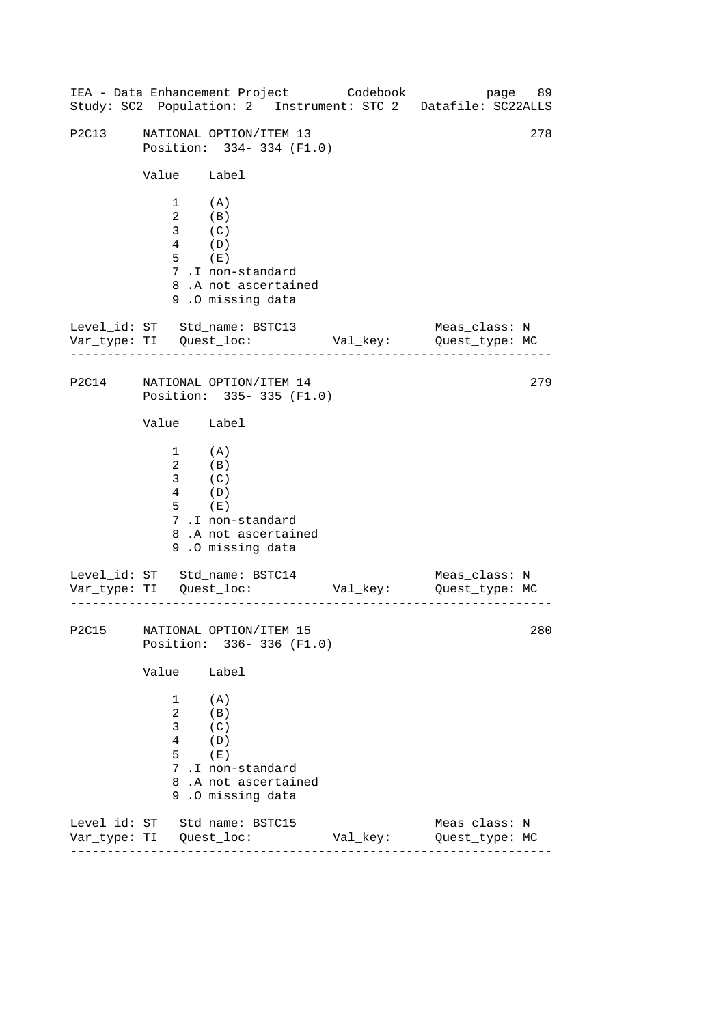|       |                                                                                                                          | IEA - Data Enhancement Project Codebook                                                                                       |          | Study: SC2 Population: 2 Instrument: STC_2 Datafile: SC22ALLS | page 89 |
|-------|--------------------------------------------------------------------------------------------------------------------------|-------------------------------------------------------------------------------------------------------------------------------|----------|---------------------------------------------------------------|---------|
| P2C13 |                                                                                                                          | NATIONAL OPTION/ITEM 13<br>Position: 334-334 (F1.0)                                                                           |          |                                                               | 278     |
|       | Value Label                                                                                                              |                                                                                                                               |          |                                                               |         |
|       | $1$ (A)<br>$\overline{4}$ (D)<br>$5$ $(E)$                                                                               | $\begin{array}{cc} 2 & \quad (B) \\ 3 & \quad (C) \end{array}$<br>7.I non-standard<br>8.A not ascertained<br>9.0 missing data |          |                                                               |         |
|       |                                                                                                                          | Level_id: ST Std_name: BSTC13                                                                                                 |          | Meas_class: N                                                 |         |
|       |                                                                                                                          | P2C14 NATIONAL OPTION/ITEM 14<br>Position: 335-335 (F1.0)                                                                     |          |                                                               | 279     |
|       | Value Label                                                                                                              |                                                                                                                               |          |                                                               |         |
|       | $\begin{array}{cc} 1 & & {\rm (A)} \\ 2 & & {\rm (B)} \\ 3 & & {\rm (C)} \end{array}$<br>$\overline{4}$ (D)<br>$5$ $(E)$ | 7.I non-standard<br>8.A not ascertained<br>9.0 missing data                                                                   |          |                                                               |         |
|       |                                                                                                                          | Level_id: ST Std_name: BSTC14                                                                                                 |          | Meas_class: N                                                 |         |
|       |                                                                                                                          | P2C15 NATIONAL OPTION/ITEM 15<br>Position: 336-336 (F1.0)                                                                     |          |                                                               | 280     |
|       | Value                                                                                                                    | Label                                                                                                                         |          |                                                               |         |
|       | 1<br>$\overline{a}$<br>3<br>4<br>5                                                                                       | (A)<br>(B)<br>(C)<br>(D)<br>(E)<br>7.I non-standard<br>8.A not ascertained<br>9.0 missing data                                |          |                                                               |         |
|       |                                                                                                                          | Level_id: ST Std_name: BSTC15                                                                                                 | Val_key: | Meas_class: N<br>Quest_type: MC                               |         |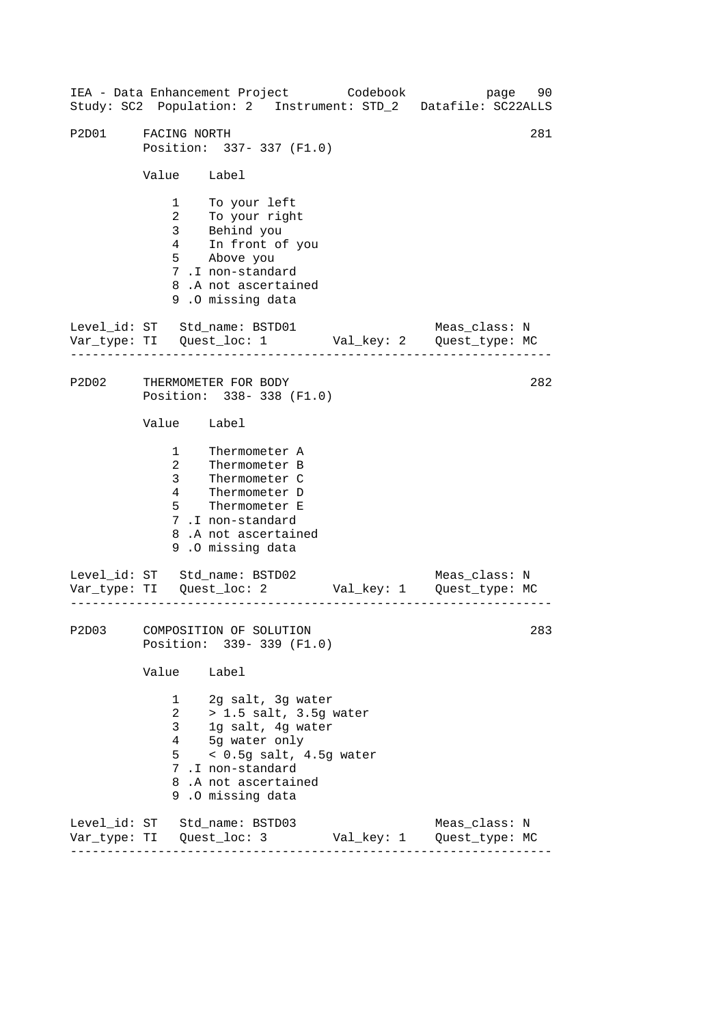------------------------------------------------------------------ ------------------------------------------------------------------ ------------------------------------------------------------------ 281 IEA - Data Enhancement Project Codebook page 90 Study: SC2 Population: 2 Instrument: STD\_2 Datafile: SC22ALLS P2D01 FACING NORTH Position: 337- 337 (F1.0) Value Label 1 To your left 2 To your right 3 Behind you 4 In front of you 5 Above you 7 .I non-standard 8 .A not ascertained 9 .O missing data Level id: ST Std name: BSTD01 Meas class: N Var\_type: TI Quest\_loc: 1 Val\_key: 2 Quest\_type: MC P2D02 THERMOMETER FOR BODY Position: 338- 338 (F1.0) Value Label 1 Thermometer A 2 Thermometer B 3 Thermometer C 4 Thermometer D 5 Thermometer E 7 .I non-standard 8 .A not ascertained 9 .O missing data Level\_id: ST Std\_name: BSTD02 Var\_type: TI Quest\_loc: 2 Val\_key: 1 Quest\_type: MC Meas\_class: N P2D03 COMPOSITION OF SOLUTION Position: 339- 339 (F1.0) Value Label 1 2g salt, 3g water 2 > 1.5 salt, 3.5g water 3 1g salt, 4g water 4 5g water only 5 < 0.5g salt, 4.5g water 7 .I non-standard 8 .A not ascertained 9 .O missing data Level\_id: ST Std\_name: BSTD03 Meas\_class: N Var\_type: TI Quest\_loc: 3 Val\_key: 1 Quest\_type: MC 282 283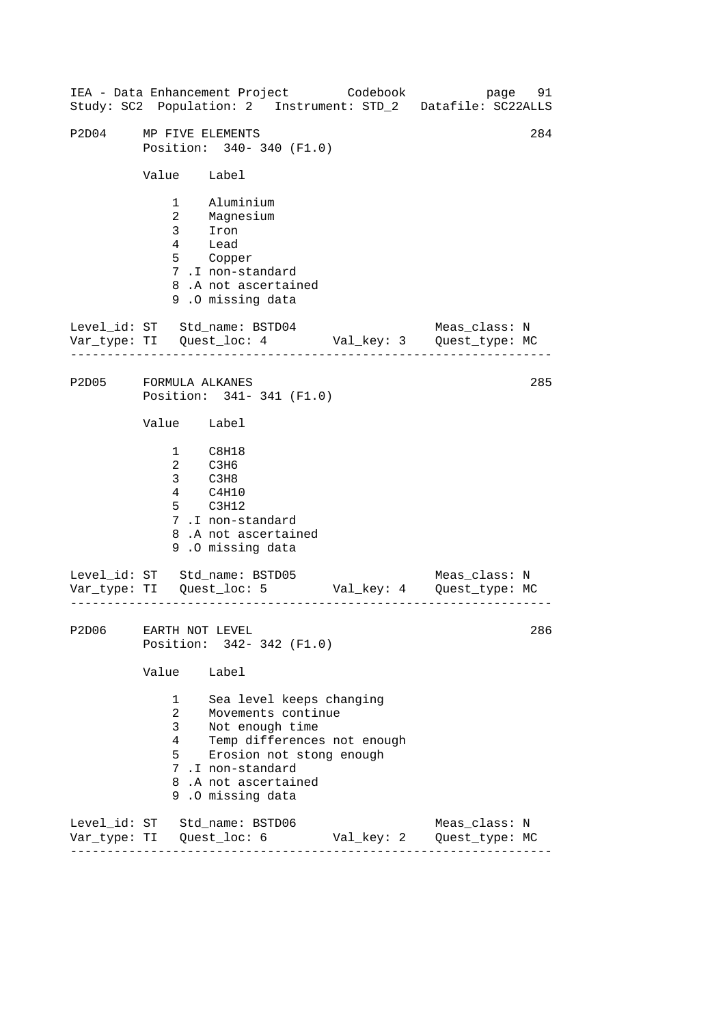| IEA - Data Enhancement Project Codebook<br>Study: SC2 Population: 2 Instrument: STD_2 Datafile: SC22ALLS |                                                 |                                                                                                                                                              |                             |                                                | page 91 |
|----------------------------------------------------------------------------------------------------------|-------------------------------------------------|--------------------------------------------------------------------------------------------------------------------------------------------------------------|-----------------------------|------------------------------------------------|---------|
| P2D04                                                                                                    | MP FIVE ELEMENTS                                | Position: 340- 340 (F1.0)                                                                                                                                    |                             |                                                | 284     |
|                                                                                                          | Value Label                                     |                                                                                                                                                              |                             |                                                |         |
|                                                                                                          |                                                 | 1 Aluminium<br>2 Magnesium<br>3 Iron<br>4 Lead<br>5 Copper<br>7.I non-standard<br>8.A not ascertained<br>9.0 missing data                                    |                             |                                                |         |
| Level_id: ST Std_name: BSTD04<br>Var_type: TI Quest_loc: 4 Val_key: 3 Quest_type: MC                     |                                                 |                                                                                                                                                              |                             | Meas_class: N                                  |         |
| P2D05 FORMULA ALKANES                                                                                    |                                                 | Position: 341-341 (F1.0)                                                                                                                                     |                             |                                                | 285     |
|                                                                                                          | Value Label                                     |                                                                                                                                                              |                             |                                                |         |
|                                                                                                          | $4\overline{ }$                                 | $\begin{tabular}{cc} 1 & C8H18 \\ 2 & C3H6 \\ 3 & C3H8 \end{tabular}$<br>C4H10<br>5 C3H12<br>7.I non-standard<br>8.A not ascertained<br>9.0 missing data     |                             |                                                |         |
| Level_id: ST Std_name: BSTD05                                                                            |                                                 |                                                                                                                                                              |                             | Meas_class: N                                  |         |
| P2D06 EARTH NOT LEVEL                                                                                    |                                                 | Position: 342- 342 (F1.0)                                                                                                                                    |                             |                                                | 286     |
|                                                                                                          | Value                                           | Label                                                                                                                                                        |                             |                                                |         |
|                                                                                                          | $1 \quad \Box$<br>$\overline{a}$<br>3<br>4<br>5 | Sea level keeps changing<br>Movements continue<br>Not enough time<br>Erosion not stong enough<br>7.I non-standard<br>8.A not ascertained<br>9.0 missing data | Temp differences not enough |                                                |         |
| Level_id: ST Std_name: BSTD06                                                                            |                                                 |                                                                                                                                                              |                             | Meas_class: N<br>Val_key: 2     Quest_type: MC |         |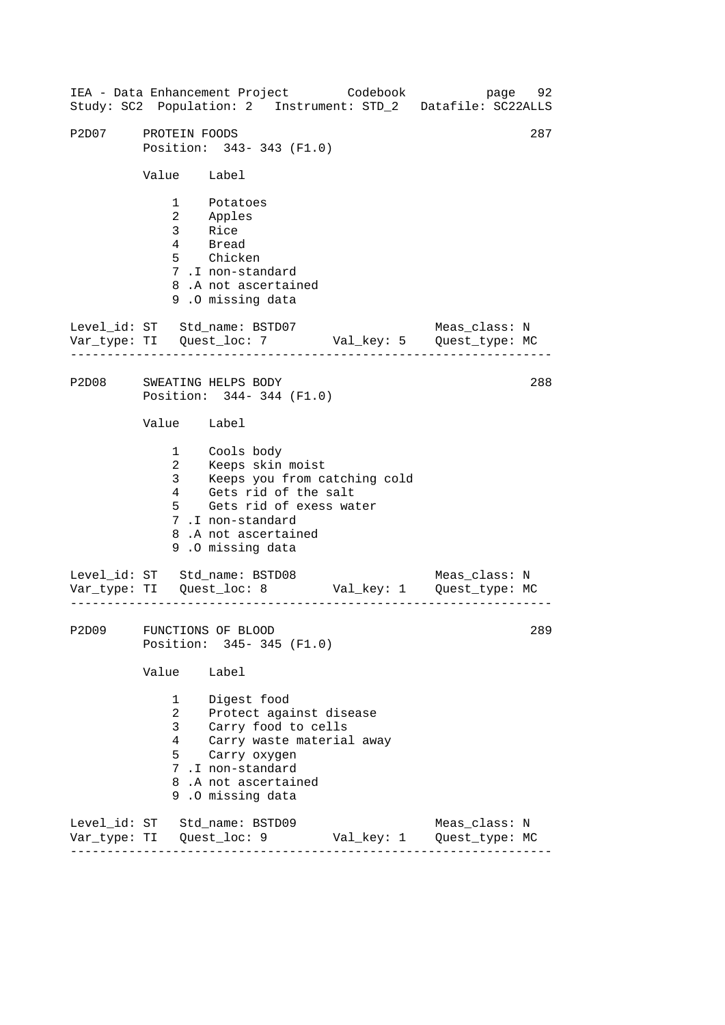------------------------------------------------------------------ ------------------------------------------------------------------ ------------------------------------------------------------------ IEA - Data Enhancement Project Codebook page 92 Study: SC2 Population: 2 Instrument: STD\_2 Datafile: SC22ALLS P2D07 PROTEIN FOODS 287 Position: 343- 343 (F1.0) Value Label 1 Potatoes 2 Apples 3 Rice 4 Bread 5 Chicken 7 .I non-standard 8 .A not ascertained 9 .O missing data Level id: ST Std name: BSTD07 Meas class: N Var\_type: TI Quest\_loc: 7 Val\_key: 5 Quest\_type: MC P2D08 SWEATING HELPS BODY Position: 344- 344 (F1.0) Value Label 1 2 3 4 Cools body Keeps skin moist Keeps you from catching cold Gets rid of the salt 5 Gets rid of exess water 7 .I non-standard 8 .A not ascertained 9 .O missing data Level\_id: ST Std\_name: BSTD08 Meas\_class: N Var\_type: TI Quest\_loc: 8 Val\_key: 1 Quest\_type: MC P2D09 FUNCTIONS OF BLOOD Position: 345- 345 (F1.0) Value Label 1 Digest food 2 Protect against disease 3 Carry food to cells 4 Carry waste material away 5 Carry oxygen 7 .I non-standard 8 .A not ascertained 9 .O missing data Level\_id: ST Std\_name: BSTD09 Meas\_class: N Var\_type: TI Quest\_loc: 9 Val\_key: 1 Quest\_type: MC 288 289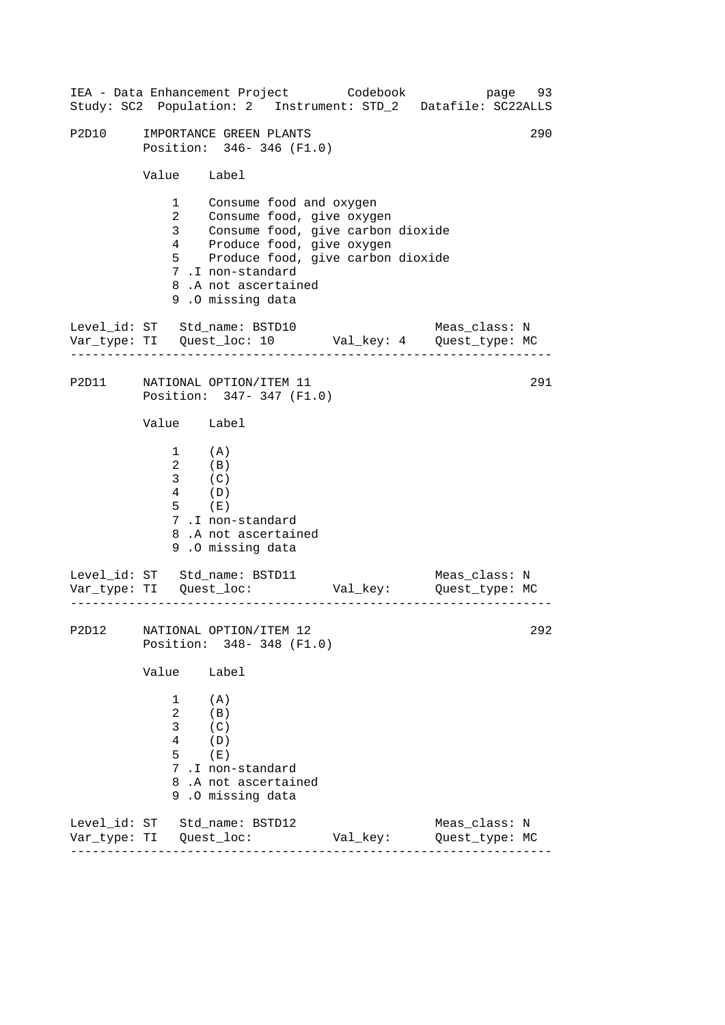|              |                                                                                                       |                                                                                                                                                    |                                                                          | IEA - Data Enhancement Project Codebook page 93<br>Study: SC2 Population: 2 Instrument: STD_2 Datafile: SC22ALLS |     |
|--------------|-------------------------------------------------------------------------------------------------------|----------------------------------------------------------------------------------------------------------------------------------------------------|--------------------------------------------------------------------------|------------------------------------------------------------------------------------------------------------------|-----|
| P2D10        |                                                                                                       | IMPORTANCE GREEN PLANTS<br>Position: 346-346 (F1.0)                                                                                                |                                                                          |                                                                                                                  | 290 |
|              | Value Label                                                                                           |                                                                                                                                                    |                                                                          |                                                                                                                  |     |
|              | $1 \quad \Box$<br>$\overline{2}$<br>3 <sup>1</sup>                                                    | Consume food and oxygen<br>Consume food, give oxygen<br>4 Produce food, give oxygen<br>7.I non-standard<br>8.A not ascertained<br>9.0 missing data | Consume food, give carbon dioxide<br>5 Produce food, give carbon dioxide |                                                                                                                  |     |
|              | ------------------                                                                                    |                                                                                                                                                    |                                                                          | Level_id: ST Std_name: BSTD10 Meas_class: N<br>Var_type: TI Quest_loc: 10 Val_key: 4 Quest_type: MC              |     |
|              |                                                                                                       | P2D11 NATIONAL OPTION/ITEM 11<br>Position: 347-347 (F1.0)                                                                                          |                                                                          |                                                                                                                  | 291 |
|              | Value Label                                                                                           |                                                                                                                                                    |                                                                          |                                                                                                                  |     |
|              | $\begin{array}{cc} 1 & & {\rm (A)} \\ 2 & & {\rm (B)} \end{array}$<br>$3$ (C)<br>$4$ (D)<br>$5$ $(E)$ | 7.I non-standard<br>8.A not ascertained<br>9.0 missing data                                                                                        |                                                                          |                                                                                                                  |     |
|              |                                                                                                       |                                                                                                                                                    |                                                                          | Level_id: ST Std_name: BSTD11 Meas_class: N<br>Var_type: TI Quest_loc: Val_key: Quest_type: MC                   |     |
|              |                                                                                                       | P2D12 NATIONAL OPTION/ITEM 12<br>Position: 348-348 (F1.0)                                                                                          |                                                                          | 292                                                                                                              |     |
|              | Value                                                                                                 | Label                                                                                                                                              |                                                                          |                                                                                                                  |     |
|              | 1<br>$\overline{a}$<br>3<br>4<br>5<br>9                                                               | (A)<br>(B)<br>(C)<br>(D)<br>(E)<br>7.I non-standard<br>8.A not ascertained<br>.0 missing data                                                      |                                                                          |                                                                                                                  |     |
| Var_type: TI |                                                                                                       | Level_id: ST Std_name: BSTD12<br>Quest_loc:                                                                                                        | Val_key:                                                                 | Meas_class: N<br>Quest_type: MC                                                                                  |     |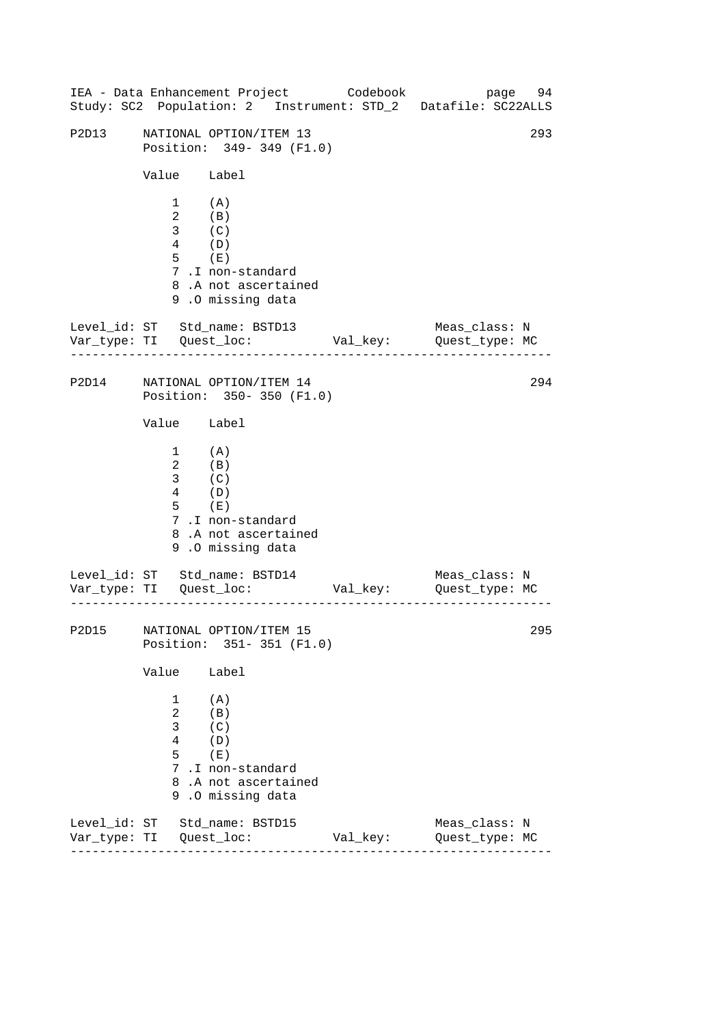|       |                                                                           |                                                                                                                                            |  | IEA - Data Enhancement Project Codebook | Study: SC2 Population: 2 Instrument: STD_2 Datafile: SC22ALLS | page 94 |
|-------|---------------------------------------------------------------------------|--------------------------------------------------------------------------------------------------------------------------------------------|--|-----------------------------------------|---------------------------------------------------------------|---------|
| P2D13 | 293<br>NATIONAL OPTION/ITEM 13<br>Position: 349- 349 (F1.0)               |                                                                                                                                            |  |                                         |                                                               |         |
|       | Value Label                                                               |                                                                                                                                            |  |                                         |                                                               |         |
|       | $1$ (A)<br>$\overline{a}$<br>3 <sup>7</sup><br>$4\overline{ }$<br>$5$ (E) | $\begin{array}{c} \textrm{(B)} \\ \textrm{(C)} \\ \textrm{(D)} \end{array}$<br>7.I non-standard<br>8.A not ascertained<br>9.0 missing data |  |                                         |                                                               |         |
|       |                                                                           | Level_id: ST Std_name: BSTD13                                                                                                              |  |                                         | Meas_class: N                                                 |         |
| P2D14 |                                                                           | NATIONAL OPTION/ITEM 14<br>Position: 350-350 (F1.0)                                                                                        |  |                                         |                                                               | 294     |
|       | Value Label                                                               |                                                                                                                                            |  |                                         |                                                               |         |
|       | $1$ (A)<br>$\overline{a}$<br>3 <sup>7</sup><br>$4\overline{ }$<br>$5$ (E) | $\begin{array}{c} \textrm{(B)} \\ \textrm{(C)} \\ \textrm{(D)} \end{array}$<br>7.I non-standard<br>8.A not ascertained<br>9.0 missing data |  |                                         |                                                               |         |
|       |                                                                           | Level_id: ST Std_name: BSTD14                                                                                                              |  |                                         | Meas_class: N                                                 |         |
|       |                                                                           | P2D15 NATIONAL OPTION/ITEM 15<br>Position: 351-351 (F1.0)                                                                                  |  |                                         |                                                               | 295     |
|       | Value                                                                     | Label                                                                                                                                      |  |                                         |                                                               |         |
|       | 1<br>$\overline{a}$<br>3<br>4<br>5                                        | (A)<br>(B)<br>(C)<br>(D)<br>(E)<br>7.I non-standard<br>8.A not ascertained<br>9.0 missing data                                             |  |                                         |                                                               |         |
|       |                                                                           | Level_id: ST Std_name: BSTD15                                                                                                              |  | Val_key:                                | Meas_class: N<br>Quest_type: MC                               |         |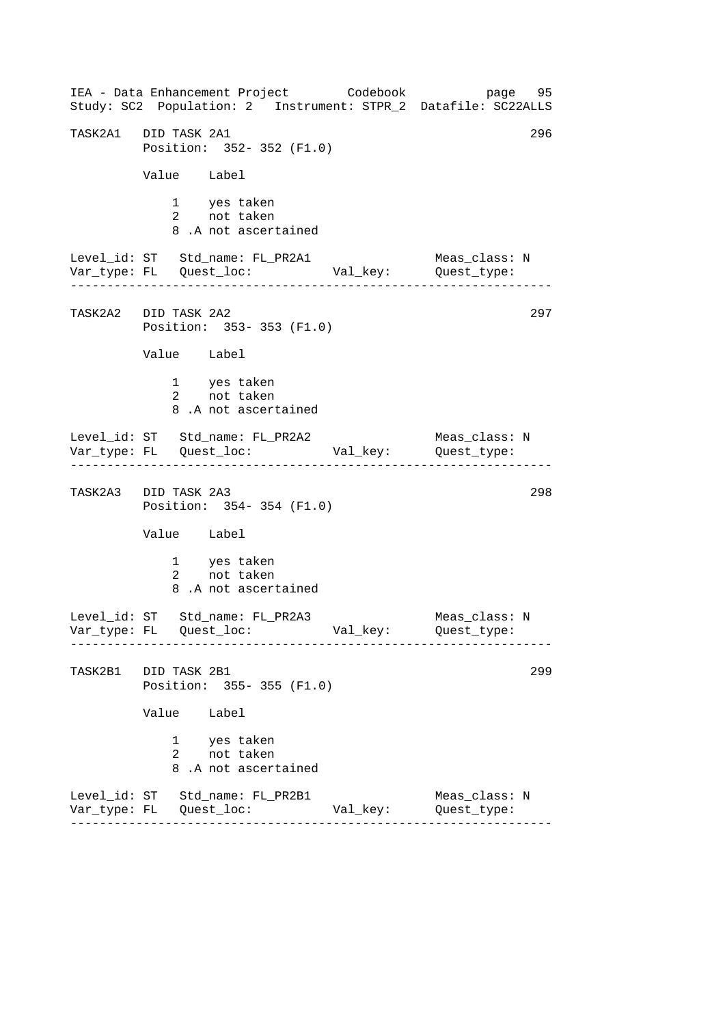------------------------------------------------------------------ ------------------------------------------------------------------ ------------------------------------------------------------------ ------------------------------------------------------------------ IEA - Data Enhancement Project Codebook page 95 Study: SC2 Population: 2 Instrument: STPR\_2 Datafile: SC22ALLS TASK2A1 DID TASK 2A1 296 Position: 352- 352 (F1.0) Value Label 1 yes taken 2 not taken 8 .A not ascertained Level\_id: ST Std\_name: FL\_PR2A1 Meas\_class: N Var\_type: FL Quest\_loc: Val\_key: Quest\_type: TASK2A2 DID TASK 2A2 Position: 353- 353 (F1.0) Value Label 1 yes taken 2 not taken 8 .A not ascertained Level\_id: ST Std\_name: FL\_PR2A2 Meas\_class: N Var\_type: FL Quest\_loc: Val\_key: Quest\_type: TASK2A3 DID TASK 2A3 298 Position: 354- 354 (F1.0) Value Label 1 yes taken 2 not taken 8 .A not ascertained Level\_id: ST Std\_name: FL\_PR2A3 Meas\_class: N Var\_type: FL Quest\_loc: Val\_key: Quest\_type: TASK2B1 DID TASK 2B1 299 Position: 355- 355 (F1.0) Value Label 1 yes taken 2 not taken 8 .A not ascertained Level\_id: ST Std\_name: FL\_PR2B1 Meas\_class: N Var\_type: FL Quest\_loc: Val\_key: Quest\_type: 297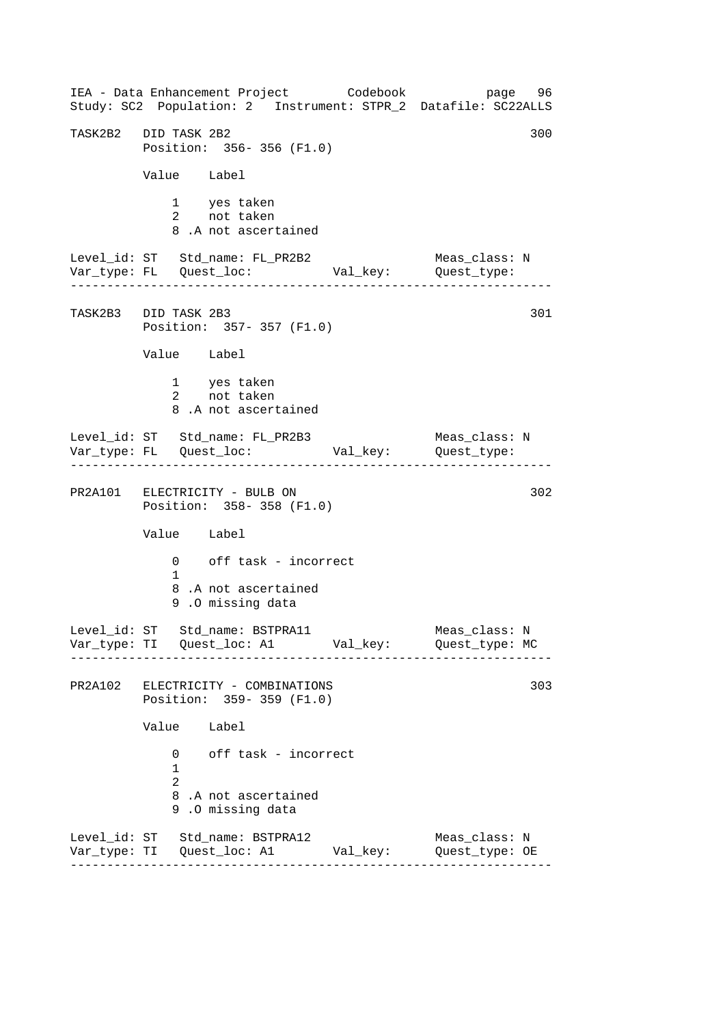------------------------------------------------------------------ ------------------------------------------------------------------ ------------------------------------------------------------------ ------------------------------------------------------------------ IEA - Data Enhancement Project Codebook page 96 Study: SC2 Population: 2 Instrument: STPR\_2 Datafile: SC22ALLS TASK2B2 DID TASK 2B2 300 Position: 356- 356 (F1.0) Value Label 1 yes taken 2 not taken 8 .A not ascertained Level\_id: ST Std\_name: FL\_PR2B2 Meas\_class: N<br>Var\_type: FL Quest\_loc: Val\_key: Quest\_type: Var\_type: FL Quest\_loc: Val\_key: Quest\_type: TASK2B3 DID TASK 2B3 301 Position: 357- 357 (F1.0) Value Label 1 yes taken 2 not taken 8 .A not ascertained Level\_id: ST Std\_name: FL\_PR2B3 Meas\_class: N Var\_type: FL Quest\_loc: Val\_key: Quest\_type: PR2A101 ELECTRICITY - BULB ON 302 Position: 358- 358 (F1.0) Value Label 0 off task - incorrect 1 8 .A not ascertained 9 .O missing data Level\_id: ST Std\_name: BSTPRA11 Meas\_class: N Var\_type: TI Quest\_loc: A1 Val\_key: Quest\_type: MC PR2A102 ELECTRICITY - COMBINATIONS 303 Position: 359- 359 (F1.0) Value Label 0 off task - incorrect 1 2 8 .A not ascertained 9 .O missing data Level\_id: ST Std\_name: BSTPRA12 Meas\_class: N Var\_type: TI Quest\_loc: A1 Val\_key: Quest\_type: OE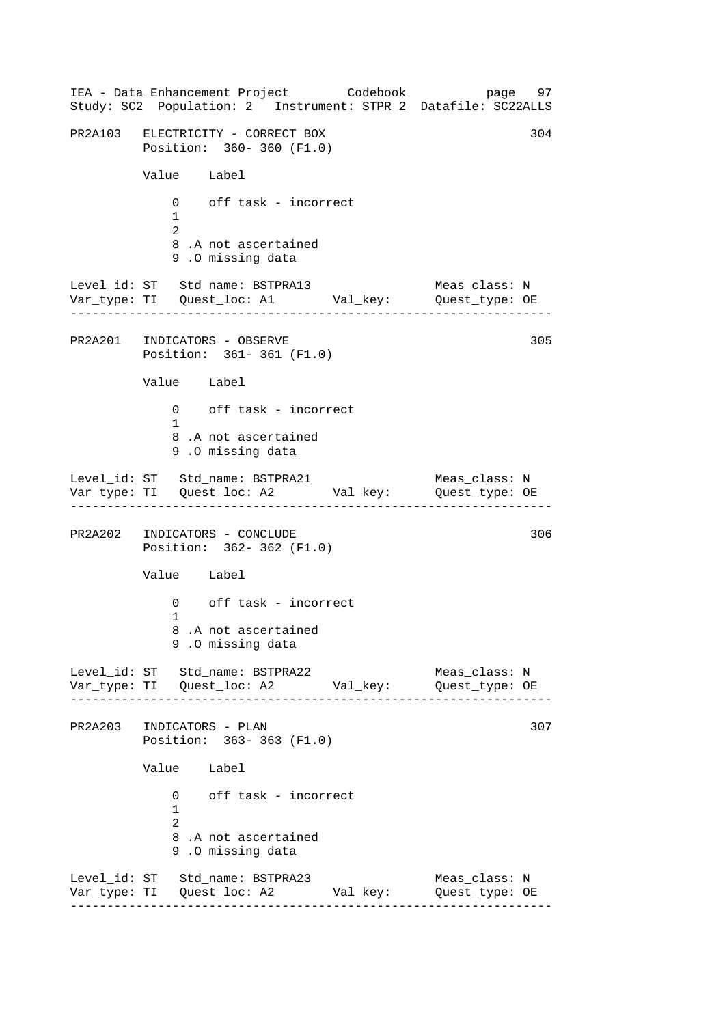------------------------------------------------------------------ ------------------------------------------------------------------ ------------------------------------------------------------------ ------------------------------------------------------------------ IEA - Data Enhancement Project Codebook page 97 Study: SC2 Population: 2 Instrument: STPR\_2 Datafile: SC22ALLS PR2A103 ELECTRICITY - CORRECT BOX 304 Position: 360- 360 (F1.0) Value Label 0 off task - incorrect 1  $\mathcal{L}$ 8 .A not ascertained 9 .O missing data Level\_id: ST Std\_name: BSTPRA13 Meas\_class: N Var\_type: TI Quest\_loc: A1 Val\_key: Quest\_type: OE PR2A201 INDICATORS - OBSERVE Position: 361- 361 (F1.0) Value Label 0 off task - incorrect 1 8 .A not ascertained 9 .O missing data Level\_id: ST Std\_name: BSTPRA21 Var\_type: TI Quest\_loc: A2 Val\_key: Quest\_type: OE Meas\_class: N PR2A202 INDICATORS - CONCLUDE 306 Position: 362- 362 (F1.0) Value Label 0 off task - incorrect 1 8 .A not ascertained 9 .O missing data Level\_id: ST Std\_name: BSTPRA22 Meas\_class: N Var\_type: TI Quest\_loc: A2 Val\_key: Quest\_type: OE PR2A203 INDICATORS - PLAN 307 Position: 363- 363 (F1.0) Value Label 0 off task - incorrect 1 2 8 .A not ascertained 9 .O missing data Level\_id: ST Std\_name: BSTPRA23 Meas\_class: N Var\_type: TI Quest\_loc: A2 Val\_key: Quest\_type: OE 305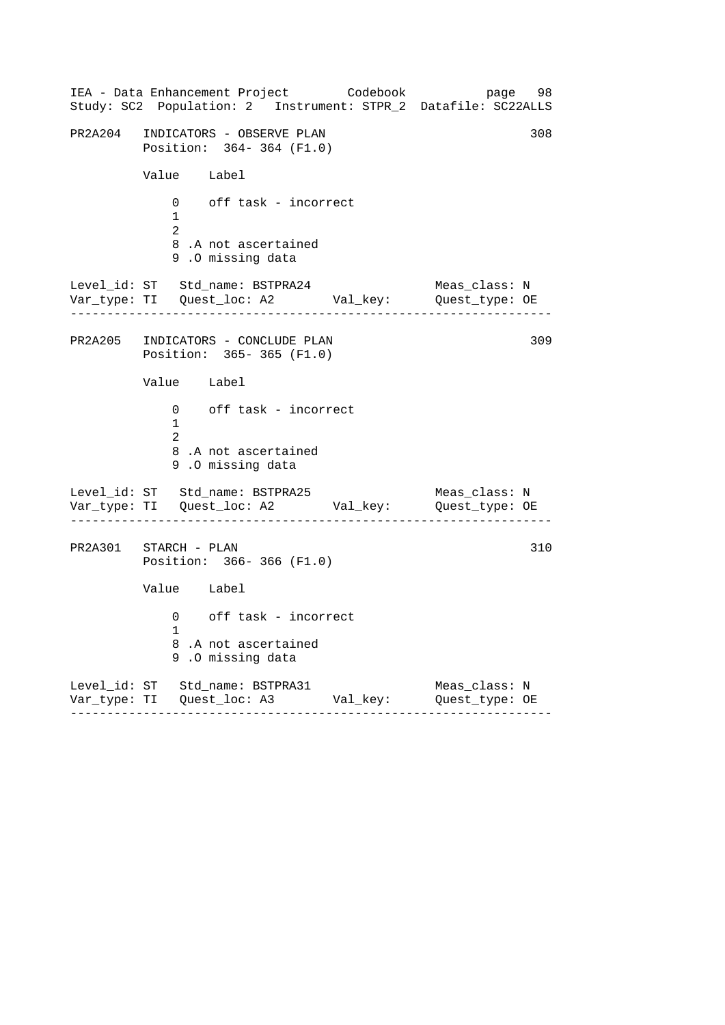------------------------------------------------------------------ ------------------------------------------------------------------ ------------------------------------------------------------------ IEA - Data Enhancement Project Codebook page 98 Study: SC2 Population: 2 Instrument: STPR\_2 Datafile: SC22ALLS PR2A204 INDICATORS - OBSERVE PLAN 308 Position: 364- 364 (F1.0) Value Label 0 off task - incorrect 1 2 8 .A not ascertained 9 .O missing data Level\_id: ST Std\_name: BSTPRA24 Meas\_class: N Var\_type: TI Quest\_loc: A2 Val\_key: Quest\_type: OE PR2A205 INDICATORS - CONCLUDE PLAN Position: 365- 365 (F1.0) Value Label 0 off task - incorrect 1 2 8 .A not ascertained 9 .O missing data Level\_id: ST Std\_name: BSTPRA25 Var\_type: TI Quest\_loc: A2 Val\_key: Quest\_type: OE Meas\_class: N PR2A301 STARCH - PLAN Position: 366- 366 (F1.0) Value Label 0 off task - incorrect 1 8 .A not ascertained 9 .O missing data Level\_id: ST Std\_name: BSTPRA31 Meas\_class: N Var\_type: TI Quest\_loc: A3 Val\_key: Quest\_type: OE 309 310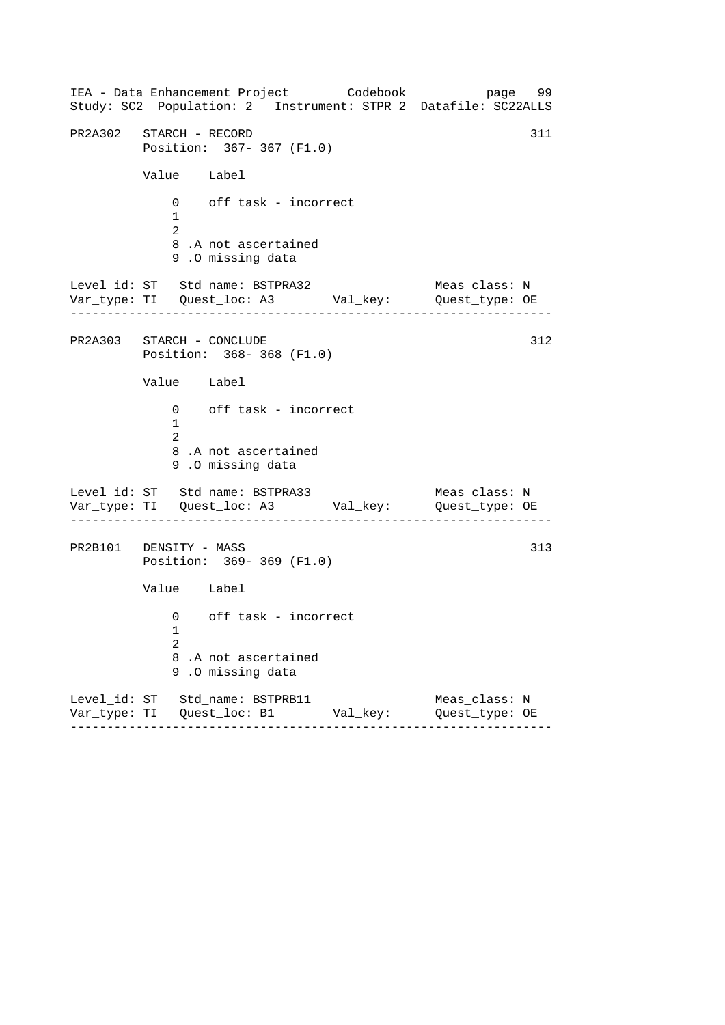------------------------------------------------------------------ ------------------------------------------------------------------ ------------------------------------------------------------------ IEA - Data Enhancement Project Codebook page 99 Study: SC2 Population: 2 Instrument: STPR\_2 Datafile: SC22ALLS PR2A302 STARCH - RECORD 311 Position: 367- 367 (F1.0) Value Label 0 off task - incorrect 1 2 8 .A not ascertained 9 .O missing data Level\_id: ST Std\_name: BSTPRA32 Meas\_class: N Var\_type: TI Quest\_loc: A3 Val\_key: Quest\_type: OE PR2A303 STARCH - CONCLUDE Position: 368- 368 (F1.0) Value Label 0 off task - incorrect 1 2 8 .A not ascertained 9 .O missing data Level\_id: ST Std\_name: BSTPRA33 Var\_type: TI Quest\_loc: A3 Val\_key: Quest\_type: OE Meas\_class: N PR2B101 DENSITY - MASS Position: 369- 369 (F1.0) Value Label 0 off task - incorrect 1 2 8 .A not ascertained 9 .O missing data Level\_id: ST Std\_name: BSTPRB11 Meas\_class: N Var\_type: TI Quest\_loc: B1 Val\_key: Quest\_type: OE 312 313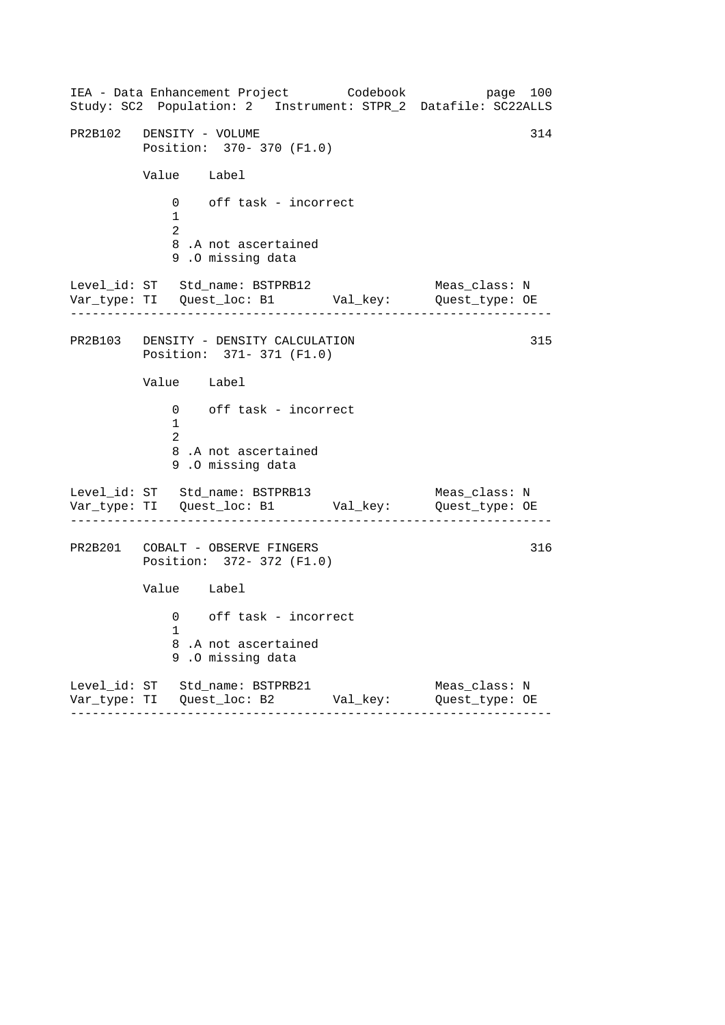------------------------------------------------------------------ ------------------------------------------------------------------ ------------------------------------------------------------------ IEA - Data Enhancement Project Codebook page 100 Study: SC2 Population: 2 Instrument: STPR\_2 Datafile: SC22ALLS PR2B102 DENSITY - VOLUME 314 Position: 370- 370 (F1.0) Value Label 0 off task - incorrect 1 2 8 .A not ascertained 9 .O missing data Level\_id: ST Std\_name: BSTPRB12 Meas\_class: N Var\_type: TI Quest\_loc: B1 Val\_key: Quest\_type: OE PR2B103 DENSITY - DENSITY CALCULATION Position: 371- 371 (F1.0) Value Label 0 off task - incorrect 1 2 8 .A not ascertained 9 .O missing data Level\_id: ST Std\_name: BSTPRB13 Var\_type: TI Quest\_loc: B1 Val\_key: Quest\_type: OE Meas\_class: N PR2B201 COBALT - OBSERVE FINGERS Position: 372- 372 (F1.0) Value Label 0 off task - incorrect 1 8 .A not ascertained 9 .O missing data Level\_id: ST Std\_name: BSTPRB21 Meas\_class: N Var\_type: TI Quest\_loc: B2 Val\_key: Quest\_type: OE 315 316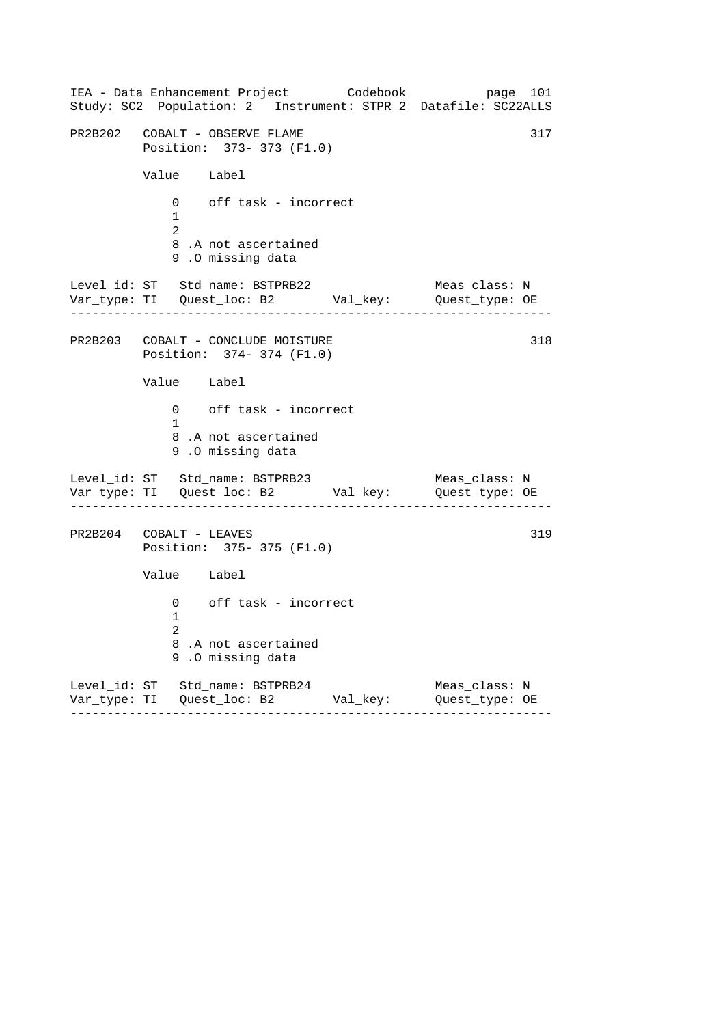------------------------------------------------------------------ ------------------------------------------------------------------ ------------------------------------------------------------------ IEA - Data Enhancement Project Codebook page 101 Study: SC2 Population: 2 Instrument: STPR\_2 Datafile: SC22ALLS PR2B202 COBALT - OBSERVE FLAME 317 Position: 373- 373 (F1.0) Value Label 0 off task - incorrect 1 2 8 .A not ascertained 9 .O missing data Level\_id: ST Std\_name: BSTPRB22 Meas\_class: N Var\_type: TI Quest\_loc: B2 Val\_key: Quest\_type: OE PR2B203 COBALT - CONCLUDE MOISTURE Position: 374- 374 (F1.0) Value Label 0 off task - incorrect 1 8 .A not ascertained 9 .O missing data Level\_id: ST Std\_name: BSTPRB23 Var\_type: TI Quest\_loc: B2 Val\_key: Quest\_type: OE Meas\_class: N PR2B204 COBALT - LEAVES Position: 375- 375 (F1.0) Value Label 0 off task - incorrect 1 2 8 .A not ascertained 9 .O missing data Level\_id: ST Std\_name: BSTPRB24 Meas\_class: N Var\_type: TI Quest\_loc: B2 Val\_key: Quest\_type: OE 318 319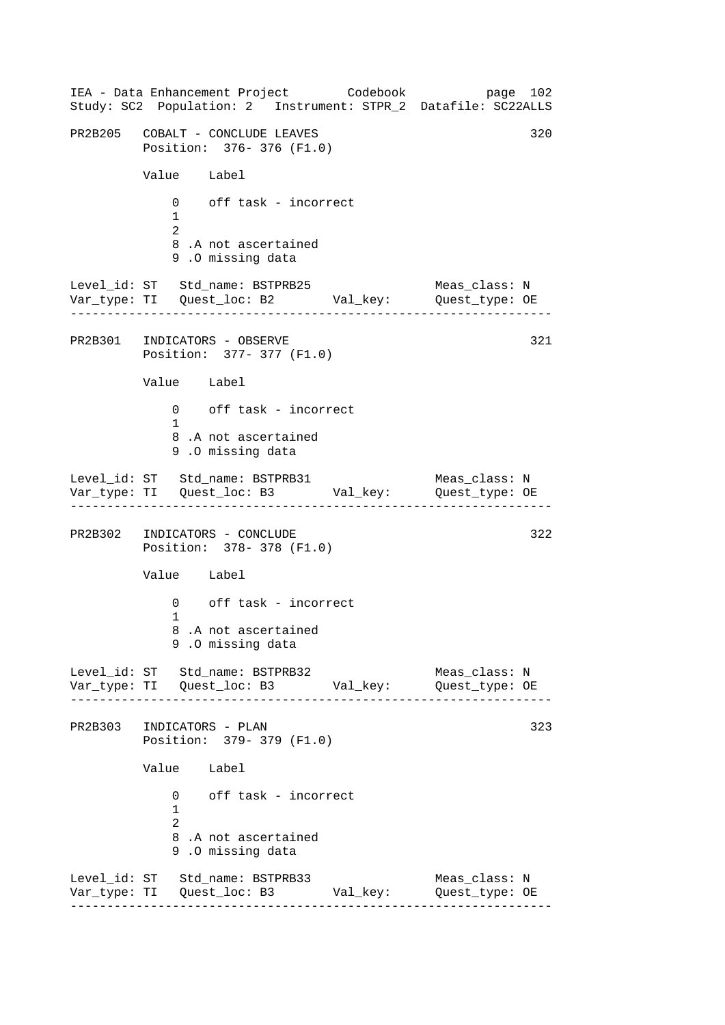------------------------------------------------------------------ ------------------------------------------------------------------ ------------------------------------------------------------------ ------------------------------------------------------------------ IEA - Data Enhancement Project Codebook page 102 Study: SC2 Population: 2 Instrument: STPR\_2 Datafile: SC22ALLS PR2B205 COBALT - CONCLUDE LEAVES 320 Position: 376- 376 (F1.0) Value Label 0 off task - incorrect 1  $\mathcal{L}$ 8 .A not ascertained 9 .O missing data Level\_id: ST Std\_name: BSTPRB25 Meas\_class: N Var\_type: TI Quest\_loc: B2 Val\_key: Quest\_type: OE PR2B301 INDICATORS - OBSERVE Position: 377- 377 (F1.0) Value Label 0 off task - incorrect 1 8 .A not ascertained 9 .O missing data Level\_id: ST Std\_name: BSTPRB31 Var\_type: TI Quest\_loc: B3 Val\_key: Quest\_type: OE Meas\_class: N PR2B302 INDICATORS - CONCLUDE 322 Position: 378- 378 (F1.0) Value Label 0 off task - incorrect 1 8 .A not ascertained 9 .O missing data Level\_id: ST Std\_name: BSTPRB32 Meas\_class: N Var\_type: TI Quest\_loc: B3 Val\_key: Quest\_type: OE PR2B303 INDICATORS - PLAN 323 Position: 379- 379 (F1.0) Value Label 0 off task - incorrect 1 2 8 .A not ascertained 9 .O missing data Level\_id: ST Std\_name: BSTPRB33 Meas\_class: N Var\_type: TI Quest\_loc: B3 Val\_key: Quest\_type: OE 321